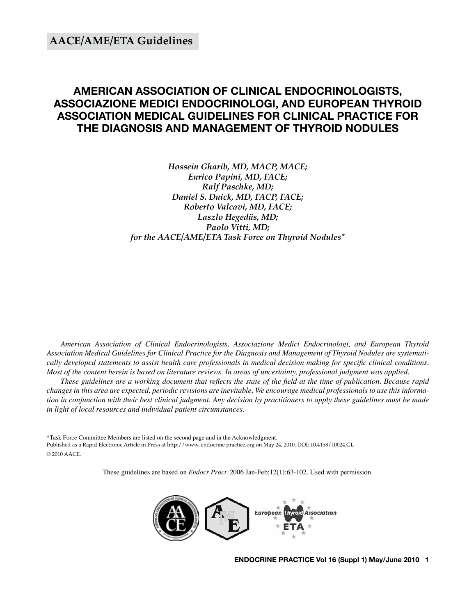# **American Association of Clinical Endocrinologists, Associazione Medici Endocrinologi, and European Thyroid Association Medical Guidelines for Clinical Practice for the Diagnosis and Management of Thyroid Nodules**

*Hossein Gharib, MD, MACP, MACE; Enrico Papini, MD, FACE; Ralf Paschke, MD; Daniel S. Duick, MD, FACP, FACE; Roberto Valcavi, MD, FACE; Laszlo Hegedüs, MD; Paolo Vitti, MD; for the AACE/AME/ETA Task Force on Thyroid Nodules\** 

 *American Association of Clinical Endocrinologists, Associazione Medici Endocrinologi, and European Thyroid* Association Medical Guidelines for Clinical Practice for the Diagnosis and Management of Thyroid Nodules are systematically developed statements to assist health care professionals in medical decision making for specific clinical conditions. Most of the content herein is based on literature reviews. In areas of uncertainty, professional judgment was applied.

These guidelines are a working document that reflects the state of the field at the time of publication. Because rapid changes in this area are expected, periodic revisions are inevitable. We encourage medical professionals to use this information in conjunction with their best clinical judgment. Any decision by practitioners to apply these guidelines must be made *in light of local resources and individual patient circumstances.*

\*Task Force Committee Members are listed on the second page and in the Acknowledgment. Published as a Rapid Electronic Article in Press at http://www. endocrine practice.org on May 24, 2010. DOI: 10.4158/10024.GL © 2010 AACE.

These guidelines are based on *Endocr Pract*. 2006 Jan-Feb;12(1):63-102. Used with permission.



 **ENDOCRINE PRACTICE Vol 16 (Suppl 1) May/June 2010 1**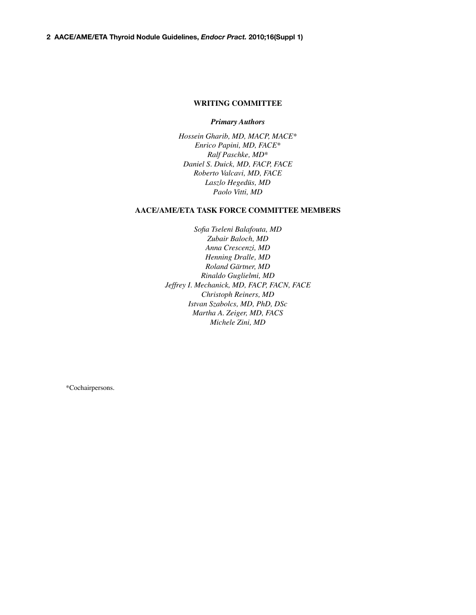# **WRITING COMMITTEE**

*Primary Authors*

*Hossein Gharib, MD, MACP, MACE\* Enrico Papini, MD, FACE\* Ralf Paschke, MD\* Daniel S. Duick, MD, FACP, FACE Roberto Valcavi, MD, FACE Laszlo Hegedüs, MD Paolo Vitti, MD*

# **AACE/AME/ETA TASK FORCE COMMITTEE MEMBERS**

*Sofia Tseleni Balafouta, MD Zubair Baloch, MD Anna Crescenzi, MD Henning Dralle, MD Roland Gärtner, MD Rinaldo Guglielmi, MD Jeffrey I. Mechanick, MD, FACP, FACN, FACE Christoph Reiners, MD Istvan Szabolcs, MD, PhD, DSc Martha A. Zeiger, MD, FACS Michele Zini, MD*

\*Cochairpersons.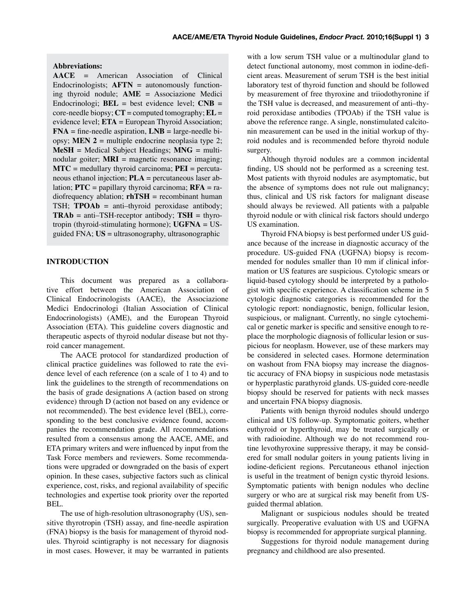### **Abbreviations:**

**AACE** = American Association of Clinical Endocrinologists; **AFTN** = autonomously functioning thyroid nodule; **AME** = Associazione Medici Endocrinologi; **BEL** = best evidence level; **CNB** = core-needle biopsy;  $CT =$  computed tomography;  $EL =$ evidence level; **ETA** = European Thyroid Association;  $FNA = fine-nee$ dle aspiration,  $LNB = large-nee$ dle biopsy; **MEN 2** = multiple endocrine neoplasia type 2; **MeSH** = Medical Subject Headings; **MNG** = multinodular goiter;  $MRI$  = magnetic resonance imaging; **MTC** = medullary thyroid carcinoma; **PEI** = percutaneous ethanol injection; **PLA** = percutaneous laser ablation; **PTC** = papillary thyroid carcinoma; **RFA** = radiofrequency ablation;  $rhTSH = recombination$ TSH; **TPOAb** = anti–thyroid peroxidase antibody; **TRAb** = anti-TSH-receptor antibody;  $TSH = thyro$ tropin (thyroid-stimulating hormone); **UGFNA** = USguided FNA; **US** = ultrasonography, ultrasonographic

# **INTRODUCTION**

This document was prepared as a collaborative effort between the American Association of Clinical Endocrinologists (AACE), the Associazione Medici Endocrinologi (Italian Association of Clinical Endocrinologists) (AME), and the European Thyroid Association (ETA). This guideline covers diagnostic and therapeutic aspects of thyroid nodular disease but not thyroid cancer management.

The AACE protocol for standardized production of clinical practice guidelines was followed to rate the evidence level of each reference (on a scale of 1 to 4) and to link the guidelines to the strength of recommendations on the basis of grade designations A (action based on strong evidence) through D (action not based on any evidence or not recommended). The best evidence level (BEL), corresponding to the best conclusive evidence found, accompanies the recommendation grade. All recommendations resulted from a consensus among the AACE, AME, and ETA primary writers and were influenced by input from the Task Force members and reviewers. Some recommendations were upgraded or downgraded on the basis of expert opinion. In these cases, subjective factors such as clinical experience, cost, risks, and regional availability of specific technologies and expertise took priority over the reported BEL.

The use of high-resolution ultrasonography (US), sensitive thyrotropin (TSH) assay, and fine-needle aspiration (FNA) biopsy is the basis for management of thyroid nodules. Thyroid scintigraphy is not necessary for diagnosis in most cases. However, it may be warranted in patients with a low serum TSH value or a multinodular gland to detect functional autonomy, most common in iodine-deficient areas. Measurement of serum TSH is the best initial laboratory test of thyroid function and should be followed by measurement of free thyroxine and triiodothyronine if the TSH value is decreased, and measurement of anti–thyroid peroxidase antibodies (TPOAb) if the TSH value is above the reference range. A single, nonstimulated calcitonin measurement can be used in the initial workup of thyroid nodules and is recommended before thyroid nodule surgery.

Although thyroid nodules are a common incidental finding, US should not be performed as a screening test. Most patients with thyroid nodules are asymptomatic, but the absence of symptoms does not rule out malignancy; thus, clinical and US risk factors for malignant disease should always be reviewed. All patients with a palpable thyroid nodule or with clinical risk factors should undergo US examination.

Thyroid FNA biopsy is best performed under US guidance because of the increase in diagnostic accuracy of the procedure. US-guided FNA (UGFNA) biopsy is recommended for nodules smaller than 10 mm if clinical information or US features are suspicious. Cytologic smears or liquid-based cytology should be interpreted by a pathologist with specific experience. A classification scheme in 5 cytologic diagnostic categories is recommended for the cytologic report: nondiagnostic, benign, follicular lesion, suspicious, or malignant. Currently, no single cytochemical or genetic marker is specific and sensitive enough to replace the morphologic diagnosis of follicular lesion or suspicious for neoplasm. However, use of these markers may be considered in selected cases. Hormone determination on washout from FNA biopsy may increase the diagnostic accuracy of FNA biopsy in suspicious node metastasis or hyperplastic parathyroid glands. US-guided core-needle biopsy should be reserved for patients with neck masses and uncertain FNA biopsy diagnosis.

Patients with benign thyroid nodules should undergo clinical and US follow-up. Symptomatic goiters, whether euthyroid or hyperthyroid, may be treated surgically or with radioiodine. Although we do not recommend routine levothyroxine suppressive therapy, it may be considered for small nodular goiters in young patients living in iodine-deficient regions. Percutaneous ethanol injection is useful in the treatment of benign cystic thyroid lesions. Symptomatic patients with benign nodules who decline surgery or who are at surgical risk may benefit from USguided thermal ablation.

Malignant or suspicious nodules should be treated surgically. Preoperative evaluation with US and UGFNA biopsy is recommended for appropriate surgical planning.

Suggestions for thyroid nodule management during pregnancy and childhood are also presented.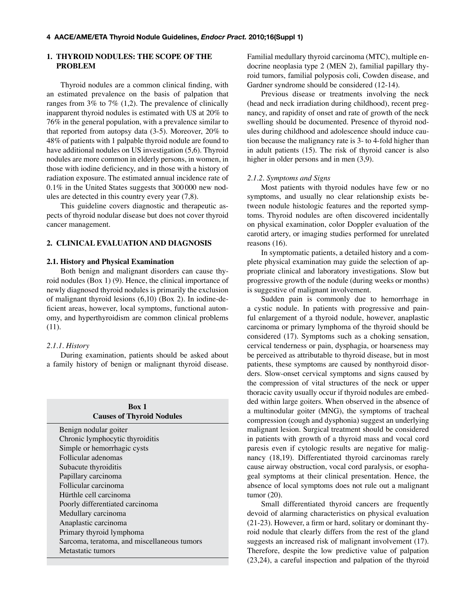### **1. THYROID NODULES: THE SCOPE OF THE PROBLEM**

Thyroid nodules are a common clinical finding, with an estimated prevalence on the basis of palpation that ranges from 3% to 7% (1,2). The prevalence of clinically inapparent thyroid nodules is estimated with US at 20% to 76% in the general population, with a prevalence similar to that reported from autopsy data (3-5). Moreover, 20% to 48% of patients with 1 palpable thyroid nodule are found to have additional nodules on US investigation (5,6). Thyroid nodules are more common in elderly persons, in women, in those with iodine deficiency, and in those with a history of radiation exposure. The estimated annual incidence rate of 0.1% in the United States suggests that 300 000 new nodules are detected in this country every year (7,8).

This guideline covers diagnostic and therapeutic aspects of thyroid nodular disease but does not cover thyroid cancer management.

# **2. CLINICAL EVALUATION AND DIAGNOSIS**

#### **2.1. History and Physical Examination**

Both benign and malignant disorders can cause thyroid nodules (Box 1) (9). Hence, the clinical importance of newly diagnosed thyroid nodules is primarily the exclusion of malignant thyroid lesions (6,10) (Box 2). In iodine-deficient areas, however, local symptoms, functional autonomy, and hyperthyroidism are common clinical problems (11).

### *2.1.1. History*

During examination, patients should be asked about a family history of benign or malignant thyroid disease.

| Rox 1<br><b>Causes of Thyroid Nodules</b> |                                             |  |
|-------------------------------------------|---------------------------------------------|--|
|                                           | Benign nodular goiter                       |  |
|                                           | Chronic lymphocytic thyroiditis             |  |
|                                           | Simple or hemorrhagic cysts                 |  |
|                                           | Follicular adenomas                         |  |
|                                           | Subacute thyroiditis                        |  |
|                                           | Papillary carcinoma                         |  |
|                                           | Follicular carcinoma                        |  |
|                                           | Hiirthle cell carcinoma                     |  |
|                                           | Poorly differentiated carcinoma             |  |
|                                           | Medullary carcinoma                         |  |
|                                           | Anaplastic carcinoma                        |  |
|                                           | Primary thyroid lymphoma                    |  |
|                                           | Sarcoma, teratoma, and miscellaneous tumors |  |
|                                           | Metastatic tumors                           |  |
|                                           |                                             |  |

Familial medullary thyroid carcinoma (MTC), multiple endocrine neoplasia type 2 (MEN 2), familial papillary thyroid tumors, familial polyposis coli, Cowden disease, and Gardner syndrome should be considered (12-14).

Previous disease or treatments involving the neck (head and neck irradiation during childhood), recent pregnancy, and rapidity of onset and rate of growth of the neck swelling should be documented. Presence of thyroid nodules during childhood and adolescence should induce caution because the malignancy rate is 3- to 4-fold higher than in adult patients (15). The risk of thyroid cancer is also higher in older persons and in men  $(3,9)$ .

#### *2.1.2. Symptoms and Signs*

Most patients with thyroid nodules have few or no symptoms, and usually no clear relationship exists between nodule histologic features and the reported symptoms. Thyroid nodules are often discovered incidentally on physical examination, color Doppler evaluation of the carotid artery, or imaging studies performed for unrelated reasons (16).

In symptomatic patients, a detailed history and a complete physical examination may guide the selection of appropriate clinical and laboratory investigations. Slow but progressive growth of the nodule (during weeks or months) is suggestive of malignant involvement.

Sudden pain is commonly due to hemorrhage in a cystic nodule. In patients with progressive and painful enlargement of a thyroid nodule, however, anaplastic carcinoma or primary lymphoma of the thyroid should be considered (17). Symptoms such as a choking sensation, cervical tenderness or pain, dysphagia, or hoarseness may be perceived as attributable to thyroid disease, but in most patients, these symptoms are caused by nonthyroid disorders. Slow-onset cervical symptoms and signs caused by the compression of vital structures of the neck or upper thoracic cavity usually occur if thyroid nodules are embedded within large goiters. When observed in the absence of a multinodular goiter (MNG), the symptoms of tracheal compression (cough and dysphonia) suggest an underlying malignant lesion. Surgical treatment should be considered in patients with growth of a thyroid mass and vocal cord paresis even if cytologic results are negative for malignancy (18,19). Differentiated thyroid carcinomas rarely cause airway obstruction, vocal cord paralysis, or esophageal symptoms at their clinical presentation. Hence, the absence of local symptoms does not rule out a malignant tumor (20).

Small differentiated thyroid cancers are frequently devoid of alarming characteristics on physical evaluation (21-23). However, a firm or hard, solitary or dominant thyroid nodule that clearly differs from the rest of the gland suggests an increased risk of malignant involvement (17). Therefore, despite the low predictive value of palpation (23,24), a careful inspection and palpation of the thyroid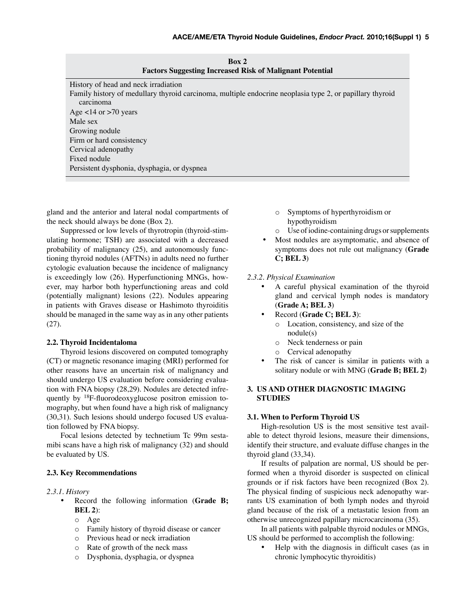| Box 2<br><b>Factors Suggesting Increased Risk of Malignant Potential</b>                                 |  |  |  |
|----------------------------------------------------------------------------------------------------------|--|--|--|
| History of head and neck irradiation                                                                     |  |  |  |
| Family history of medullary thyroid carcinoma, multiple endocrine neoplasia type 2, or papillary thyroid |  |  |  |
| carcinoma                                                                                                |  |  |  |
| Age $<$ 14 or $>$ 70 years                                                                               |  |  |  |
| Male sex                                                                                                 |  |  |  |
| Growing nodule                                                                                           |  |  |  |
| Firm or hard consistency                                                                                 |  |  |  |
| Cervical adenopathy                                                                                      |  |  |  |
| Fixed nodule                                                                                             |  |  |  |
| Persistent dysphonia, dysphagia, or dyspnea                                                              |  |  |  |
|                                                                                                          |  |  |  |

gland and the anterior and lateral nodal compartments of the neck should always be done (Box 2).

Suppressed or low levels of thyrotropin (thyroid-stimulating hormone; TSH) are associated with a decreased probability of malignancy (25), and autonomously functioning thyroid nodules (AFTNs) in adults need no further cytologic evaluation because the incidence of malignancy is exceedingly low (26). Hyperfunctioning MNGs, however, may harbor both hyperfunctioning areas and cold (potentially malignant) lesions (22). Nodules appearing in patients with Graves disease or Hashimoto thyroiditis should be managed in the same way as in any other patients (27).

### **2.2. Thyroid Incidentaloma**

Thyroid lesions discovered on computed tomography (CT) or magnetic resonance imaging (MRI) performed for other reasons have an uncertain risk of malignancy and should undergo US evaluation before considering evaluation with FNA biopsy (28,29). Nodules are detected infrequently by 18F‑fluorodeoxyglucose positron emission tomography, but when found have a high risk of malignancy (30,31). Such lesions should undergo focused US evaluation followed by FNA biopsy.

Focal lesions detected by technetium Tc 99m sestamibi scans have a high risk of malignancy (32) and should be evaluated by US.

### **2.3. Key Recommendations**

*2.3.1. History*

- Record the following information (Grade B; **BEL 2**):
	- $O$  Age
	- o Family history of thyroid disease or cancer
	- o Previous head or neck irradiation
	- o Rate of growth of the neck mass
	- o Dysphonia, dysphagia, or dyspnea
- o Symptoms of hyperthyroidism or hypothyroidism
- o Use of iodine-containing drugs or supplements
- Most nodules are asymptomatic, and absence of symptoms does not rule out malignancy (**Grade C; BEL 3**)

### *2.3.2. Physical Examination*

- A careful physical examination of the thyroid gland and cervical lymph nodes is mandatory (**Grade A; BEL 3**)
- Record (Grade C; BEL 3):
	- o Location, consistency, and size of the nodule(s)
	- o Neck tenderness or pain
	- o Cervical adenopathy
- The risk of cancer is similar in patients with a solitary nodule or with MNG (**Grade B; BEL 2**)

# **3. US AND OTHER DIAGNOSTIC IMAGING STUDIES**

### **3.1. When to Perform Thyroid US**

High-resolution US is the most sensitive test available to detect thyroid lesions, measure their dimensions, identify their structure, and evaluate diffuse changes in the thyroid gland (33,34).

If results of palpation are normal, US should be performed when a thyroid disorder is suspected on clinical grounds or if risk factors have been recognized (Box 2). The physical finding of suspicious neck adenopathy warrants US examination of both lymph nodes and thyroid gland because of the risk of a metastatic lesion from an otherwise unrecognized papillary microcarcinoma (35).

In all patients with palpable thyroid nodules or MNGs, US should be performed to accomplish the following:

• Help with the diagnosis in difficult cases (as in chronic lymphocytic thyroiditis)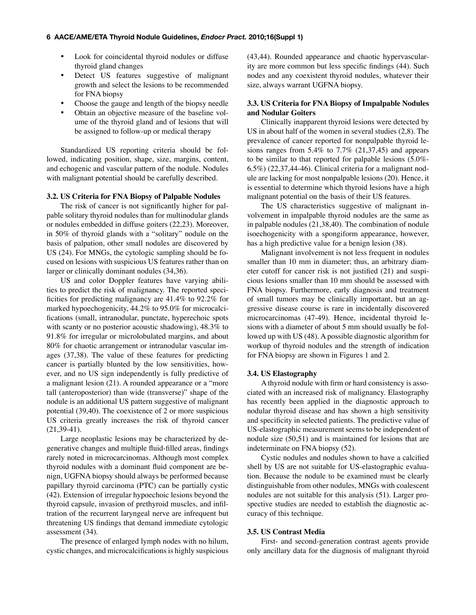- Look for coincidental thyroid nodules or diffuse thyroid gland changes
- Detect US features suggestive of malignant growth and select the lesions to be recommended for FNA biopsy
- Choose the gauge and length of the biopsy needle
- Obtain an objective measure of the baseline volume of the thyroid gland and of lesions that will be assigned to follow-up or medical therapy

Standardized US reporting criteria should be followed, indicating position, shape, size, margins, content, and echogenic and vascular pattern of the nodule. Nodules with malignant potential should be carefully described.

### **3.2. US Criteria for FNA Biopsy of Palpable Nodules**

The risk of cancer is not significantly higher for palpable solitary thyroid nodules than for multinodular glands or nodules embedded in diffuse goiters (22,23). Moreover, in 50% of thyroid glands with a "solitary" nodule on the basis of palpation, other small nodules are discovered by US (24). For MNGs, the cytologic sampling should be focused on lesions with suspicious US features rather than on larger or clinically dominant nodules (34,36).

US and color Doppler features have varying abilities to predict the risk of malignancy. The reported specificities for predicting malignancy are 41.4% to 92.2% for marked hypoechogenicity, 44.2% to 95.0% for microcalcifications (small, intranodular, punctate, hyperechoic spots with scanty or no posterior acoustic shadowing), 48.3% to 91.8% for irregular or microlobulated margins, and about 80% for chaotic arrangement or intranodular vascular images (37,38). The value of these features for predicting cancer is partially blunted by the low sensitivities, however, and no US sign independently is fully predictive of a malignant lesion (21). A rounded appearance or a "more tall (anteroposterior) than wide (transverse)" shape of the nodule is an additional US pattern suggestive of malignant potential (39,40). The coexistence of 2 or more suspicious US criteria greatly increases the risk of thyroid cancer (21,39-41).

Large neoplastic lesions may be characterized by degenerative changes and multiple fluid-filled areas, findings rarely noted in microcarcinomas. Although most complex thyroid nodules with a dominant fluid component are benign, UGFNA biopsy should always be performed because papillary thyroid carcinoma (PTC) can be partially cystic (42). Extension of irregular hypoechoic lesions beyond the thyroid capsule, invasion of prethyroid muscles, and infiltration of the recurrent laryngeal nerve are infrequent but threatening US findings that demand immediate cytologic assessment (34).

The presence of enlarged lymph nodes with no hilum, cystic changes, and microcalcifications is highly suspicious

(43,44). Rounded appearance and chaotic hypervascularity are more common but less specific findings (44). Such nodes and any coexistent thyroid nodules, whatever their size, always warrant UGFNA biopsy.

# **3.3. US Criteria for FNA Biopsy of Impalpable Nodules and Nodular Goiters**

Clinically inapparent thyroid lesions were detected by US in about half of the women in several studies (2,8). The prevalence of cancer reported for nonpalpable thyroid lesions ranges from 5.4% to 7.7% (21,37,45) and appears to be similar to that reported for palpable lesions (5.0%- 6.5%) (22,37,44-46). Clinical criteria for a malignant nodule are lacking for most nonpalpable lesions (20). Hence, it is essential to determine which thyroid lesions have a high malignant potential on the basis of their US features.

The US characteristics suggestive of malignant involvement in impalpable thyroid nodules are the same as in palpable nodules (21,38,40). The combination of nodule isoechogenicity with a spongiform appearance, however, has a high predictive value for a benign lesion (38).

Malignant involvement is not less frequent in nodules smaller than 10 mm in diameter; thus, an arbitrary diameter cutoff for cancer risk is not justified (21) and suspicious lesions smaller than 10 mm should be assessed with FNA biopsy. Furthermore, early diagnosis and treatment of small tumors may be clinically important, but an aggressive disease course is rare in incidentally discovered microcarcinomas (47‑49). Hence, incidental thyroid lesions with a diameter of about 5 mm should usually be followed up with US (48). A possible diagnostic algorithm for workup of thyroid nodules and the strength of indication for FNA biopsy are shown in Figures 1 and 2.

### **3.4. US Elastography**

A thyroid nodule with firm or hard consistency is associated with an increased risk of malignancy. Elastography has recently been applied in the diagnostic approach to nodular thyroid disease and has shown a high sensitivity and specificity in selected patients. The predictive value of US-elastographic measurement seems to be independent of nodule size (50,51) and is maintained for lesions that are indeterminate on FNA biopsy (52).

Cystic nodules and nodules shown to have a calcified shell by US are not suitable for US-elastographic evaluation. Because the nodule to be examined must be clearly distinguishable from other nodules, MNGs with coalescent nodules are not suitable for this analysis (51). Larger prospective studies are needed to establish the diagnostic accuracy of this technique.

#### **3.5. US Contrast Media**

First- and second-generation contrast agents provide only ancillary data for the diagnosis of malignant thyroid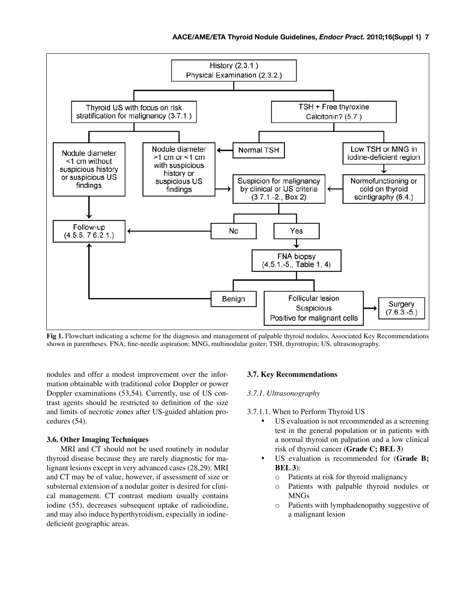

**Fig 1.** Flowchart indicating a scheme for the diagnosis and management of palpable thyroid nodules. Associated Key Recommendations shown in parentheses. FNA, fine-needle aspiration; MNG, multinodular goiter; TSH, thyrotropin; US, ultrasonography.

nodules and offer a modest improvement over the information obtainable with traditional color Doppler or power Doppler examinations (53,54). Currently, use of US contrast agents should be restricted to definition of the size and limits of necrotic zones after US-guided ablation procedures (54).

# **3.6. Other Imaging Techniques**

MRI and CT should not be used routinely in nodular thyroid disease because they are rarely diagnostic for malignant lesions except in very advanced cases (28,29). MRI and CT may be of value, however, if assessment of size or substernal extension of a nodular goiter is desired for clinical management. CT contrast medium usually contains iodine (55), decreases subsequent uptake of radioiodine, and may also induce hyperthyroidism, especially in iodinedeficient geographic areas.

#### **3.7. Key Recommendations**

### *3.7.1. Ultrasonography*

- 3.7.1.1. When to Perform Thyroid US
	- US evaluation is not recommended as a screening test in the general population or in patients with a normal thyroid on palpation and a low clinical risk of thyroid cancer (**Grade C; BEL 3**)
	- US evaluation is recommended for (Grade B; **BEL 3**):
		- o Patients at risk for thyroid malignancy
		- o Patients with palpable thyroid nodules or MNGs
		- o Patients with lymphadenopathy suggestive of a malignant lesion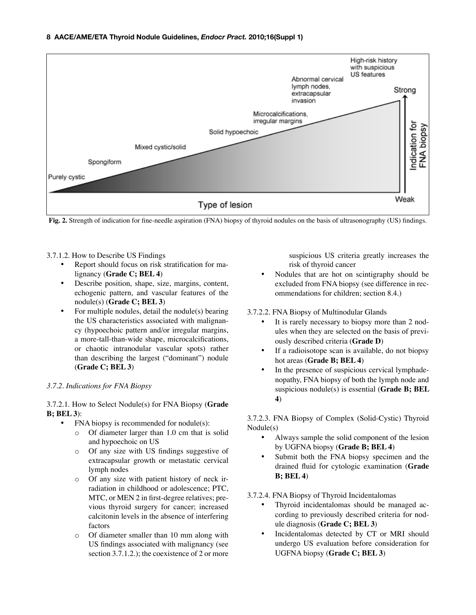### **8 AACE/AME/ETA Thyroid Nodule Guidelines,** *Endocr Pract.* **2010;16(Suppl 1)**



**Fig. 2.** Strength of indication for fine-needle aspiration (FNA) biopsy of thyroid nodules on the basis of ultrasonography (US) findings.

3.7.1.2. How to Describe US Findings

- Report should focus on risk stratification for malignancy (**Grade C; BEL 4**)
- • Describe position, shape, size, margins, content, echogenic pattern, and vascular features of the nodule(s) (**Grade C; BEL 3**)
- For multiple nodules, detail the nodule(s) bearing the US characteristics associated with malignancy (hypoechoic pattern and/or irregular margins, a more-tall-than-wide shape, microcalcifications, or chaotic intranodular vascular spots) rather than describing the largest ("dominant") nodule (**Grade C; BEL 3**)

### *3.7.2. Indications for FNA Biopsy*

### 3.7.2.1. How to Select Nodule(s) for FNA Biopsy (**Grade B; BEL 3**):

- $FNA$  biopsy is recommended for nodule $(s)$ :
	- o Of diameter larger than 1.0 cm that is solid and hypoechoic on US
	- o Of any size with US findings suggestive of extracapsular growth or metastatic cervical lymph nodes
	- o Of any size with patient history of neck irradiation in childhood or adolescence; PTC, MTC, or MEN 2 in first-degree relatives; previous thyroid surgery for cancer; increased calcitonin levels in the absence of interfering factors
	- o Of diameter smaller than 10 mm along with US findings associated with malignancy (see section 3.7.1.2.); the coexistence of 2 or more

suspicious US criteria greatly increases the risk of thyroid cancer

Nodules that are hot on scintigraphy should be excluded from FNA biopsy (see difference in recommendations for children; section 8.4.)

### 3.7.2.2. FNA Biopsy of Multinodular Glands

- It is rarely necessary to biopsy more than 2 nodules when they are selected on the basis of previously described criteria (**Grade D**)
- If a radioisotope scan is available, do not biopsy hot areas (**Grade B; BEL 4**)
- In the presence of suspicious cervical lymphadenopathy, FNA biopsy of both the lymph node and suspicious nodule(s) is essential (**Grade B; BEL 4**)

3.7.2.3. FNA Biopsy of Complex (Solid-Cystic) Thyroid Nodule(s)

- Always sample the solid component of the lesion by UGFNA biopsy (**Grade B; BEL 4**)
- Submit both the FNA biopsy specimen and the drained fluid for cytologic examination (**Grade B; BEL 4**)

## 3.7.2.4. FNA Biopsy of Thyroid Incidentalomas

- Thyroid incidentalomas should be managed according to previously described criteria for nodule diagnosis (**Grade C; BEL 3**)
- • Incidentalomas detected by CT or MRI should undergo US evaluation before consideration for UGFNA biopsy (**Grade C; BEL 3**)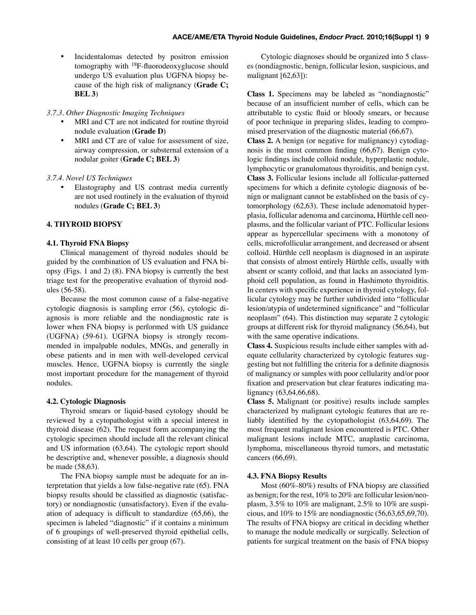Incidentalomas detected by positron emission tomography with  $^{18}F$ -fluorodeoxyglucose should undergo US evaluation plus UGFNA biopsy because of the high risk of malignancy (**Grade C; BEL 3**)

### *3.7.3. Other Diagnostic Imaging Techniques*

- MRI and CT are not indicated for routine thyroid nodule evaluation (**Grade D**)
- MRI and CT are of value for assessment of size, airway compression, or substernal extension of a nodular goiter (**Grade C; BEL 3**)

#### *3.7.4. Novel US Techniques*

Elastography and US contrast media currently are not used routinely in the evaluation of thyroid nodules (**Grade C; BEL 3**)

# **4. THYROID BIOPSY**

### **4.1. Thyroid FNA Biopsy**

Clinical management of thyroid nodules should be guided by the combination of US evaluation and FNA biopsy (Figs. 1 and 2) (8). FNA biopsy is currently the best triage test for the preoperative evaluation of thyroid nodules (56-58).

Because the most common cause of a false-negative cytologic diagnosis is sampling error (56), cytologic diagnosis is more reliable and the nondiagnostic rate is lower when FNA biopsy is performed with US guidance (UGFNA) (59-61). UGFNA biopsy is strongly recommended in impalpable nodules, MNGs, and generally in obese patients and in men with well-developed cervical muscles. Hence, UGFNA biopsy is currently the single most important procedure for the management of thyroid nodules.

### **4.2. Cytologic Diagnosis**

Thyroid smears or liquid-based cytology should be reviewed by a cytopathologist with a special interest in thyroid disease (62). The request form accompanying the cytologic specimen should include all the relevant clinical and US information (63,64). The cytologic report should be descriptive and, whenever possible, a diagnosis should be made (58,63).

The FNA biopsy sample must be adequate for an interpretation that yields a low false-negative rate (65). FNA biopsy results should be classified as diagnostic (satisfactory) or nondiagnostic (unsatisfactory). Even if the evaluation of adequacy is difficult to standardize (65,66), the specimen is labeled "diagnostic" if it contains a minimum of 6 groupings of well-preserved thyroid epithelial cells, consisting of at least 10 cells per group (67).

Cytologic diagnoses should be organized into 5 classes (nondiagnostic, benign, follicular lesion, suspicious, and malignant [62,63]):

**Class 1.** Specimens may be labeled as "nondiagnostic" because of an insufficient number of cells, which can be attributable to cystic fluid or bloody smears, or because of poor technique in preparing slides, leading to compromised preservation of the diagnostic material (66,67).

**Class 2.** A benign (or negative for malignancy) cytodiagnosis is the most common finding (66,67). Benign cytologic findings include colloid nodule, hyperplastic nodule, lymphocytic or granulomatous thyroiditis, and benign cyst. **Class 3.** Follicular lesions include all follicular-patterned specimens for which a definite cytologic diagnosis of benign or malignant cannot be established on the basis of cytomorphology (62,63). These include adenomatoid hyperplasia, follicular adenoma and carcinoma, Hürthle cell neoplasms, and the follicular variant of PTC. Follicular lesions appear as hypercellular specimens with a monotony of cells, microfollicular arrangement, and decreased or absent colloid. Hürthle cell neoplasm is diagnosed in an aspirate that consists of almost entirely Hürthle cells, usually with absent or scanty colloid, and that lacks an associated lymphoid cell population, as found in Hashimoto thyroiditis. In centers with specific experience in thyroid cytology, follicular cytology may be further subdivided into "follicular lesion/atypia of undetermined significance" and "follicular neoplasm" (64). This distinction may separate 2 cytologic groups at different risk for thyroid malignancy (56,64), but with the same operative indications.

**Class 4.** Suspicious results include either samples with adequate cellularity characterized by cytologic features suggesting but not fulfilling the criteria for a definite diagnosis of malignancy or samples with poor cellularity and/or poor fixation and preservation but clear features indicating malignancy (63,64,66,68).

**Class 5.** Malignant (or positive) results include samples characterized by malignant cytologic features that are reliably identified by the cytopathologist (63,64,69). The most frequent malignant lesion encountered is PTC. Other malignant lesions include MTC, anaplastic carcinoma, lymphoma, miscellaneous thyroid tumors, and metastatic cancers (66,69).

### **4.3. FNA Biopsy Results**

Most (60%-80%) results of FNA biopsy are classified as benign; for the rest, 10% to 20% are follicular lesion/neoplasm, 3.5% to 10% are malignant, 2.5% to 10% are suspicious, and 10% to 15% are nondiagnostic (56,63,65,69,70). The results of FNA biopsy are critical in deciding whether to manage the nodule medically or surgically. Selection of patients for surgical treatment on the basis of FNA biopsy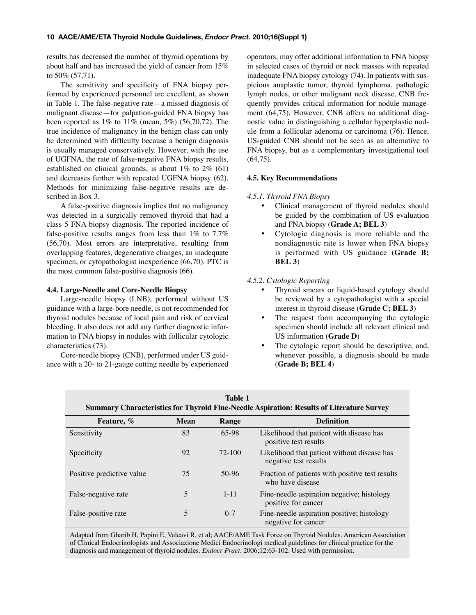results has decreased the number of thyroid operations by about half and has increased the yield of cancer from 15% to 50% (57,71).

The sensitivity and specificity of FNA biopsy performed by experienced personnel are excellent, as shown in Table 1. The false-negative rate—a missed diagnosis of malignant disease—for palpation-guided FNA biopsy has been reported as  $1\%$  to  $11\%$  (mean,  $5\%$ ) (56,70,72). The true incidence of malignancy in the benign class can only be determined with difficulty because a benign diagnosis is usually managed conservatively. However, with the use of UGFNA, the rate of false-negative FNA biopsy results, established on clinical grounds, is about 1% to 2% (61) and decreases further with repeated UGFNA biopsy (62). Methods for minimizing false-negative results are described in Box 3.

A false-positive diagnosis implies that no malignancy was detected in a surgically removed thyroid that had a class 5 FNA biopsy diagnosis. The reported incidence of false-positive results ranges from less than  $1\%$  to  $7.7\%$ (56,70). Most errors are interpretative, resulting from overlapping features, degenerative changes, an inadequate specimen, or cytopathologist inexperience (66,70). PTC is the most common false-positive diagnosis (66).

### **4.4. Large-Needle and Core-Needle Biopsy**

Large-needle biopsy (LNB), performed without US guidance with a large-bore needle, is not recommended for thyroid nodules because of local pain and risk of cervical bleeding. It also does not add any further diagnostic information to FNA biopsy in nodules with follicular cytologic characteristics (73).

Core-needle biopsy (CNB), performed under US guidance with a 20- to 21‑gauge cutting needle by experienced

operators, may offer additional information to FNA biopsy in selected cases of thyroid or neck masses with repeated inadequate FNA biopsy cytology (74). In patients with suspicious anaplastic tumor, thyroid lymphoma, pathologic lymph nodes, or other malignant neck disease, CNB frequently provides critical information for nodule management (64,75). However, CNB offers no additional diagnostic value in distinguishing a cellular hyperplastic nodule from a follicular adenoma or carcinoma (76). Hence, US-guided CNB should not be seen as an alternative to FNA biopsy, but as a complementary investigational tool (64,75).

### **4.5. Key Recommendations**

### *4.5.1. Thyroid FNA Biopsy*

- Clinical management of thyroid nodules should be guided by the combination of US evaluation and FNA biopsy (**Grade A; BEL 3**)
- Cytologic diagnosis is more reliable and the nondiagnostic rate is lower when FNA biopsy is performed with US guidance (**Grade B; BEL 3**)

### *4.5.2. Cytologic Reporting*

- Thyroid smears or liquid-based cytology should be reviewed by a cytopathologist with a special interest in thyroid disease (**Grade C; BEL 3**)
- The request form accompanying the cytologic specimen should include all relevant clinical and US information (**Grade D**)
- The cytologic report should be descriptive, and, whenever possible, a diagnosis should be made (**Grade B; BEL 4**)

| <b>Summary Characteristics for Thyroid Fine-Needle Aspiration: Results of Literature Survey</b> |      |          |                                                                      |  |  |
|-------------------------------------------------------------------------------------------------|------|----------|----------------------------------------------------------------------|--|--|
| Feature, %                                                                                      | Mean | Range    | <b>Definition</b>                                                    |  |  |
| Sensitivity                                                                                     | 83   | 65-98    | Likelihood that patient with disease has<br>positive test results    |  |  |
| Specificity                                                                                     | 92   | 72-100   | Likelihood that patient without disease has<br>negative test results |  |  |
| Positive predictive value                                                                       | 75   | $50-96$  | Fraction of patients with positive test results<br>who have disease  |  |  |
| False-negative rate                                                                             | 5    | $1 - 11$ | Fine-needle aspiration negative; histology<br>positive for cancer    |  |  |
| False-positive rate                                                                             | 5    | $0 - 7$  | Fine-needle aspiration positive; histology<br>negative for cancer    |  |  |

| <b>Table 1</b>                                                                           |  |
|------------------------------------------------------------------------------------------|--|
| Summary Characteristics for Thyroid Fine-Needle Aspiration: Results of Literature Survey |  |

Adapted from Gharib H, Papini E, Valcavi R, et al; AACE/AME Task Force on Thyroid Nodules. American Association of Clinical Endocrinologists and Associazione Medici Endocrinologi medical guidelines for clinical practice for the diagnosis and management of thyroid nodules. *Endocr Pract*. 2006;12:63-102. Used with permission.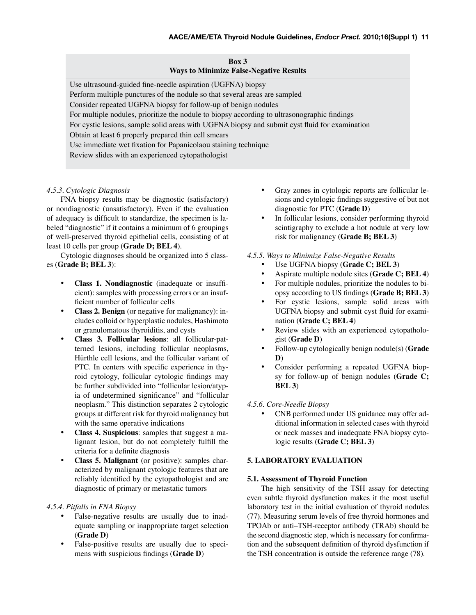# **Box 3 Ways to Minimize False-Negative Results**

Use ultrasound-guided fine-needle aspiration (UGFNA) biopsy Perform multiple punctures of the nodule so that several areas are sampled Consider repeated UGFNA biopsy for follow-up of benign nodules For multiple nodules, prioritize the nodule to biopsy according to ultrasonographic findings For cystic lesions, sample solid areas with UGFNA biopsy and submit cyst fluid for examination Obtain at least 6 properly prepared thin cell smears Use immediate wet fixation for Papanicolaou staining technique Review slides with an experienced cytopathologist

# *4.5.3. Cytologic Diagnosis*

FNA biopsy results may be diagnostic (satisfactory) or nondiagnostic (unsatisfactory). Even if the evaluation of adequacy is difficult to standardize, the specimen is labeled "diagnostic" if it contains a minimum of 6 groupings of well-preserved thyroid epithelial cells, consisting of at least 10 cells per group (**Grade D; BEL 4**).

Cytologic diagnoses should be organized into 5 classes (**Grade B; BEL 3**):

- **Class 1. Nondiagnostic** (inadequate or insufficient): samples with processing errors or an insufficient number of follicular cells
- **Class 2. Benign** (or negative for malignancy): includes colloid or hyperplastic nodules, Hashimoto or granulomatous thyroiditis, and cysts
- • **Class 3. Follicular lesions**: all follicular-patterned lesions, including follicular neoplasms, Hürthle cell lesions, and the follicular variant of PTC. In centers with specific experience in thyroid cytology, follicular cytologic findings may be further subdivided into "follicular lesion/atypia of undetermined significance" and "follicular neoplasm." This distinction separates 2 cytologic groups at different risk for thyroid malignancy but with the same operative indications
- • **Class 4. Suspicious**: samples that suggest a malignant lesion, but do not completely fulfill the criteria for a definite diagnosis
- **Class 5. Malignant** (or positive): samples characterized by malignant cytologic features that are reliably identified by the cytopathologist and are diagnostic of primary or metastatic tumors

# *4.5.4. Pitfalls in FNA Biopsy*

- False-negative results are usually due to inadequate sampling or inappropriate target selection (**Grade D**)
- False-positive results are usually due to specimens with suspicious findings (**Grade D**)
- • Gray zones in cytologic reports are follicular lesions and cytologic findings suggestive of but not diagnostic for PTC (**Grade D**)
- In follicular lesions, consider performing thyroid scintigraphy to exclude a hot nodule at very low risk for malignancy (**Grade B; BEL 3**)

# *4.5.5. Ways to Minimize False-Negative Results*

- Use UGFNA biopsy (Grade C; BEL 3)
- Aspirate multiple nodule sites (Grade C; BEL 4)
- For multiple nodules, prioritize the nodules to biopsy according to US findings (**Grade B; BEL 3**)
- For cystic lesions, sample solid areas with UGFNA biopsy and submit cyst fluid for examination (**Grade C; BEL 4**)
- Review slides with an experienced cytopathologist (**Grade D**)
- Follow-up cytologically benign nodule(s) (Grade **D**)
- Consider performing a repeated UGFNA biopsy for follow-up of benign nodules (**Grade C; BEL 3**)

# *4.5.6. Core-Needle Biopsy*

CNB performed under US guidance may offer additional information in selected cases with thyroid or neck masses and inadequate FNA biopsy cytologic results (**Grade C; BEL 3**)

# **5. LABORATORY EVALUATION**

### **5.1. Assessment of Thyroid Function**

The high sensitivity of the TSH assay for detecting even subtle thyroid dysfunction makes it the most useful laboratory test in the initial evaluation of thyroid nodules (77). Measuring serum levels of free thyroid hormones and TPOAb or anti–TSH-receptor antibody (TRAb) should be the second diagnostic step, which is necessary for confirmation and the subsequent definition of thyroid dysfunction if the TSH concentration is outside the reference range (78).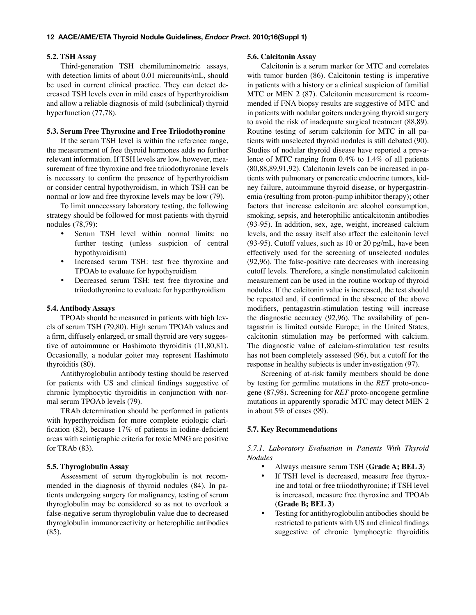#### **5.2. TSH Assay**

Third-generation TSH chemiluminometric assays, with detection limits of about 0.01 microunits/mL, should be used in current clinical practice. They can detect decreased TSH levels even in mild cases of hyperthyroidism and allow a reliable diagnosis of mild (subclinical) thyroid hyperfunction (77,78).

### **5.3. Serum Free Thyroxine and Free Triiodothyronine**

If the serum TSH level is within the reference range, the measurement of free thyroid hormones adds no further relevant information. If TSH levels are low, however, measurement of free thyroxine and free triiodothyronine levels is necessary to confirm the presence of hyperthyroidism or consider central hypothyroidism, in which TSH can be normal or low and free thyroxine levels may be low (79).

To limit unnecessary laboratory testing, the following strategy should be followed for most patients with thyroid nodules (78,79):

- Serum TSH level within normal limits: no further testing (unless suspicion of central hypothyroidism)
- Increased serum TSH: test free thyroxine and TPOAb to evaluate for hypothyroidism
- • Decreased serum TSH: test free thyroxine and triiodothyronine to evaluate for hyperthyroidism

#### **5.4. Antibody Assays**

TPOAb should be measured in patients with high levels of serum TSH (79,80). High serum TPOAb values and a firm, diffusely enlarged, or small thyroid are very suggestive of autoimmune or Hashimoto thyroiditis (11,80,81). Occasionally, a nodular goiter may represent Hashimoto thyroiditis (80).

Antithyroglobulin antibody testing should be reserved for patients with US and clinical findings suggestive of chronic lymphocytic thyroiditis in conjunction with normal serum TPOAb levels (79).

TRAb determination should be performed in patients with hyperthyroidism for more complete etiologic clarification (82), because 17% of patients in iodine-deficient areas with scintigraphic criteria for toxic MNG are positive for TRAb (83).

#### **5.5. Thyroglobulin Assay**

Assessment of serum thyroglobulin is not recommended in the diagnosis of thyroid nodules (84). In patients undergoing surgery for malignancy, testing of serum thyroglobulin may be considered so as not to overlook a false-negative serum thyroglobulin value due to decreased thyroglobulin immunoreactivity or heterophilic antibodies (85).

#### **5.6. Calcitonin Assay**

Calcitonin is a serum marker for MTC and correlates with tumor burden (86). Calcitonin testing is imperative in patients with a history or a clinical suspicion of familial MTC or MEN 2 (87). Calcitonin measurement is recommended if FNA biopsy results are suggestive of MTC and in patients with nodular goiters undergoing thyroid surgery to avoid the risk of inadequate surgical treatment (88,89). Routine testing of serum calcitonin for MTC in all patients with unselected thyroid nodules is still debated (90). Studies of nodular thyroid disease have reported a prevalence of MTC ranging from 0.4% to 1.4% of all patients (80,88,89,91,92). Calcitonin levels can be increased in patients with pulmonary or pancreatic endocrine tumors, kidney failure, autoimmune thyroid disease, or hypergastrinemia (resulting from proton-pump inhibitor therapy); other factors that increase calcitonin are alcohol consumption, smoking, sepsis, and heterophilic anticalcitonin antibodies (93-95). In addition, sex, age, weight, increased calcium levels, and the assay itself also affect the calcitonin level (93-95). Cutoff values, such as 10 or 20 pg/mL, have been effectively used for the screening of unselected nodules (92,96). The false-positive rate decreases with increasing cutoff levels. Therefore, a single nonstimulated calcitonin measurement can be used in the routine workup of thyroid nodules. If the calcitonin value is increased, the test should be repeated and, if confirmed in the absence of the above modifiers, pentagastrin-stimulation testing will increase the diagnostic accuracy (92,96). The availability of pentagastrin is limited outside Europe; in the United States, calcitonin stimulation may be performed with calcium. The diagnostic value of calcium-stimulation test results has not been completely assessed (96), but a cutoff for the response in healthy subjects is under investigation (97).

Screening of at-risk family members should be done by testing for germline mutations in the *RET* proto-oncogene (87,98). Screening for *RET* proto-oncogene germline mutations in apparently sporadic MTC may detect MEN 2 in about 5% of cases (99).

#### **5.7. Key Recommendations**

# *5.7.1. Laboratory Evaluation in Patients With Thyroid Nodules*

- Always measure serum TSH (**Grade A; BEL 3**)
- If TSH level is decreased, measure free thyroxine and total or free triiodothyronine; if TSH level is increased, measure free thyroxine and TPOAb (**Grade B; BEL 3**)
- Testing for antithyroglobulin antibodies should be restricted to patients with US and clinical findings suggestive of chronic lymphocytic thyroiditis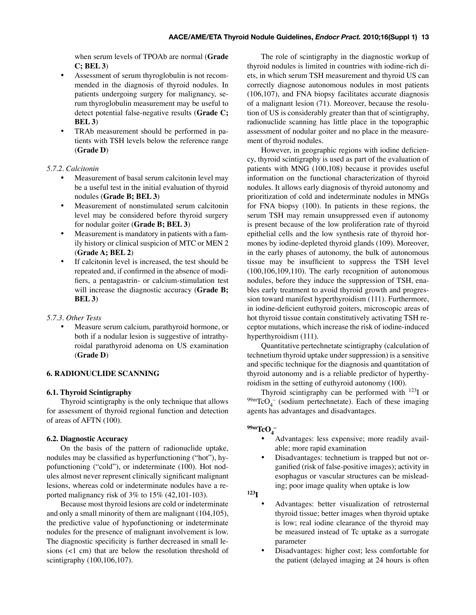when serum levels of TPOAb are normal (**Grade C; BEL 3**)

- • Assessment of serum thyroglobulin is not recommended in the diagnosis of thyroid nodules. In patients undergoing surgery for malignancy, serum thyroglobulin measurement may be useful to detect potential false-negative results (**Grade C; BEL 3**)
- TRAb measurement should be performed in patients with TSH levels below the reference range (**Grade D**)

### *5.7.2. Calcitonin*

- Measurement of basal serum calcitonin level may be a useful test in the initial evaluation of thyroid nodules (**Grade B; BEL 3**)
- Measurement of nonstimulated serum calcitonin level may be considered before thyroid surgery for nodular goiter (**Grade B; BEL 3**)
- Measurement is mandatory in patients with a family history or clinical suspicion of MTC or MEN 2 (**Grade A; BEL 2**)
- If calcitonin level is increased, the test should be repeated and, if confirmed in the absence of modifiers, a pentagastrin- or calcium-stimulation test will increase the diagnostic accuracy (**Grade B; BEL 3**)

#### *5.7.3. Other Tests*

Measure serum calcium, parathyroid hormone, or both if a nodular lesion is suggestive of intrathyroidal parathyroid adenoma on US examination (**Grade D**)

# **6. RADIONUCLIDE SCANNING**

# **6.1. Thyroid Scintigraphy**

Thyroid scintigraphy is the only technique that allows for assessment of thyroid regional function and detection of areas of AFTN (100).

### **6.2. Diagnostic Accuracy**

On the basis of the pattern of radionuclide uptake, nodules may be classified as hyperfunctioning ("hot"), hypofunctioning ("cold"), or indeterminate (100). Hot nodules almost never represent clinically significant malignant lesions, whereas cold or indeterminate nodules have a reported malignancy risk of 3% to 15% (42,101-103).

Because most thyroid lesions are cold or indeterminate and only a small minority of them are malignant (104,105), the predictive value of hypofunctioning or indeterminate nodules for the presence of malignant involvement is low. The diagnostic specificity is further decreased in small lesions (<1 cm) that are below the resolution threshold of scintigraphy (100,106,107).

The role of scintigraphy in the diagnostic workup of thyroid nodules is limited in countries with iodine-rich diets, in which serum TSH measurement and thyroid US can correctly diagnose autonomous nodules in most patients (106,107), and FNA biopsy facilitates accurate diagnosis of a malignant lesion (71). Moreover, because the resolution of US is considerably greater than that of scintigraphy, radionuclide scanning has little place in the topographic assessment of nodular goiter and no place in the measurement of thyroid nodules.

However, in geographic regions with iodine deficiency, thyroid scintigraphy is used as part of the evaluation of patients with MNG (100,108) because it provides useful information on the functional characterization of thyroid nodules. It allows early diagnosis of thyroid autonomy and prioritization of cold and indeterminate nodules in MNGs for FNA biopsy (100). In patients in these regions, the serum TSH may remain unsuppressed even if autonomy is present because of the low proliferation rate of thyroid epithelial cells and the low synthesis rate of thyroid hormones by iodine-depleted thyroid glands (109). Moreover, in the early phases of autonomy, the bulk of autonomous tissue may be insufficient to suppress the TSH level (100,106,109,110). The early recognition of autonomous nodules, before they induce the suppression of TSH, enables early treatment to avoid thyroid growth and progression toward manifest hyperthyroidism (111). Furthermore, in iodine-deficient euthyroid goiters, microscopic areas of hot thyroid tissue contain constitutively activating TSH receptor mutations, which increase the risk of iodine-induced hyperthyroidism (111).

Quantitative pertechnetate scintigraphy (calculation of technetium thyroid uptake under suppression) is a sensitive and specific technique for the diagnosis and quantitation of thyroid autonomy and is a reliable predictor of hyperthyroidism in the setting of euthyroid autonomy (100).

Thyroid scintigraphy can be performed with 123I or  $^{99m}$ TcO<sub>4</sub><sup>-</sup> (sodium pertechnetate). Each of these imaging agents has advantages and disadvantages.

# **99mTcO4 –**

- Advantages: less expensive; more readily available; more rapid examination
- Disadvantages: technetium is trapped but not organified (risk of false-positive images); activity in esophagus or vascular structures can be misleading; poor image quality when uptake is low

### **123I**

- Advantages: better visualization of retrosternal thyroid tissue; better images when thyroid uptake is low; real iodine clearance of the thyroid may be measured instead of Tc uptake as a surrogate parameter
- Disadvantages: higher cost; less comfortable for the patient (delayed imaging at 24 hours is often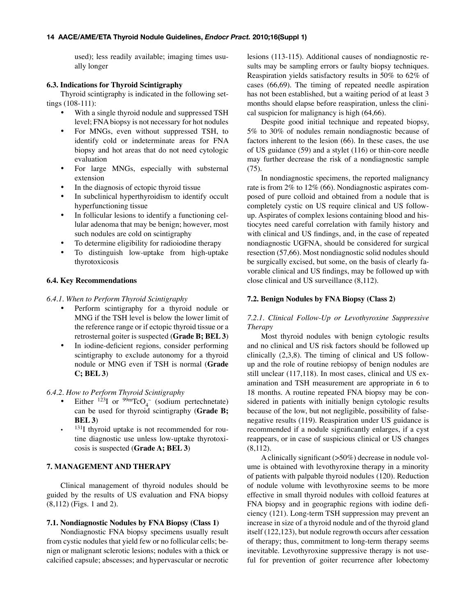used); less readily available; imaging times usually longer

# **6.3. Indications for Thyroid Scintigraphy**

Thyroid scintigraphy is indicated in the following settings (108-111):

- With a single thyroid nodule and suppressed TSH level; FNA biopsy is not necessary for hot nodules
- For MNGs, even without suppressed TSH, to identify cold or indeterminate areas for FNA biopsy and hot areas that do not need cytologic evaluation
- For large MNGs, especially with substernal extension
- In the diagnosis of ectopic thyroid tissue
- In subclinical hyperthyroidism to identify occult hyperfunctioning tissue
- In follicular lesions to identify a functioning cellular adenoma that may be benign; however, most such nodules are cold on scintigraphy
- To determine eligibility for radioiodine therapy
- To distinguish low-uptake from high-uptake thyrotoxicosis

### **6.4. Key Recommendations**

### *6.4.1. When to Perform Thyroid Scintigraphy*

- Perform scintigraphy for a thyroid nodule or MNG if the TSH level is below the lower limit of the reference range or if ectopic thyroid tissue or a retrosternal goiter is suspected (**Grade B; BEL 3**)
- • In iodine-deficient regions, consider performing scintigraphy to exclude autonomy for a thyroid nodule or MNG even if TSH is normal (**Grade C; BEL 3**)

### *6.4.2. How to Perform Thyroid Scintigraphy*

- Either  $^{123}I$  or  $^{99m}TcO_4^-$  (sodium pertechnetate) can be used for thyroid scintigraphy (**Grade B; BEL 3**)
- $\cdot$   $\frac{131}{}$  thyroid uptake is not recommended for routine diagnostic use unless low-uptake thyrotoxicosis is suspected (**Grade A; BEL 3**)

### **7. MANAGEMENT AND THERAPY**

Clinical management of thyroid nodules should be guided by the results of US evaluation and FNA biopsy (8,112) (Figs. 1 and 2).

### **7.1. Nondiagnostic Nodules by FNA Biopsy (Class 1)**

Nondiagnostic FNA biopsy specimens usually result from cystic nodules that yield few or no follicular cells; benign or malignant sclerotic lesions; nodules with a thick or calcified capsule; abscesses; and hypervascular or necrotic

lesions (113-115). Additional causes of nondiagnostic results may be sampling errors or faulty biopsy techniques. Reaspiration yields satisfactory results in 50% to 62% of cases (66,69). The timing of repeated needle aspiration has not been established, but a waiting period of at least 3 months should elapse before reaspiration, unless the clinical suspicion for malignancy is high (64,66).

Despite good initial technique and repeated biopsy, 5% to 30% of nodules remain nondiagnostic because of factors inherent to the lesion (66). In these cases, the use of US guidance (59) and a stylet (116) or thin-core needle may further decrease the risk of a nondiagnostic sample (75).

In nondiagnostic specimens, the reported malignancy rate is from 2% to 12% (66). Nondiagnostic aspirates composed of pure colloid and obtained from a nodule that is completely cystic on US require clinical and US followup. Aspirates of complex lesions containing blood and histiocytes need careful correlation with family history and with clinical and US findings, and, in the case of repeated nondiagnostic UGFNA, should be considered for surgical resection (57,66). Most nondiagnostic solid nodules should be surgically excised, but some, on the basis of clearly favorable clinical and US findings, may be followed up with close clinical and US surveillance (8,112).

### **7.2. Benign Nodules by FNA Biopsy (Class 2)**

# *7.2.1. Clinical Follow-Up or Levothyroxine Suppressive Therapy*

Most thyroid nodules with benign cytologic results and no clinical and US risk factors should be followed up clinically (2,3,8). The timing of clinical and US followup and the role of routine rebiopsy of benign nodules are still unclear (117,118). In most cases, clinical and US examination and TSH measurement are appropriate in 6 to 18 months. A routine repeated FNA biopsy may be considered in patients with initially benign cytologic results because of the low, but not negligible, possibility of falsenegative results (119). Reaspiration under US guidance is recommended if a nodule significantly enlarges, if a cyst reappears, or in case of suspicious clinical or US changes (8,112).

A clinically significant (>50%) decrease in nodule volume is obtained with levothyroxine therapy in a minority of patients with palpable thyroid nodules (120). Reduction of nodule volume with levothyroxine seems to be more effective in small thyroid nodules with colloid features at FNA biopsy and in geographic regions with iodine deficiency (121). Long-term TSH suppression may prevent an increase in size of a thyroid nodule and of the thyroid gland itself (122,123), but nodule regrowth occurs after cessation of therapy; thus, commitment to long-term therapy seems inevitable. Levothyroxine suppressive therapy is not useful for prevention of goiter recurrence after lobectomy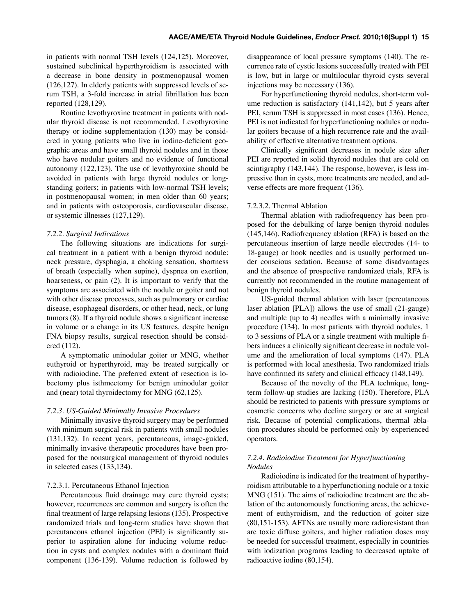in patients with normal TSH levels (124,125). Moreover, sustained subclinical hyperthyroidism is associated with a decrease in bone density in postmenopausal women (126,127). In elderly patients with suppressed levels of serum TSH, a 3-fold increase in atrial fibrillation has been reported (128,129).

Routine levothyroxine treatment in patients with nodular thyroid disease is not recommended. Levothyroxine therapy or iodine supplementation (130) may be considered in young patients who live in iodine-deficient geographic areas and have small thyroid nodules and in those who have nodular goiters and no evidence of functional autonomy (122,123). The use of levothyroxine should be avoided in patients with large thyroid nodules or longstanding goiters; in patients with low-normal TSH levels; in postmenopausal women; in men older than 60 years; and in patients with osteoporosis, cardiovascular disease, or systemic illnesses (127,129).

#### *7.2.2. Surgical Indications*

The following situations are indications for surgical treatment in a patient with a benign thyroid nodule: neck pressure, dysphagia, a choking sensation, shortness of breath (especially when supine), dyspnea on exertion, hoarseness, or pain (2). It is important to verify that the symptoms are associated with the nodule or goiter and not with other disease processes, such as pulmonary or cardiac disease, esophageal disorders, or other head, neck, or lung tumors (8). If a thyroid nodule shows a significant increase in volume or a change in its US features, despite benign FNA biopsy results, surgical resection should be considered (112).

A symptomatic uninodular goiter or MNG, whether euthyroid or hyperthyroid, may be treated surgically or with radioiodine. The preferred extent of resection is lobectomy plus isthmectomy for benign uninodular goiter and (near) total thyroidectomy for MNG (62,125).

#### *7.2.3. US-Guided Minimally Invasive Procedures*

Minimally invasive thyroid surgery may be performed with minimum surgical risk in patients with small nodules (131,132). In recent years, percutaneous, image-guided, minimally invasive therapeutic procedures have been proposed for the nonsurgical management of thyroid nodules in selected cases (133,134).

### 7.2.3.1. Percutaneous Ethanol Injection

Percutaneous fluid drainage may cure thyroid cysts; however, recurrences are common and surgery is often the final treatment of large relapsing lesions (135). Prospective randomized trials and long-term studies have shown that percutaneous ethanol injection (PEI) is significantly superior to aspiration alone for inducing volume reduction in cysts and complex nodules with a dominant fluid component (136-139). Volume reduction is followed by disappearance of local pressure symptoms (140). The recurrence rate of cystic lesions successfully treated with PEI is low, but in large or multilocular thyroid cysts several injections may be necessary (136).

For hyperfunctioning thyroid nodules, short-term volume reduction is satisfactory (141,142), but 5 years after PEI, serum TSH is suppressed in most cases (136). Hence, PEI is not indicated for hyperfunctioning nodules or nodular goiters because of a high recurrence rate and the availability of effective alternative treatment options.

Clinically significant decreases in nodule size after PEI are reported in solid thyroid nodules that are cold on scintigraphy (143,144). The response, however, is less impressive than in cysts, more treatments are needed, and adverse effects are more frequent (136).

### 7.2.3.2. Thermal Ablation

Thermal ablation with radiofrequency has been proposed for the debulking of large benign thyroid nodules (145,146). Radiofrequency ablation (RFA) is based on the percutaneous insertion of large needle electrodes (14- to 18-gauge) or hook needles and is usually performed under conscious sedation. Because of some disadvantages and the absence of prospective randomized trials, RFA is currently not recommended in the routine management of benign thyroid nodules.

US-guided thermal ablation with laser (percutaneous laser ablation [PLA]) allows the use of small (21-gauge) and multiple (up to 4) needles with a minimally invasive procedure (134). In most patients with thyroid nodules, 1 to 3 sessions of PLA or a single treatment with multiple fibers induces a clinically significant decrease in nodule volume and the amelioration of local symptoms (147). PLA is performed with local anesthesia. Two randomized trials have confirmed its safety and clinical efficacy (148,149).

Because of the novelty of the PLA technique, longterm follow-up studies are lacking (150). Therefore, PLA should be restricted to patients with pressure symptoms or cosmetic concerns who decline surgery or are at surgical risk. Because of potential complications, thermal ablation procedures should be performed only by experienced operators.

### *7.2.4. Radioiodine Treatment for Hyperfunctioning Nodules*

Radioiodine is indicated for the treatment of hyperthyroidism attributable to a hyperfunctioning nodule or a toxic MNG (151). The aims of radioiodine treatment are the ablation of the autonomously functioning areas, the achievement of euthyroidism, and the reduction of goiter size (80,151-153). AFTNs are usually more radioresistant than are toxic diffuse goiters, and higher radiation doses may be needed for successful treatment, especially in countries with iodization programs leading to decreased uptake of radioactive iodine (80,154).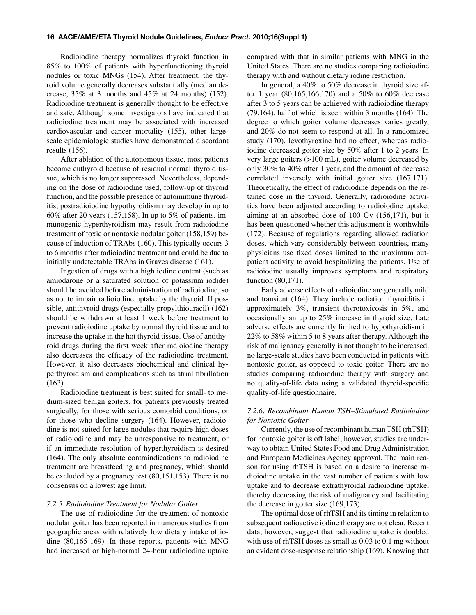Radioiodine therapy normalizes thyroid function in 85% to 100% of patients with hyperfunctioning thyroid nodules or toxic MNGs (154). After treatment, the thyroid volume generally decreases substantially (median decrease, 35% at 3 months and 45% at 24 months) (152). Radioiodine treatment is generally thought to be effective and safe. Although some investigators have indicated that radioiodine treatment may be associated with increased cardiovascular and cancer mortality (155), other largescale epidemiologic studies have demonstrated discordant results (156).

After ablation of the autonomous tissue, most patients become euthyroid because of residual normal thyroid tissue, which is no longer suppressed. Nevertheless, depending on the dose of radioiodine used, follow-up of thyroid function, and the possible presence of autoimmune thyroiditis, postradioiodine hypothyroidism may develop in up to 60% after 20 years (157,158). In up to 5% of patients, immunogenic hyperthyroidism may result from radioiodine treatment of toxic or nontoxic nodular goiter (158,159) because of induction of TRAbs (160). This typically occurs 3 to 6 months after radioiodine treatment and could be due to initially undetectable TRAbs in Graves disease (161).

Ingestion of drugs with a high iodine content (such as amiodarone or a saturated solution of potassium iodide) should be avoided before administration of radioiodine, so as not to impair radioiodine uptake by the thyroid. If possible, antithyroid drugs (especially propylthiouracil) (162) should be withdrawn at least 1 week before treatment to prevent radioiodine uptake by normal thyroid tissue and to increase the uptake in the hot thyroid tissue. Use of antithyroid drugs during the first week after radioiodine therapy also decreases the efficacy of the radioiodine treatment. However, it also decreases biochemical and clinical hyperthyroidism and complications such as atrial fibrillation (163).

Radioiodine treatment is best suited for small- to medium-sized benign goiters, for patients previously treated surgically, for those with serious comorbid conditions, or for those who decline surgery (164). However, radioiodine is not suited for large nodules that require high doses of radioiodine and may be unresponsive to treatment, or if an immediate resolution of hyperthyroidism is desired (164). The only absolute contraindications to radioiodine treatment are breastfeeding and pregnancy, which should be excluded by a pregnancy test (80,151,153). There is no consensus on a lowest age limit.

### *7.2.5. Radioiodine Treatment for Nodular Goiter*

The use of radioiodine for the treatment of nontoxic nodular goiter has been reported in numerous studies from geographic areas with relatively low dietary intake of iodine (80,165-169). In these reports, patients with MNG had increased or high-normal 24-hour radioiodine uptake compared with that in similar patients with MNG in the United States. There are no studies comparing radioiodine therapy with and without dietary iodine restriction.

In general, a 40% to 50% decrease in thyroid size after 1 year (80,165,166,170) and a 50% to 60% decrease after 3 to 5 years can be achieved with radioiodine therapy (79,164), half of which is seen within 3 months (164). The degree to which goiter volume decreases varies greatly, and 20% do not seem to respond at all. In a randomized study (170), levothyroxine had no effect, whereas radioiodine decreased goiter size by 50% after 1 to 2 years. In very large goiters (>100 mL), goiter volume decreased by only 30% to 40% after 1 year, and the amount of decrease correlated inversely with initial goiter size (167,171). Theoretically, the effect of radioiodine depends on the retained dose in the thyroid. Generally, radioiodine activities have been adjusted according to radioiodine uptake, aiming at an absorbed dose of 100 Gy (156,171), but it has been questioned whether this adjustment is worthwhile (172). Because of regulations regarding allowed radiation doses, which vary considerably between countries, many physicians use fixed doses limited to the maximum outpatient activity to avoid hospitalizing the patients. Use of radioiodine usually improves symptoms and respiratory function (80,171).

Early adverse effects of radioiodine are generally mild and transient (164). They include radiation thyroiditis in approximately 3%, transient thyrotoxicosis in 5%, and occasionally an up to 25% increase in thyroid size. Late adverse effects are currently limited to hypothyroidism in 22% to 58% within 5 to 8 years after therapy. Although the risk of malignancy generally is not thought to be increased, no large-scale studies have been conducted in patients with nontoxic goiter, as opposed to toxic goiter. There are no studies comparing radioiodine therapy with surgery and no quality-of-life data using a validated thyroid-specific quality-of-life questionnaire.

# *7.2.6. Recombinant Human TSH–Stimulated Radioiodine for Nontoxic Goiter*

Currently, the use of recombinant human TSH (rhTSH) for nontoxic goiter is off label; however, studies are underway to obtain United States Food and Drug Administration and European Medicines Agency approval. The main reason for using rhTSH is based on a desire to increase radioiodine uptake in the vast number of patients with low uptake and to decrease extrathyroidal radioiodine uptake, thereby decreasing the risk of malignancy and facilitating the decrease in goiter size (169,173).

The optimal dose of rhTSH and its timing in relation to subsequent radioactive iodine therapy are not clear. Recent data, however, suggest that radioiodine uptake is doubled with use of rhTSH doses as small as 0.03 to 0.1 mg without an evident dose-response relationship (169). Knowing that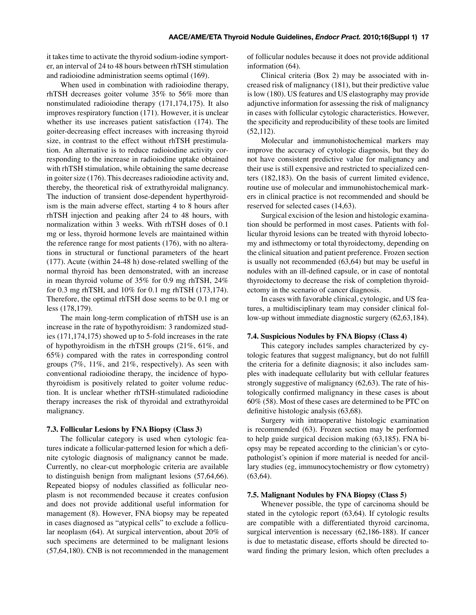it takes time to activate the thyroid sodium-iodine symporter, an interval of 24 to 48 hours between rhTSH stimulation and radioiodine administration seems optimal (169).

When used in combination with radioiodine therapy, rhTSH decreases goiter volume 35% to 56% more than nonstimulated radioiodine therapy (171,174,175). It also improves respiratory function (171). However, it is unclear whether its use increases patient satisfaction (174). The goiter-decreasing effect increases with increasing thyroid size, in contrast to the effect without rhTSH prestimulation. An alternative is to reduce radioiodine activity corresponding to the increase in radioiodine uptake obtained with rhTSH stimulation, while obtaining the same decrease in goiter size (176). This decreases radioiodine activity and, thereby, the theoretical risk of extrathyroidal malignancy. The induction of transient dose-dependent hyperthyroidism is the main adverse effect, starting 4 to 8 hours after rhTSH injection and peaking after 24 to 48 hours, with normalization within 3 weeks. With rhTSH doses of 0.1 mg or less, thyroid hormone levels are maintained within the reference range for most patients (176), with no alterations in structural or functional parameters of the heart (177). Acute (within 24-48 h) dose-related swelling of the normal thyroid has been demonstrated, with an increase in mean thyroid volume of 35% for 0.9 mg rhTSH, 24% for 0.3 mg rhTSH, and 10% for 0.1 mg rhTSH (173,174). Therefore, the optimal rhTSH dose seems to be 0.1 mg or less (178,179).

The main long-term complication of rhTSH use is an increase in the rate of hypothyroidism: 3 randomized studies (171,174,175) showed up to 5-fold increases in the rate of hypothyroidism in the rhTSH groups (21%, 61%, and 65%) compared with the rates in corresponding control groups (7%, 11%, and 21%, respectively). As seen with conventional radioiodine therapy, the incidence of hypothyroidism is positively related to goiter volume reduction. It is unclear whether rhTSH-stimulated radioiodine therapy increases the risk of thyroidal and extrathyroidal malignancy.

#### **7.3. Follicular Lesions by FNA Biopsy (Class 3)**

The follicular category is used when cytologic features indicate a follicular-patterned lesion for which a definite cytologic diagnosis of malignancy cannot be made. Currently, no clear-cut morphologic criteria are available to distinguish benign from malignant lesions (57,64,66). Repeated biopsy of nodules classified as follicular neoplasm is not recommended because it creates confusion and does not provide additional useful information for management (8). However, FNA biopsy may be repeated in cases diagnosed as "atypical cells" to exclude a follicular neoplasm (64). At surgical intervention, about 20% of such specimens are determined to be malignant lesions (57,64,180). CNB is not recommended in the management

of follicular nodules because it does not provide additional information (64).

Clinical criteria (Box 2) may be associated with increased risk of malignancy (181), but their predictive value is low (180). US features and US elastography may provide adjunctive information for assessing the risk of malignancy in cases with follicular cytologic characteristics. However, the specificity and reproducibility of these tools are limited (52,112).

Molecular and immunohistochemical markers may improve the accuracy of cytologic diagnosis, but they do not have consistent predictive value for malignancy and their use is still expensive and restricted to specialized centers (182,183). On the basis of current limited evidence, routine use of molecular and immunohistochemical markers in clinical practice is not recommended and should be reserved for selected cases (14,63).

Surgical excision of the lesion and histologic examination should be performed in most cases. Patients with follicular thyroid lesions can be treated with thyroid lobectomy and isthmectomy or total thyroidectomy, depending on the clinical situation and patient preference. Frozen section is usually not recommended (63,64) but may be useful in nodules with an ill-defined capsule, or in case of nontotal thyroidectomy to decrease the risk of completion thyroidectomy in the scenario of cancer diagnosis.

In cases with favorable clinical, cytologic, and US features, a multidisciplinary team may consider clinical follow-up without immediate diagnostic surgery (62,63,184).

### **7.4. Suspicious Nodules by FNA Biopsy (Class 4)**

This category includes samples characterized by cytologic features that suggest malignancy, but do not fulfill the criteria for a definite diagnosis; it also includes samples with inadequate cellularity but with cellular features strongly suggestive of malignancy (62,63). The rate of histologically confirmed malignancy in these cases is about 60% (58). Most of these cases are determined to be PTC on definitive histologic analysis (63,68).

Surgery with intraoperative histologic examination is recommended (63). Frozen section may be performed to help guide surgical decision making (63,185). FNA biopsy may be repeated according to the clinician's or cytopathologist's opinion if more material is needed for ancillary studies (eg, immunocytochemistry or flow cytometry)  $(63, 64)$ .

### **7.5. Malignant Nodules by FNA Biopsy (Class 5)**

Whenever possible, the type of carcinoma should be stated in the cytologic report (63,64). If cytologic results are compatible with a differentiated thyroid carcinoma, surgical intervention is necessary (62,186-188). If cancer is due to metastatic disease, efforts should be directed toward finding the primary lesion, which often precludes a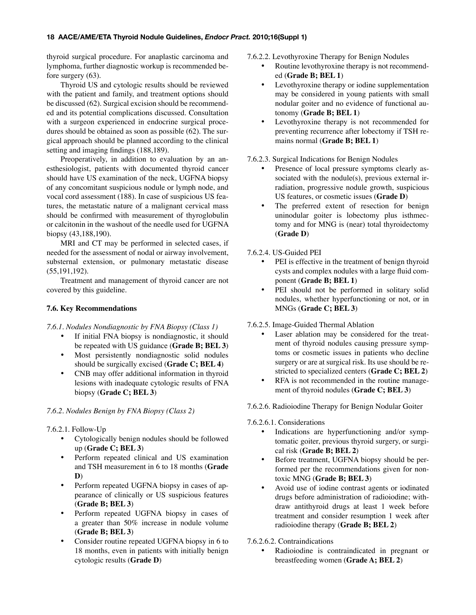thyroid surgical procedure. For anaplastic carcinoma and lymphoma, further diagnostic workup is recommended before surgery (63).

Thyroid US and cytologic results should be reviewed with the patient and family, and treatment options should be discussed (62). Surgical excision should be recommended and its potential complications discussed. Consultation with a surgeon experienced in endocrine surgical procedures should be obtained as soon as possible (62). The surgical approach should be planned according to the clinical setting and imaging findings (188,189).

Preoperatively, in addition to evaluation by an anesthesiologist, patients with documented thyroid cancer should have US examination of the neck, UGFNA biopsy of any concomitant suspicious nodule or lymph node, and vocal cord assessment (188). In case of suspicious US features, the metastatic nature of a malignant cervical mass should be confirmed with measurement of thyroglobulin or calcitonin in the washout of the needle used for UGFNA biopsy (43,188,190).

MRI and CT may be performed in selected cases, if needed for the assessment of nodal or airway involvement, substernal extension, or pulmonary metastatic disease (55,191,192).

Treatment and management of thyroid cancer are not covered by this guideline.

# **7.6. Key Recommendations**

*7.6.1. Nodules Nondiagnostic by FNA Biopsy (Class 1)*

- If initial FNA biopsy is nondiagnostic, it should be repeated with US guidance (**Grade B; BEL 3**)
- • Most persistently nondiagnostic solid nodules should be surgically excised (**Grade C; BEL 4**)
- CNB may offer additional information in thyroid lesions with inadequate cytologic results of FNA biopsy (**Grade C; BEL 3**)

# *7.6.2. Nodules Benign by FNA Biopsy (Class 2)*

7.6.2.1. Follow-Up

- • Cytologically benign nodules should be followed up (**Grade C; BEL 3**)
- Perform repeated clinical and US examination and TSH measurement in 6 to 18 months (**Grade D**)
- Perform repeated UGFNA biopsy in cases of appearance of clinically or US suspicious features (**Grade B; BEL 3**)
- Perform repeated UGFNA biopsy in cases of a greater than 50% increase in nodule volume (**Grade B; BEL 3**)
- Consider routine repeated UGFNA biopsy in 6 to 18 months, even in patients with initially benign cytologic results (**Grade D**)
- 7.6.2.2. Levothyroxine Therapy for Benign Nodules
	- Routine levothyroxine therapy is not recommended (**Grade B; BEL 1**)
	- • Levothyroxine therapy or iodine supplementation may be considered in young patients with small nodular goiter and no evidence of functional autonomy (**Grade B; BEL 1**)
	- Levothyroxine therapy is not recommended for preventing recurrence after lobectomy if TSH remains normal (**Grade B; BEL 1**)
- 7.6.2.3. Surgical Indications for Benign Nodules
	- Presence of local pressure symptoms clearly associated with the nodule(s), previous external irradiation, progressive nodule growth, suspicious US features, or cosmetic issues (**Grade D**)
	- The preferred extent of resection for benign uninodular goiter is lobectomy plus isthmectomy and for MNG is (near) total thyroidectomy (**Grade D**)

# 7.6.2.4. US-Guided PEI

- PEI is effective in the treatment of benign thyroid cysts and complex nodules with a large fluid component (**Grade B; BEL 1**)
- PEI should not be performed in solitary solid nodules, whether hyperfunctioning or not, or in MNGs (**Grade C; BEL 3**)

### 7.6.2.5. Image-Guided Thermal Ablation

- Laser ablation may be considered for the treatment of thyroid nodules causing pressure symptoms or cosmetic issues in patients who decline surgery or are at surgical risk. Its use should be restricted to specialized centers (**Grade C; BEL 2**)
- RFA is not recommended in the routine management of thyroid nodules (**Grade C; BEL 3**)

7.6.2.6. Radioiodine Therapy for Benign Nodular Goiter

### 7.6.2.6.1. Considerations

- Indications are hyperfunctioning and/or symptomatic goiter, previous thyroid surgery, or surgical risk (**Grade B; BEL 2**)
- Before treatment, UGFNA biopsy should be performed per the recommendations given for nontoxic MNG (**Grade B; BEL 3**)
- • Avoid use of iodine contrast agents or iodinated drugs before administration of radioiodine; withdraw antithyroid drugs at least 1 week before treatment and consider resumption 1 week after radioiodine therapy (**Grade B; BEL 2**)

# 7.6.2.6.2. Contraindications

Radioiodine is contraindicated in pregnant or breastfeeding women (**Grade A; BEL 2**)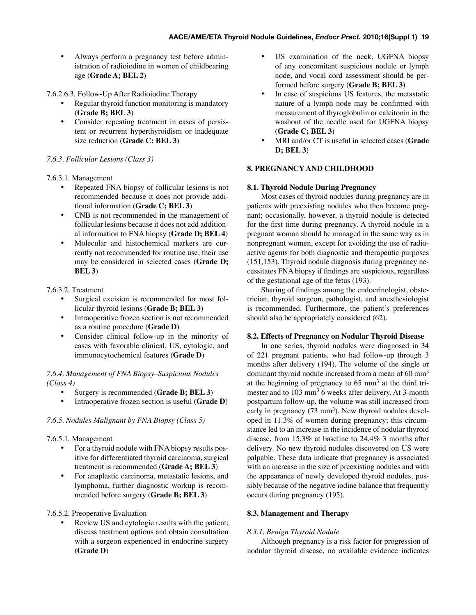Always perform a pregnancy test before administration of radioiodine in women of childbearing age (**Grade A; BEL 2**)

7.6.2.6.3. Follow-Up After Radioiodine Therapy

- Regular thyroid function monitoring is mandatory (**Grade B; BEL 3**)
- Consider repeating treatment in cases of persistent or recurrent hyperthyroidism or inadequate size reduction (**Grade C; BEL 3**)

# *7.6.3. Follicular Lesions (Class 3)*

### 7.6.3.1. Management

- Repeated FNA biopsy of follicular lesions is not recommended because it does not provide additional information (**Grade C; BEL 3**)
- CNB is not recommended in the management of follicular lesions because it does not add additional information to FNA biopsy (**Grade D; BEL 4**)
- • Molecular and histochemical markers are currently not recommended for routine use; their use may be considered in selected cases (**Grade D; BEL 3**)
- 7.6.3.2. Treatment
	- Surgical excision is recommended for most follicular thyroid lesions (**Grade B; BEL 3**)
	- Intraoperative frozen section is not recommended as a routine procedure (**Grade D**)
	- • Consider clinical follow-up in the minority of cases with favorable clinical, US, cytologic, and immunocytochemical features (**Grade D**)

*7.6.4. Management of FNA Biopsy–Suspicious Nodules (Class 4)*

- Surgery is recommended (Grade B; BEL 3)
- Intraoperative frozen section is useful (**Grade D**)

### *7.6.5. Nodules Malignant by FNA Biopsy (Class 5)*

- 7.6.5.1. Management
	- For a thyroid nodule with FNA biopsy results positive for differentiated thyroid carcinoma, surgical treatment is recommended (**Grade A; BEL 3**)
	- For anaplastic carcinoma, metastatic lesions, and lymphoma, further diagnostic workup is recommended before surgery (**Grade B; BEL 3**)

# 7.6.5.2. Preoperative Evaluation

Review US and cytologic results with the patient; discuss treatment options and obtain consultation with a surgeon experienced in endocrine surgery (**Grade D**)

- US examination of the neck, UGFNA biopsy of any concomitant suspicious nodule or lymph node, and vocal cord assessment should be performed before surgery (**Grade B; BEL 3**)
- In case of suspicious US features, the metastatic nature of a lymph node may be confirmed with measurement of thyroglobulin or calcitonin in the washout of the needle used for UGFNA biopsy (**Grade C; BEL 3**)
- MRI and/or CT is useful in selected cases (Grade **D; BEL 3**)

# **8. PREGNANCY AND CHILDHOOD**

# **8.1. Thyroid Nodule During Pregnancy**

Most cases of thyroid nodules during pregnancy are in patients with preexisting nodules who then become pregnant; occasionally, however, a thyroid nodule is detected for the first time during pregnancy. A thyroid nodule in a pregnant woman should be managed in the same way as in nonpregnant women, except for avoiding the use of radioactive agents for both diagnostic and therapeutic purposes (151,153). Thyroid nodule diagnosis during pregnancy necessitates FNA biopsy if findings are suspicious, regardless of the gestational age of the fetus (193).

Sharing of findings among the endocrinologist, obstetrician, thyroid surgeon, pathologist, and anesthesiologist is recommended. Furthermore, the patient's preferences should also be appropriately considered (62).

### **8.2. Effects of Pregnancy on Nodular Thyroid Disease**

In one series, thyroid nodules were diagnosed in 34 of 221 pregnant patients, who had follow-up through 3 months after delivery (194). The volume of the single or dominant thyroid nodule increased from a mean of  $60 \text{ mm}^3$ at the beginning of pregnancy to  $65 \text{ mm}^3$  at the third trimester and to 103 mm<sup>3</sup> 6 weeks after delivery. At 3-month postpartum follow-up, the volume was still increased from early in pregnancy  $(73 \text{ mm}^3)$ . New thyroid nodules developed in 11.3% of women during pregnancy; this circumstance led to an increase in the incidence of nodular thyroid disease, from 15.3% at baseline to 24.4% 3 months after delivery. No new thyroid nodules discovered on US were palpable. These data indicate that pregnancy is associated with an increase in the size of preexisting nodules and with the appearance of newly developed thyroid nodules, possibly because of the negative iodine balance that frequently occurs during pregnancy (195).

### **8.3. Management and Therapy**

### *8.3.1. Benign Thyroid Nodule*

Although pregnancy is a risk factor for progression of nodular thyroid disease, no available evidence indicates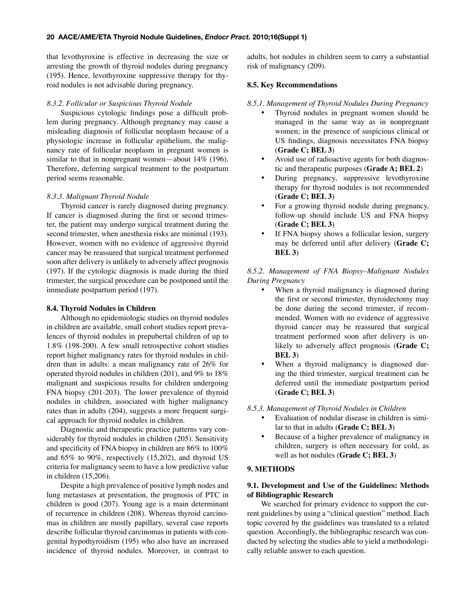that levothyroxine is effective in decreasing the size or arresting the growth of thyroid nodules during pregnancy (195). Hence, levothyroxine suppressive therapy for thyroid nodules is not advisable during pregnancy.

### *8.3.2. Follicular or Suspicious Thyroid Nodule*

Suspicious cytologic findings pose a difficult problem during pregnancy. Although pregnancy may cause a misleading diagnosis of follicular neoplasm because of a physiologic increase in follicular epithelium, the malignancy rate of follicular neoplasm in pregnant women is similar to that in nonpregnant women—about 14% (196). Therefore, deferring surgical treatment to the postpartum period seems reasonable.

### *8.3.3. Malignant Thyroid Nodule*

Thyroid cancer is rarely diagnosed during pregnancy. If cancer is diagnosed during the first or second trimester, the patient may undergo surgical treatment during the second trimester, when anesthesia risks are minimal (193). However, women with no evidence of aggressive thyroid cancer may be reassured that surgical treatment performed soon after delivery is unlikely to adversely affect prognosis (197). If the cytologic diagnosis is made during the third trimester, the surgical procedure can be postponed until the immediate postpartum period (197).

#### **8.4. Thyroid Nodules in Children**

Although no epidemiologic studies on thyroid nodules in children are available, small cohort studies report prevalences of thyroid nodules in prepubertal children of up to 1.8% (198-200). A few small retrospective cohort studies report higher malignancy rates for thyroid nodules in children than in adults: a mean malignancy rate of 26% for operated thyroid nodules in children (201), and 9% to 18% malignant and suspicious results for children undergoing FNA biopsy (201-203). The lower prevalence of thyroid nodules in children, associated with higher malignancy rates than in adults (204), suggests a more frequent surgical approach for thyroid nodules in children.

Diagnostic and therapeutic practice patterns vary considerably for thyroid nodules in children (205). Sensitivity and specificity of FNA biopsy in children are 86% to 100% and 65% to 90%, respectively (15,202), and thyroid US criteria for malignancy seem to have a low predictive value in children (15,206).

Despite a high prevalence of positive lymph nodes and lung metastases at presentation, the prognosis of PTC in children is good (207). Young age is a main determinant of recurrence in children (208). Whereas thyroid carcinomas in children are mostly papillary, several case reports describe follicular thyroid carcinomas in patients with congenital hypothyroidism (195) who also have an increased incidence of thyroid nodules. Moreover, in contrast to adults, hot nodules in children seem to carry a substantial risk of malignancy (209).

### **8.5. Key Recommendations**

- *8.5.1. Management of Thyroid Nodules During Pregnancy*
	- Thyroid nodules in pregnant women should be managed in the same way as in nonpregnant women; in the presence of suspicious clinical or US findings, diagnosis necessitates FNA biopsy (**Grade C; BEL 3**)
	- Avoid use of radioactive agents for both diagnostic and therapeutic purposes (**Grade A; BEL 2**)
	- During pregnancy, suppressive levothyroxine therapy for thyroid nodules is not recommended (**Grade C; BEL 3**)
	- For a growing thyroid nodule during pregnancy, follow-up should include US and FNA biopsy (**Grade C; BEL 3**)
	- If FNA biopsy shows a follicular lesion, surgery may be deferred until after delivery (**Grade C; BEL 3**)

# *8.5.2. Management of FNA Biopsy–Malignant Nodules During Pregnancy*

- When a thyroid malignancy is diagnosed during the first or second trimester, thyroidectomy may be done during the second trimester, if recommended. Women with no evidence of aggressive thyroid cancer may be reassured that surgical treatment performed soon after delivery is unlikely to adversely affect prognosis (**Grade C; BEL 3**)
- When a thyroid malignancy is diagnosed during the third trimester, surgical treatment can be deferred until the immediate postpartum period (**Grade C; BEL 3**)

#### *8.5.3. Management of Thyroid Nodules in Children*

- Evaluation of nodular disease in children is similar to that in adults (**Grade C; BEL 3**)
- • Because of a higher prevalence of malignancy in children, surgery is often necessary for cold, as well as hot nodules (**Grade C; BEL 3**)

### **9. METHODS**

### **9.1. Development and Use of the Guidelines: Methods of Bibliographic Research**

We searched for primary evidence to support the current guidelines by using a "clinical question" method. Each topic covered by the guidelines was translated to a related question. Accordingly, the bibliographic research was conducted by selecting the studies able to yield a methodologically reliable answer to each question.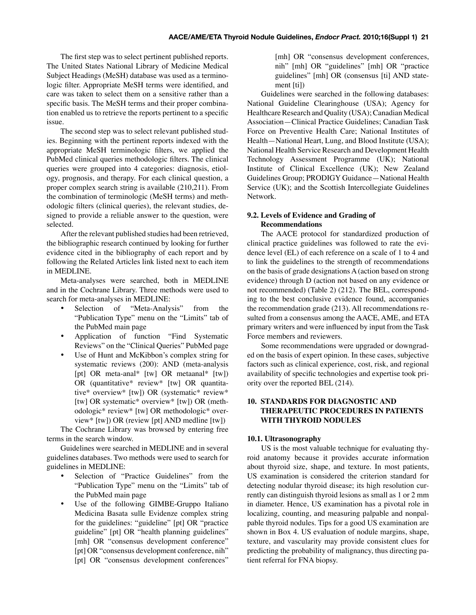The first step was to select pertinent published reports. The United States National Library of Medicine Medical Subject Headings (MeSH) database was used as a terminologic filter. Appropriate MeSH terms were identified, and care was taken to select them on a sensitive rather than a specific basis. The MeSH terms and their proper combination enabled us to retrieve the reports pertinent to a specific issue.

The second step was to select relevant published studies. Beginning with the pertinent reports indexed with the appropriate MeSH terminologic filters, we applied the PubMed clinical queries methodologic filters. The clinical queries were grouped into 4 categories: diagnosis, etiology, prognosis, and therapy. For each clinical question, a proper complex search string is available (210,211). From the combination of terminologic (MeSH terms) and methodologic filters (clinical queries), the relevant studies, designed to provide a reliable answer to the question, were selected.

After the relevant published studies had been retrieved, the bibliographic research continued by looking for further evidence cited in the bibliography of each report and by following the Related Articles link listed next to each item in MEDLINE.

Meta-analyses were searched, both in MEDLINE and in the Cochrane Library. Three methods were used to search for meta-analyses in MEDLINE:

- Selection of "Meta-Analysis" from the "Publication Type" menu on the "Limits" tab of the PubMed main page
- Application of function "Find Systematic Reviews" on the "Clinical Queries" PubMed page
- Use of Hunt and McKibbon's complex string for systematic reviews (200): AND (meta-analysis [pt] OR meta-anal\* [tw] OR metaanal\* [tw]) OR (quantitative\* review\* [tw] OR quantitative\* overview\* [tw]) OR (systematic\* review\* [tw] OR systematic\* overview\* [tw]) OR (methodologic\* review\* [tw] OR methodologic\* overview\* [tw]) OR (review [pt] AND medline [tw])

The Cochrane Library was browsed by entering free terms in the search window.

Guidelines were searched in MEDLINE and in several guidelines databases. Two methods were used to search for guidelines in MEDLINE:

- Selection of "Practice Guidelines" from the "Publication Type" menu on the "Limits" tab of the PubMed main page
- • Use of the following GIMBE-Gruppo Italiano Medicina Basata sulle Evidenze complex string for the guidelines: "guideline" [pt] OR "practice guideline" [pt] OR "health planning guidelines" [mh] OR "consensus development conference" [pt] OR "consensus development conference, nih" [pt] OR "consensus development conferences"

[mh] OR "consensus development conferences, nih" [mh] OR "guidelines" [mh] OR "practice guidelines" [mh] OR (consensus [ti] AND statement [ti])

Guidelines were searched in the following databases: National Guideline Clearinghouse (USA); Agency for Healthcare Research and Quality (USA); Canadian Medical Association—Clinical Practice Guidelines; Canadian Task Force on Preventive Health Care; National Institutes of Health—National Heart, Lung, and Blood Institute (USA); National Health Service Research and Development Health Technology Assessment Programme (UK); National Institute of Clinical Excellence (UK); New Zealand Guidelines Group; PRODIGY Guidance—National Health Service (UK); and the Scottish Intercollegiate Guidelines Network.

# **9.2. Levels of Evidence and Grading of Recommendations**

The AACE protocol for standardized production of clinical practice guidelines was followed to rate the evidence level (EL) of each reference on a scale of 1 to 4 and to link the guidelines to the strength of recommendations on the basis of grade designations A (action based on strong evidence) through D (action not based on any evidence or not recommended) (Table 2) (212). The BEL, corresponding to the best conclusive evidence found, accompanies the recommendation grade (213). All recommendations resulted from a consensus among the AACE, AME, and ETA primary writers and were influenced by input from the Task Force members and reviewers.

Some recommendations were upgraded or downgraded on the basis of expert opinion. In these cases, subjective factors such as clinical experience, cost, risk, and regional availability of specific technologies and expertise took priority over the reported BEL (214).

# **10. STANDARDS FOR DIAGNOSTIC AND THERAPEUTIC PROCEDURES IN PATIENTS WITH THYROID NODULES**

### **10.1. Ultrasonography**

US is the most valuable technique for evaluating thyroid anatomy because it provides accurate information about thyroid size, shape, and texture. In most patients, US examination is considered the criterion standard for detecting nodular thyroid disease; its high resolution currently can distinguish thyroid lesions as small as 1 or 2 mm in diameter. Hence, US examination has a pivotal role in localizing, counting, and measuring palpable and nonpalpable thyroid nodules. Tips for a good US examination are shown in Box 4. US evaluation of nodule margins, shape, texture, and vascularity may provide consistent clues for predicting the probability of malignancy, thus directing patient referral for FNA biopsy.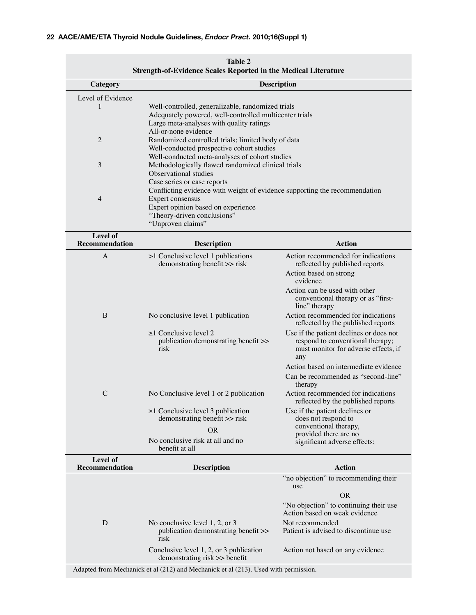| <b>Table 2</b><br><b>Strength-of-Evidence Scales Reported in the Medical Literature</b> |                                                                                                                                                                                                                                                                                                                                                                                                                                                                |                                                                                                                                                                                                 |  |  |  |  |
|-----------------------------------------------------------------------------------------|----------------------------------------------------------------------------------------------------------------------------------------------------------------------------------------------------------------------------------------------------------------------------------------------------------------------------------------------------------------------------------------------------------------------------------------------------------------|-------------------------------------------------------------------------------------------------------------------------------------------------------------------------------------------------|--|--|--|--|
| Category                                                                                |                                                                                                                                                                                                                                                                                                                                                                                                                                                                | <b>Description</b>                                                                                                                                                                              |  |  |  |  |
| Level of Evidence<br>1                                                                  | Well-controlled, generalizable, randomized trials<br>Adequately powered, well-controlled multicenter trials<br>Large meta-analyses with quality ratings                                                                                                                                                                                                                                                                                                        |                                                                                                                                                                                                 |  |  |  |  |
| $\overline{2}$<br>3                                                                     | All-or-none evidence<br>Randomized controlled trials; limited body of data<br>Well-conducted prospective cohort studies<br>Well-conducted meta-analyses of cohort studies<br>Methodologically flawed randomized clinical trials<br>Observational studies<br>Case series or case reports<br>Conflicting evidence with weight of evidence supporting the recommendation<br>Expert consensus<br>Expert opinion based on experience<br>"Theory-driven conclusions" |                                                                                                                                                                                                 |  |  |  |  |
| $\overline{4}$                                                                          |                                                                                                                                                                                                                                                                                                                                                                                                                                                                |                                                                                                                                                                                                 |  |  |  |  |
|                                                                                         | "Unproven claims"                                                                                                                                                                                                                                                                                                                                                                                                                                              |                                                                                                                                                                                                 |  |  |  |  |
| Level of<br><b>Recommendation</b>                                                       | <b>Description</b>                                                                                                                                                                                                                                                                                                                                                                                                                                             | <b>Action</b>                                                                                                                                                                                   |  |  |  |  |
| A                                                                                       | >1 Conclusive level 1 publications<br>demonstrating benefit >> risk                                                                                                                                                                                                                                                                                                                                                                                            | Action recommended for indications<br>reflected by published reports<br>Action based on strong<br>evidence<br>Action can be used with other<br>conventional therapy or as "first-               |  |  |  |  |
| B                                                                                       | No conclusive level 1 publication<br>$\geq$ 1 Conclusive level 2                                                                                                                                                                                                                                                                                                                                                                                               | line" therapy<br>Action recommended for indications<br>reflected by the published reports<br>Use if the patient declines or does not                                                            |  |  |  |  |
|                                                                                         | publication demonstrating benefit >><br>risk                                                                                                                                                                                                                                                                                                                                                                                                                   | respond to conventional therapy;<br>must monitor for adverse effects, if<br>any<br>Action based on intermediate evidence<br>Can be recommended as "second-line"                                 |  |  |  |  |
| $\mathcal{C}$                                                                           | No Conclusive level 1 or 2 publication                                                                                                                                                                                                                                                                                                                                                                                                                         | therapy<br>Action recommended for indications<br>reflected by the published reports                                                                                                             |  |  |  |  |
|                                                                                         | $\geq$ 1 Conclusive level 3 publication<br>demonstrating benefit >> risk<br><b>OR</b><br>No conclusive risk at all and no<br>benefit at all                                                                                                                                                                                                                                                                                                                    | Use if the patient declines or<br>does not respond to<br>conventional therapy,<br>provided there are no<br>significant adverse effects;                                                         |  |  |  |  |
| Level of<br>Recommendation                                                              | <b>Description</b>                                                                                                                                                                                                                                                                                                                                                                                                                                             | <b>Action</b>                                                                                                                                                                                   |  |  |  |  |
| D                                                                                       | No conclusive level 1, 2, or 3<br>publication demonstrating benefit >><br>risk                                                                                                                                                                                                                                                                                                                                                                                 | "no objection" to recommending their<br>use<br><b>OR</b><br>"No objection" to continuing their use<br>Action based on weak evidence<br>Not recommended<br>Patient is advised to discontinue use |  |  |  |  |
|                                                                                         | Conclusive level 1, 2, or 3 publication<br>demonstrating risk >> benefit                                                                                                                                                                                                                                                                                                                                                                                       | Action not based on any evidence                                                                                                                                                                |  |  |  |  |
|                                                                                         | Adapted from Mechanick et al (212) and Mechanick et al (213). Used with permission.                                                                                                                                                                                                                                                                                                                                                                            |                                                                                                                                                                                                 |  |  |  |  |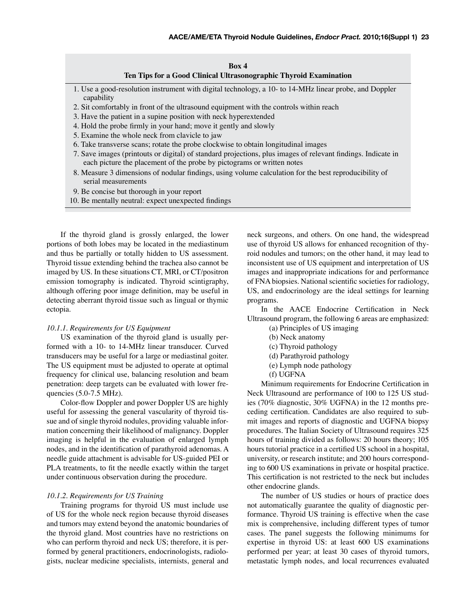**Box 4 Ten Tips for a Good Clinical Ultrasonographic Thyroid Examination**

- 1. Use a good-resolution instrument with digital technology, a 10- to 14-MHz linear probe, and Doppler capability
- 2. Sit comfortably in front of the ultrasound equipment with the controls within reach
- 3. Have the patient in a supine position with neck hyperextended
- 4. Hold the probe firmly in your hand; move it gently and slowly
- 5. Examine the whole neck from clavicle to jaw
- 6. Take transverse scans; rotate the probe clockwise to obtain longitudinal images
- 7. Save images (printouts or digital) of standard projections, plus images of relevant findings. Indicate in each picture the placement of the probe by pictograms or written notes
- 8. Measure 3 dimensions of nodular findings, using volume calculation for the best reproducibility of serial measurements
- 9. Be concise but thorough in your report
- 10. Be mentally neutral: expect unexpected findings

If the thyroid gland is grossly enlarged, the lower portions of both lobes may be located in the mediastinum and thus be partially or totally hidden to US assessment. Thyroid tissue extending behind the trachea also cannot be imaged by US. In these situations CT, MRI, or CT/positron emission tomography is indicated. Thyroid scintigraphy, although offering poor image definition, may be useful in detecting aberrant thyroid tissue such as lingual or thymic ectopia.

#### *10.1.1. Requirements for US Equipment*

US examination of the thyroid gland is usually performed with a 10- to 14‑MHz linear transducer. Curved transducers may be useful for a large or mediastinal goiter. The US equipment must be adjusted to operate at optimal frequency for clinical use, balancing resolution and beam penetration: deep targets can be evaluated with lower frequencies (5.0-7.5 MHz).

Color-flow Doppler and power Doppler US are highly useful for assessing the general vascularity of thyroid tissue and of single thyroid nodules, providing valuable information concerning their likelihood of malignancy. Doppler imaging is helpful in the evaluation of enlarged lymph nodes, and in the identification of parathyroid adenomas. A needle guide attachment is advisable for US-guided PEI or PLA treatments, to fit the needle exactly within the target under continuous observation during the procedure.

### *10.1.2. Requirements for US Training*

Training programs for thyroid US must include use of US for the whole neck region because thyroid diseases and tumors may extend beyond the anatomic boundaries of the thyroid gland. Most countries have no restrictions on who can perform thyroid and neck US; therefore, it is performed by general practitioners, endocrinologists, radiologists, nuclear medicine specialists, internists, general and

neck surgeons, and others. On one hand, the widespread use of thyroid US allows for enhanced recognition of thyroid nodules and tumors; on the other hand, it may lead to inconsistent use of US equipment and interpretation of US images and inappropriate indications for and performance of FNA biopsies. National scientific societies for radiology, US, and endocrinology are the ideal settings for learning programs.

In the AACE Endocrine Certification in Neck Ultrasound program, the following 6 areas are emphasized:

- (a) Principles of US imaging
- (b) Neck anatomy
- (c) Thyroid pathology
- (d) Parathyroid pathology
- (e) Lymph node pathology
- (f) UGFNA

Minimum requirements for Endocrine Certification in Neck Ultrasound are performance of 100 to 125 US studies (70% diagnostic, 30% UGFNA) in the 12 months preceding certification. Candidates are also required to submit images and reports of diagnostic and UGFNA biopsy procedures. The Italian Society of Ultrasound requires 325 hours of training divided as follows: 20 hours theory; 105 hours tutorial practice in a certified US school in a hospital, university, or research institute; and 200 hours corresponding to 600 US examinations in private or hospital practice. This certification is not restricted to the neck but includes other endocrine glands.

The number of US studies or hours of practice does not automatically guarantee the quality of diagnostic performance. Thyroid US training is effective when the case mix is comprehensive, including different types of tumor cases. The panel suggests the following minimums for expertise in thyroid US: at least 600 US examinations performed per year; at least 30 cases of thyroid tumors, metastatic lymph nodes, and local recurrences evaluated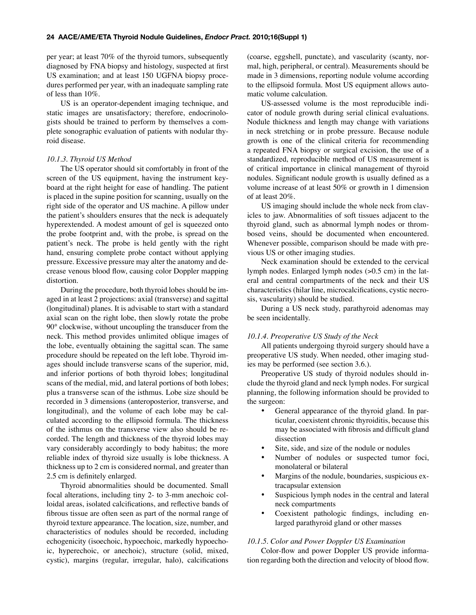per year; at least 70% of the thyroid tumors, subsequently diagnosed by FNA biopsy and histology, suspected at first US examination; and at least 150 UGFNA biopsy procedures performed per year, with an inadequate sampling rate of less than 10%.

US is an operator-dependent imaging technique, and static images are unsatisfactory; therefore, endocrinologists should be trained to perform by themselves a complete sonographic evaluation of patients with nodular thyroid disease.

#### *10.1.3. Thyroid US Method*

The US operator should sit comfortably in front of the screen of the US equipment, having the instrument keyboard at the right height for ease of handling. The patient is placed in the supine position for scanning, usually on the right side of the operator and US machine. A pillow under the patient's shoulders ensures that the neck is adequately hyperextended. A modest amount of gel is squeezed onto the probe footprint and, with the probe, is spread on the patient's neck. The probe is held gently with the right hand, ensuring complete probe contact without applying pressure. Excessive pressure may alter the anatomy and decrease venous blood flow, causing color Doppler mapping distortion.

During the procedure, both thyroid lobes should be imaged in at least 2 projections: axial (transverse) and sagittal (longitudinal) planes. It is advisable to start with a standard axial scan on the right lobe, then slowly rotate the probe 90° clockwise, without uncoupling the transducer from the neck. This method provides unlimited oblique images of the lobe, eventually obtaining the sagittal scan. The same procedure should be repeated on the left lobe. Thyroid images should include transverse scans of the superior, mid, and inferior portions of both thyroid lobes; longitudinal scans of the medial, mid, and lateral portions of both lobes; plus a transverse scan of the isthmus. Lobe size should be recorded in 3 dimensions (anteroposterior, transverse, and longitudinal), and the volume of each lobe may be calculated according to the ellipsoid formula. The thickness of the isthmus on the transverse view also should be recorded. The length and thickness of the thyroid lobes may vary considerably accordingly to body habitus; the more reliable index of thyroid size usually is lobe thickness. A thickness up to 2 cm is considered normal, and greater than 2.5 cm is definitely enlarged.

Thyroid abnormalities should be documented. Small focal alterations, including tiny 2- to 3-mm anechoic colloidal areas, isolated calcifications, and reflective bands of fibrous tissue are often seen as part of the normal range of thyroid texture appearance. The location, size, number, and characteristics of nodules should be recorded, including echogenicity (isoechoic, hypoechoic, markedly hypoechoic, hyperechoic, or anechoic), structure (solid, mixed, cystic), margins (regular, irregular, halo), calcifications

(coarse, eggshell, punctate), and vascularity (scanty, normal, high, peripheral, or central). Measurements should be made in 3 dimensions, reporting nodule volume according to the ellipsoid formula. Most US equipment allows automatic volume calculation.

US-assessed volume is the most reproducible indicator of nodule growth during serial clinical evaluations. Nodule thickness and length may change with variations in neck stretching or in probe pressure. Because nodule growth is one of the clinical criteria for recommending a repeated FNA biopsy or surgical excision, the use of a standardized, reproducible method of US measurement is of critical importance in clinical management of thyroid nodules. Significant nodule growth is usually defined as a volume increase of at least 50% or growth in 1 dimension of at least 20%.

US imaging should include the whole neck from clavicles to jaw. Abnormalities of soft tissues adjacent to the thyroid gland, such as abnormal lymph nodes or thrombosed veins, should be documented when encountered. Whenever possible, comparison should be made with previous US or other imaging studies.

Neck examination should be extended to the cervical lymph nodes. Enlarged lymph nodes (>0.5 cm) in the lateral and central compartments of the neck and their US characteristics (hilar line, microcalcifications, cystic necrosis, vascularity) should be studied.

During a US neck study, parathyroid adenomas may be seen incidentally.

### *10.1.4. Preoperative US Study of the Neck*

All patients undergoing thyroid surgery should have a preoperative US study. When needed, other imaging studies may be performed (see section 3.6.).

Preoperative US study of thyroid nodules should include the thyroid gland and neck lymph nodes. For surgical planning, the following information should be provided to the surgeon:

- General appearance of the thyroid gland. In particular, coexistent chronic thyroiditis, because this may be associated with fibrosis and difficult gland dissection
- Site, side, and size of the nodule or nodules
- Number of nodules or suspected tumor foci, monolateral or bilateral
- Margins of the nodule, boundaries, suspicious extracapsular extension
- Suspicious lymph nodes in the central and lateral neck compartments
- • Coexistent pathologic findings, including enlarged parathyroid gland or other masses

### *10.1.5. Color and Power Doppler US Examination*

Color-flow and power Doppler US provide information regarding both the direction and velocity of blood flow.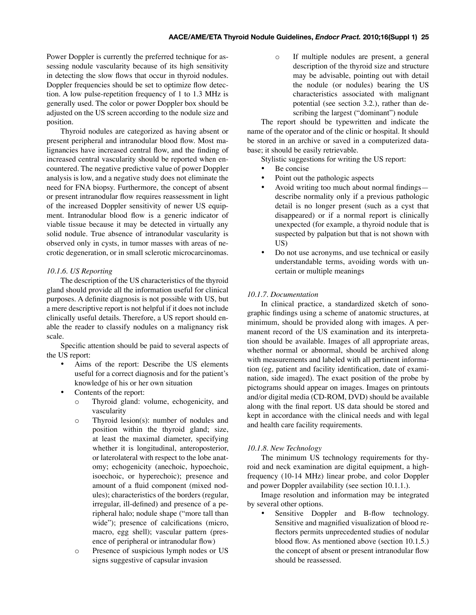Power Doppler is currently the preferred technique for assessing nodule vascularity because of its high sensitivity in detecting the slow flows that occur in thyroid nodules. Doppler frequencies should be set to optimize flow detection. A low pulse-repetition frequency of 1 to 1.3 MHz is generally used. The color or power Doppler box should be adjusted on the US screen according to the nodule size and position.

Thyroid nodules are categorized as having absent or present peripheral and intranodular blood flow. Most malignancies have increased central flow, and the finding of increased central vascularity should be reported when encountered. The negative predictive value of power Doppler analysis is low, and a negative study does not eliminate the need for FNA biopsy. Furthermore, the concept of absent or present intranodular flow requires reassessment in light of the increased Doppler sensitivity of newer US equipment. Intranodular blood flow is a generic indicator of viable tissue because it may be detected in virtually any solid nodule. True absence of intranodular vascularity is observed only in cysts, in tumor masses with areas of necrotic degeneration, or in small sclerotic microcarcinomas.

### *10.1.6. US Reporting*

The description of the US characteristics of the thyroid gland should provide all the information useful for clinical purposes. A definite diagnosis is not possible with US, but a mere descriptive report is not helpful if it does not include clinically useful details. Therefore, a US report should enable the reader to classify nodules on a malignancy risk scale.

Specific attention should be paid to several aspects of the US report:

- Aims of the report: Describe the US elements useful for a correct diagnosis and for the patient's knowledge of his or her own situation
- Contents of the report:
	- o Thyroid gland: volume, echogenicity, and vascularity
	- o Thyroid lesion(s): number of nodules and position within the thyroid gland; size, at least the maximal diameter, specifying whether it is longitudinal, anteroposterior, or laterolateral with respect to the lobe anatomy; echogenicity (anechoic, hypoechoic, isoechoic, or hyperechoic); presence and amount of a fluid component (mixed nodules); characteristics of the borders (regular, irregular, ill-defined) and presence of a peripheral halo; nodule shape ("more tall than wide"); presence of calcifications (micro, macro, egg shell); vascular pattern (presence of peripheral or intranodular flow)
	- o Presence of suspicious lymph nodes or US signs suggestive of capsular invasion

o If multiple nodules are present, a general description of the thyroid size and structure may be advisable, pointing out with detail the nodule (or nodules) bearing the US characteristics associated with malignant potential (see section 3.2.), rather than describing the largest ("dominant") nodule

The report should be typewritten and indicate the name of the operator and of the clinic or hospital. It should be stored in an archive or saved in a computerized database; it should be easily retrievable.

Stylistic suggestions for writing the US report:

- Be concise
- Point out the pathologic aspects
- Avoid writing too much about normal findingsdescribe normality only if a previous pathologic detail is no longer present (such as a cyst that disappeared) or if a normal report is clinically unexpected (for example, a thyroid nodule that is suspected by palpation but that is not shown with US)
- Do not use acronyms, and use technical or easily understandable terms, avoiding words with uncertain or multiple meanings

### *10.1.7. Documentation*

In clinical practice, a standardized sketch of sonographic findings using a scheme of anatomic structures, at minimum, should be provided along with images. A permanent record of the US examination and its interpretation should be available. Images of all appropriate areas, whether normal or abnormal, should be archived along with measurements and labeled with all pertinent information (eg, patient and facility identification, date of examination, side imaged). The exact position of the probe by pictograms should appear on images. Images on printouts and/or digital media (CD-ROM, DVD) should be available along with the final report. US data should be stored and kept in accordance with the clinical needs and with legal and health care facility requirements.

### *10.1.8. New Technology*

The minimum US technology requirements for thyroid and neck examination are digital equipment, a highfrequency (10-14 MHz) linear probe, and color Doppler and power Doppler availability (see section 10.1.1.).

Image resolution and information may be integrated by several other options.

• Sensitive Doppler and B-flow technology. Sensitive and magnified visualization of blood reflectors permits unprecedented studies of nodular blood flow. As mentioned above (section 10.1.5.) the concept of absent or present intranodular flow should be reassessed.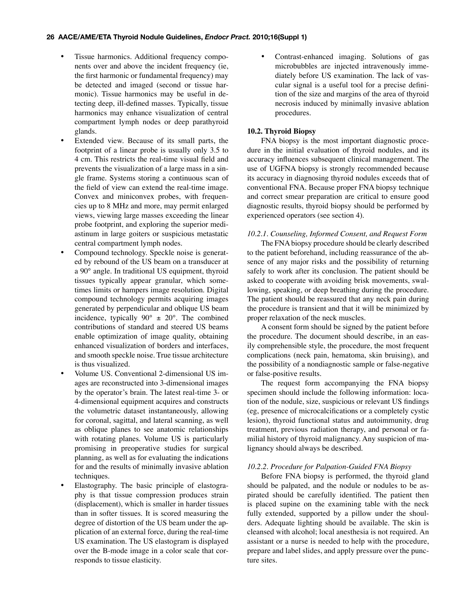- Tissue harmonics. Additional frequency components over and above the incident frequency (ie, the first harmonic or fundamental frequency) may be detected and imaged (second or tissue harmonic). Tissue harmonics may be useful in detecting deep, ill-defined masses. Typically, tissue harmonics may enhance visualization of central compartment lymph nodes or deep parathyroid glands.
- Extended view. Because of its small parts, the footprint of a linear probe is usually only 3.5 to 4 cm. This restricts the real-time visual field and prevents the visualization of a large mass in a single frame. Systems storing a continuous scan of the field of view can extend the real-time image. Convex and miniconvex probes, with frequencies up to 8 MHz and more, may permit enlarged views, viewing large masses exceeding the linear probe footprint, and exploring the superior mediastinum in large goiters or suspicious metastatic central compartment lymph nodes.
- Compound technology. Speckle noise is generated by rebound of the US beam on a transducer at a 90° angle. In traditional US equipment, thyroid tissues typically appear granular, which sometimes limits or hampers image resolution. Digital compound technology permits acquiring images generated by perpendicular and oblique US beam incidence, typically  $90^{\circ} \pm 20^{\circ}$ . The combined contributions of standard and steered US beams enable optimization of image quality, obtaining enhanced visualization of borders and interfaces, and smooth speckle noise. True tissue architecture is thus visualized.
- Volume US. Conventional 2-dimensional US images are reconstructed into 3‑dimensional images by the operator's brain. The latest real-time 3- or 4‑dimensional equipment acquires and constructs the volumetric dataset instantaneously, allowing for coronal, sagittal, and lateral scanning, as well as oblique planes to see anatomic relationships with rotating planes. Volume US is particularly promising in preoperative studies for surgical planning, as well as for evaluating the indications for and the results of minimally invasive ablation techniques.
- Elastography. The basic principle of elastography is that tissue compression produces strain (displacement), which is smaller in harder tissues than in softer tissues. It is scored measuring the degree of distortion of the US beam under the application of an external force, during the real-time US examination. The US elastogram is displayed over the B-mode image in a color scale that corresponds to tissue elasticity.

Contrast-enhanced imaging. Solutions of gas microbubbles are injected intravenously immediately before US examination. The lack of vascular signal is a useful tool for a precise definition of the size and margins of the area of thyroid necrosis induced by minimally invasive ablation procedures.

### **10.2. Thyroid Biopsy**

FNA biopsy is the most important diagnostic procedure in the initial evaluation of thyroid nodules, and its accuracy influences subsequent clinical management. The use of UGFNA biopsy is strongly recommended because its accuracy in diagnosing thyroid nodules exceeds that of conventional FNA. Because proper FNA biopsy technique and correct smear preparation are critical to ensure good diagnostic results, thyroid biopsy should be performed by experienced operators (see section 4).

### *10.2.1. Counseling, Informed Consent, and Request Form*

The FNA biopsy procedure should be clearly described to the patient beforehand, including reassurance of the absence of any major risks and the possibility of returning safely to work after its conclusion. The patient should be asked to cooperate with avoiding brisk movements, swallowing, speaking, or deep breathing during the procedure. The patient should be reassured that any neck pain during the procedure is transient and that it will be minimized by proper relaxation of the neck muscles.

A consent form should be signed by the patient before the procedure. The document should describe, in an easily comprehensible style, the procedure, the most frequent complications (neck pain, hematoma, skin bruising), and the possibility of a nondiagnostic sample or false-negative or false-positive results.

The request form accompanying the FNA biopsy specimen should include the following information: location of the nodule, size, suspicious or relevant US findings (eg, presence of microcalcifications or a completely cystic lesion), thyroid functional status and autoimmunity, drug treatment, previous radiation therapy, and personal or familial history of thyroid malignancy. Any suspicion of malignancy should always be described.

### *10.2.2. Procedure for Palpation-Guided FNA Biopsy*

Before FNA biopsy is performed, the thyroid gland should be palpated, and the nodule or nodules to be aspirated should be carefully identified. The patient then is placed supine on the examining table with the neck fully extended, supported by a pillow under the shoulders. Adequate lighting should be available. The skin is cleansed with alcohol; local anesthesia is not required. An assistant or a nurse is needed to help with the procedure, prepare and label slides, and apply pressure over the puncture sites.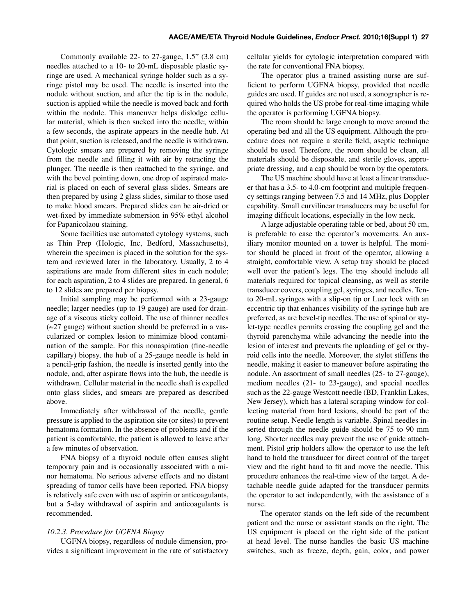Commonly available 22- to 27-gauge, 1.5" (3.8 cm) needles attached to a 10- to 20-mL disposable plastic syringe are used. A mechanical syringe holder such as a syringe pistol may be used. The needle is inserted into the nodule without suction, and after the tip is in the nodule, suction is applied while the needle is moved back and forth within the nodule. This maneuver helps dislodge cellular material, which is then sucked into the needle; within a few seconds, the aspirate appears in the needle hub. At that point, suction is released, and the needle is withdrawn. Cytologic smears are prepared by removing the syringe from the needle and filling it with air by retracting the plunger. The needle is then reattached to the syringe, and with the bevel pointing down, one drop of aspirated material is placed on each of several glass slides. Smears are then prepared by using 2 glass slides, similar to those used to make blood smears. Prepared slides can be air-dried or wet-fixed by immediate submersion in 95% ethyl alcohol for Papanicolaou staining.

Some facilities use automated cytology systems, such as Thin Prep (Hologic, Inc, Bedford, Massachusetts), wherein the specimen is placed in the solution for the system and reviewed later in the laboratory. Usually, 2 to 4 aspirations are made from different sites in each nodule; for each aspiration, 2 to 4 slides are prepared. In general, 6 to 12 slides are prepared per biopsy.

Initial sampling may be performed with a 23-gauge needle; larger needles (up to 19 gauge) are used for drainage of a viscous sticky colloid. The use of thinner needles  $(\approx 27 \text{ gauge})$  without suction should be preferred in a vascularized or complex lesion to minimize blood contamination of the sample. For this nonaspiration (fine-needle capillary) biopsy, the hub of a 25-gauge needle is held in a pencil-grip fashion, the needle is inserted gently into the nodule, and, after aspirate flows into the hub, the needle is withdrawn. Cellular material in the needle shaft is expelled onto glass slides, and smears are prepared as described above.

Immediately after withdrawal of the needle, gentle pressure is applied to the aspiration site (or sites) to prevent hematoma formation. In the absence of problems and if the patient is comfortable, the patient is allowed to leave after a few minutes of observation.

FNA biopsy of a thyroid nodule often causes slight temporary pain and is occasionally associated with a minor hematoma. No serious adverse effects and no distant spreading of tumor cells have been reported. FNA biopsy is relatively safe even with use of aspirin or anticoagulants, but a 5-day withdrawal of aspirin and anticoagulants is recommended.

### *10.2.3. Procedure for UGFNA Biopsy*

UGFNA biopsy, regardless of nodule dimension, provides a significant improvement in the rate of satisfactory cellular yields for cytologic interpretation compared with the rate for conventional FNA biopsy.

The operator plus a trained assisting nurse are sufficient to perform UGFNA biopsy, provided that needle guides are used. If guides are not used, a sonographer is required who holds the US probe for real-time imaging while the operator is performing UGFNA biopsy.

The room should be large enough to move around the operating bed and all the US equipment. Although the procedure does not require a sterile field, aseptic technique should be used. Therefore, the room should be clean, all materials should be disposable, and sterile gloves, appropriate dressing, and a cap should be worn by the operators.

The US machine should have at least a linear transducer that has a 3.5- to 4.0-cm footprint and multiple frequency settings ranging between 7.5 and 14 MHz, plus Doppler capability. Small curvilinear transducers may be useful for imaging difficult locations, especially in the low neck.

A large adjustable operating table or bed, about 50 cm, is preferable to ease the operator's movements. An auxiliary monitor mounted on a tower is helpful. The monitor should be placed in front of the operator, allowing a straight, comfortable view. A setup tray should be placed well over the patient's legs. The tray should include all materials required for topical cleansing, as well as sterile transducer covers, coupling gel, syringes, and needles. Tento 20-mL syringes with a slip-on tip or Luer lock with an eccentric tip that enhances visibility of the syringe hub are preferred, as are bevel-tip needles. The use of spinal or stylet-type needles permits crossing the coupling gel and the thyroid parenchyma while advancing the needle into the lesion of interest and prevents the uploading of gel or thyroid cells into the needle. Moreover, the stylet stiffens the needle, making it easier to maneuver before aspirating the nodule. An assortment of small needles (25- to 27-gauge), medium needles (21- to 23-gauge), and special needles such as the 22-gauge Westcott needle (BD, Franklin Lakes, New Jersey), which has a lateral scraping window for collecting material from hard lesions, should be part of the routine setup. Needle length is variable. Spinal needles inserted through the needle guide should be 75 to 90 mm long. Shorter needles may prevent the use of guide attachment. Pistol grip holders allow the operator to use the left hand to hold the transducer for direct control of the target view and the right hand to fit and move the needle. This procedure enhances the real-time view of the target. A detachable needle guide adapted for the transducer permits the operator to act independently, with the assistance of a nurse.

The operator stands on the left side of the recumbent patient and the nurse or assistant stands on the right. The US equipment is placed on the right side of the patient at head level. The nurse handles the basic US machine switches, such as freeze, depth, gain, color, and power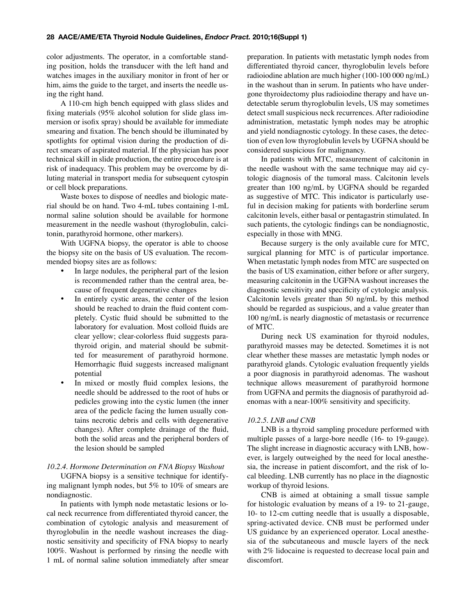color adjustments. The operator, in a comfortable standing position, holds the transducer with the left hand and watches images in the auxiliary monitor in front of her or him, aims the guide to the target, and inserts the needle using the right hand.

A 110-cm high bench equipped with glass slides and fixing materials (95% alcohol solution for slide glass immersion or isofix spray) should be available for immediate smearing and fixation. The bench should be illuminated by spotlights for optimal vision during the production of direct smears of aspirated material. If the physician has poor technical skill in slide production, the entire procedure is at risk of inadequacy. This problem may be overcome by diluting material in transport media for subsequent cytospin or cell block preparations.

Waste boxes to dispose of needles and biologic material should be on hand. Two 4-mL tubes containing 1-mL normal saline solution should be available for hormone measurement in the needle washout (thyroglobulin, calcitonin, parathyroid hormone, other markers).

With UGFNA biopsy, the operator is able to choose the biopsy site on the basis of US evaluation. The recommended biopsy sites are as follows:

- In large nodules, the peripheral part of the lesion is recommended rather than the central area, because of frequent degenerative changes
- In entirely cystic areas, the center of the lesion should be reached to drain the fluid content completely. Cystic fluid should be submitted to the laboratory for evaluation. Most colloid fluids are clear yellow; clear-colorless fluid suggests parathyroid origin, and material should be submitted for measurement of parathyroid hormone. Hemorrhagic fluid suggests increased malignant potential
- In mixed or mostly fluid complex lesions, the needle should be addressed to the root of hubs or pedicles growing into the cystic lumen (the inner area of the pedicle facing the lumen usually contains necrotic debris and cells with degenerative changes). After complete drainage of the fluid, both the solid areas and the peripheral borders of the lesion should be sampled

#### *10.2.4. Hormone Determination on FNA Biopsy Washout*

UGFNA biopsy is a sensitive technique for identifying malignant lymph nodes, but 5% to 10% of smears are nondiagnostic.

In patients with lymph node metastatic lesions or local neck recurrence from differentiated thyroid cancer, the combination of cytologic analysis and measurement of thyroglobulin in the needle washout increases the diagnostic sensitivity and specificity of FNA biopsy to nearly 100%. Washout is performed by rinsing the needle with 1 mL of normal saline solution immediately after smear

preparation. In patients with metastatic lymph nodes from differentiated thyroid cancer, thyroglobulin levels before radioiodine ablation are much higher (100-100 000 ng/mL) in the washout than in serum. In patients who have undergone thyroidectomy plus radioiodine therapy and have undetectable serum thyroglobulin levels, US may sometimes detect small suspicious neck recurrences. After radioiodine administration, metastatic lymph nodes may be atrophic and yield nondiagnostic cytology. In these cases, the detection of even low thyroglobulin levels by UGFNA should be considered suspicious for malignancy.

In patients with MTC, measurement of calcitonin in the needle washout with the same technique may aid cytologic diagnosis of the tumoral mass. Calcitonin levels greater than 100 ng/mL by UGFNA should be regarded as suggestive of MTC. This indicator is particularly useful in decision making for patients with borderline serum calcitonin levels, either basal or pentagastrin stimulated. In such patients, the cytologic findings can be nondiagnostic, especially in those with MNG.

Because surgery is the only available cure for MTC, surgical planning for MTC is of particular importance. When metastatic lymph nodes from MTC are suspected on the basis of US examination, either before or after surgery, measuring calcitonin in the UGFNA washout increases the diagnostic sensitivity and specificity of cytologic analysis. Calcitonin levels greater than 50 ng/mL by this method should be regarded as suspicious, and a value greater than 100 ng/mL is nearly diagnostic of metastasis or recurrence of MTC.

During neck US examination for thyroid nodules, parathyroid masses may be detected. Sometimes it is not clear whether these masses are metastatic lymph nodes or parathyroid glands. Cytologic evaluation frequently yields a poor diagnosis in parathyroid adenomas. The washout technique allows measurement of parathyroid hormone from UGFNA and permits the diagnosis of parathyroid adenomas with a near-100% sensitivity and specificity.

#### *10.2.5. LNB and CNB*

LNB is a thyroid sampling procedure performed with multiple passes of a large-bore needle (16- to 19-gauge). The slight increase in diagnostic accuracy with LNB, however, is largely outweighed by the need for local anesthesia, the increase in patient discomfort, and the risk of local bleeding. LNB currently has no place in the diagnostic workup of thyroid lesions.

CNB is aimed at obtaining a small tissue sample for histologic evaluation by means of a 19- to 21-gauge, 10- to 12-cm cutting needle that is usually a disposable, spring-activated device. CNB must be performed under US guidance by an experienced operator. Local anesthesia of the subcutaneous and muscle layers of the neck with 2% lidocaine is requested to decrease local pain and discomfort.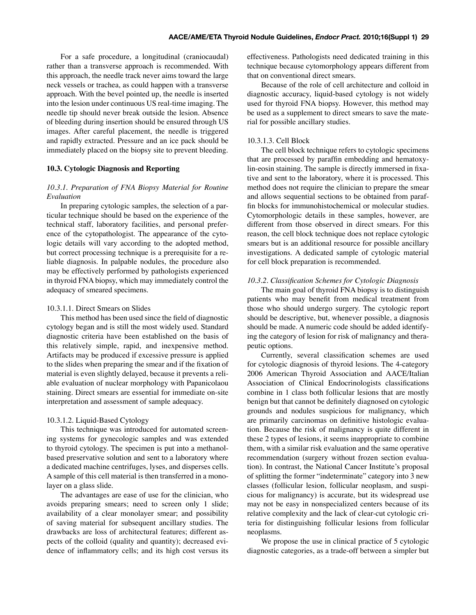For a safe procedure, a longitudinal (craniocaudal) rather than a transverse approach is recommended. With this approach, the needle track never aims toward the large neck vessels or trachea, as could happen with a transverse approach. With the bevel pointed up, the needle is inserted into the lesion under continuous US real-time imaging. The needle tip should never break outside the lesion. Absence of bleeding during insertion should be ensured through US images. After careful placement, the needle is triggered and rapidly extracted. Pressure and an ice pack should be immediately placed on the biopsy site to prevent bleeding.

### **10.3. Cytologic Diagnosis and Reporting**

# *10.3.1. Preparation of FNA Biopsy Material for Routine Evaluation*

In preparing cytologic samples, the selection of a particular technique should be based on the experience of the technical staff, laboratory facilities, and personal preference of the cytopathologist. The appearance of the cytologic details will vary according to the adopted method, but correct processing technique is a prerequisite for a reliable diagnosis. In palpable nodules, the procedure also may be effectively performed by pathologists experienced in thyroid FNA biopsy, which may immediately control the adequacy of smeared specimens.

#### 10.3.1.1. Direct Smears on Slides

This method has been used since the field of diagnostic cytology began and is still the most widely used. Standard diagnostic criteria have been established on the basis of this relatively simple, rapid, and inexpensive method. Artifacts may be produced if excessive pressure is applied to the slides when preparing the smear and if the fixation of material is even slightly delayed, because it prevents a reliable evaluation of nuclear morphology with Papanicolaou staining. Direct smears are essential for immediate on-site interpretation and assessment of sample adequacy.

### 10.3.1.2. Liquid-Based Cytology

This technique was introduced for automated screening systems for gynecologic samples and was extended to thyroid cytology. The specimen is put into a methanolbased preservative solution and sent to a laboratory where a dedicated machine centrifuges, lyses, and disperses cells. A sample of this cell material is then transferred in a monolayer on a glass slide.

The advantages are ease of use for the clinician, who avoids preparing smears; need to screen only 1 slide; availability of a clear monolayer smear; and possibility of saving material for subsequent ancillary studies. The drawbacks are loss of architectural features; different aspects of the colloid (quality and quantity); decreased evidence of inflammatory cells; and its high cost versus its effectiveness. Pathologists need dedicated training in this technique because cytomorphology appears different from that on conventional direct smears.

Because of the role of cell architecture and colloid in diagnostic accuracy, liquid-based cytology is not widely used for thyroid FNA biopsy. However, this method may be used as a supplement to direct smears to save the material for possible ancillary studies.

### 10.3.1.3. Cell Block

The cell block technique refers to cytologic specimens that are processed by paraffin embedding and hematoxylin-eosin staining. The sample is directly immersed in fixative and sent to the laboratory, where it is processed. This method does not require the clinician to prepare the smear and allows sequential sections to be obtained from paraffin blocks for immunohistochemical or molecular studies. Cytomorphologic details in these samples, however, are different from those observed in direct smears. For this reason, the cell block technique does not replace cytologic smears but is an additional resource for possible ancillary investigations. A dedicated sample of cytologic material for cell block preparation is recommended.

#### *10.3.2. Classification Schemes for Cytologic Diagnosis*

The main goal of thyroid FNA biopsy is to distinguish patients who may benefit from medical treatment from those who should undergo surgery. The cytologic report should be descriptive, but, whenever possible, a diagnosis should be made. A numeric code should be added identifying the category of lesion for risk of malignancy and therapeutic options.

Currently, several classification schemes are used for cytologic diagnosis of thyroid lesions. The 4-category 2006 American Thyroid Association and AACE/Italian Association of Clinical Endocrinologists classifications combine in 1 class both follicular lesions that are mostly benign but that cannot be definitely diagnosed on cytologic grounds and nodules suspicious for malignancy, which are primarily carcinomas on definitive histologic evaluation. Because the risk of malignancy is quite different in these 2 types of lesions, it seems inappropriate to combine them, with a similar risk evaluation and the same operative recommendation (surgery without frozen section evaluation). In contrast, the National Cancer Institute's proposal of splitting the former "indeterminate" category into 3 new classes (follicular lesion, follicular neoplasm, and suspicious for malignancy) is accurate, but its widespread use may not be easy in nonspecialized centers because of its relative complexity and the lack of clear-cut cytologic criteria for distinguishing follicular lesions from follicular neoplasms.

We propose the use in clinical practice of 5 cytologic diagnostic categories, as a trade-off between a simpler but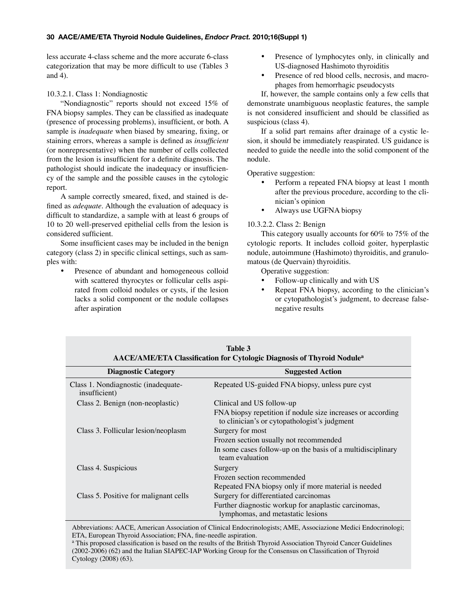less accurate 4-class scheme and the more accurate 6-class categorization that may be more difficult to use (Tables 3 and 4).

### 10.3.2.1. Class 1: Nondiagnostic

"Nondiagnostic" reports should not exceed 15% of FNA biopsy samples. They can be classified as inadequate (presence of processing problems), insufficient, or both. A sample is *inadequate* when biased by smearing, fixing, or staining errors, whereas a sample is defined as *insufficient* (or nonrepresentative) when the number of cells collected from the lesion is insufficient for a definite diagnosis. The pathologist should indicate the inadequacy or insufficiency of the sample and the possible causes in the cytologic report.

A sample correctly smeared, fixed, and stained is defined as *adequate*. Although the evaluation of adequacy is difficult to standardize, a sample with at least 6 groups of 10 to 20 well-preserved epithelial cells from the lesion is considered sufficient.

Some insufficient cases may be included in the benign category (class 2) in specific clinical settings, such as samples with:

Presence of abundant and homogeneous colloid with scattered thyrocytes or follicular cells aspirated from colloid nodules or cysts, if the lesion lacks a solid component or the nodule collapses after aspiration

- Presence of lymphocytes only, in clinically and US-diagnosed Hashimoto thyroiditis
- Presence of red blood cells, necrosis, and macrophages from hemorrhagic pseudocysts

If, however, the sample contains only a few cells that demonstrate unambiguous neoplastic features, the sample is not considered insufficient and should be classified as suspicious (class 4).

If a solid part remains after drainage of a cystic lesion, it should be immediately reaspirated. US guidance is needed to guide the needle into the solid component of the nodule.

Operative suggestion:

- Perform a repeated FNA biopsy at least 1 month after the previous procedure, according to the clinician's opinion
- Always use UGFNA biopsy

### 10.3.2.2. Class 2: Benign

This category usually accounts for 60% to 75% of the cytologic reports. It includes colloid goiter, hyperplastic nodule, autoimmune (Hashimoto) thyroiditis, and granulomatous (de Quervain) thyroiditis.

Operative suggestion:

- Follow-up clinically and with US
- Repeat FNA biopsy, according to the clinician's or cytopathologist's judgment, to decrease falsenegative results

| <b>Table 3</b><br>AACE/AME/ETA Classification for Cytologic Diagnosis of Thyroid Nodule <sup>a</sup> |                                                                                                             |  |  |
|------------------------------------------------------------------------------------------------------|-------------------------------------------------------------------------------------------------------------|--|--|
| <b>Diagnostic Category</b><br><b>Suggested Action</b>                                                |                                                                                                             |  |  |
| Class 1. Nondiagnostic (inadequate-<br>insufficient)                                                 | Repeated US-guided FNA biopsy, unless pure cyst                                                             |  |  |
| Class 2. Benign (non-neoplastic)                                                                     | Clinical and US follow-up                                                                                   |  |  |
|                                                                                                      | FNA biopsy repetition if nodule size increases or according<br>to clinician's or cytopathologist's judgment |  |  |
| Class 3. Follicular lesion/neoplasm                                                                  | Surgery for most                                                                                            |  |  |
|                                                                                                      | Frozen section usually not recommended                                                                      |  |  |
|                                                                                                      | In some cases follow-up on the basis of a multidisciplinary<br>team evaluation                              |  |  |
| Class 4. Suspicious                                                                                  | Surgery                                                                                                     |  |  |
|                                                                                                      | Frozen section recommended                                                                                  |  |  |
|                                                                                                      | Repeated FNA biopsy only if more material is needed                                                         |  |  |
| Class 5. Positive for malignant cells                                                                | Surgery for differentiated carcinomas                                                                       |  |  |
|                                                                                                      | Further diagnostic workup for anaplastic carcinomas,<br>lymphomas, and metastatic lesions                   |  |  |

Abbreviations: AACE, American Association of Clinical Endocrinologists; AME, Associazione Medici Endocrinologi; ETA, European Thyroid Association; FNA, fine-needle aspiration.

<sup>a</sup> This proposed classification is based on the results of the British Thyroid Association Thyroid Cancer Guidelines (2002-2006) (62) and the Italian SIAPEC-IAP Working Group for the Consensus on Classification of Thyroid Cytology (2008) (63).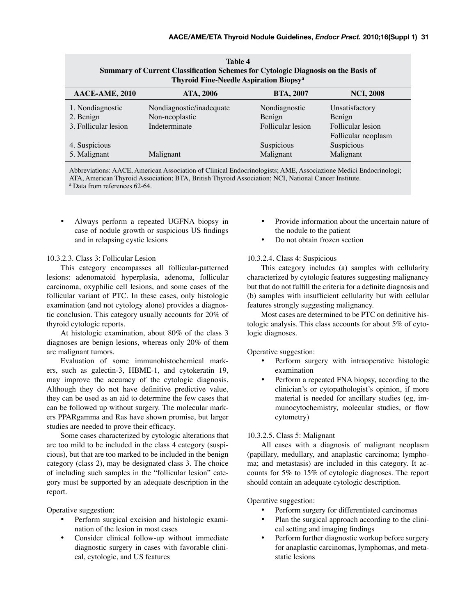| <b>Table 4</b><br>Summary of Current Classification Schemes for Cytologic Diagnosis on the Basis of<br>Thyroid Fine-Needle Aspiration Biopsy <sup>a</sup> |                          |                   |                     |  |  |  |  |  |
|-----------------------------------------------------------------------------------------------------------------------------------------------------------|--------------------------|-------------------|---------------------|--|--|--|--|--|
| AACE-AME, 2010                                                                                                                                            | ATA, 2006                | <b>BTA, 2007</b>  | <b>NCI, 2008</b>    |  |  |  |  |  |
| 1. Nondiagnostic                                                                                                                                          | Nondiagnostic/inadequate | Nondiagnostic     | Unsatisfactory      |  |  |  |  |  |
| 2. Benign                                                                                                                                                 | Non-neoplastic           | Benign            | Benign              |  |  |  |  |  |
| 3. Follicular lesion                                                                                                                                      | Indeterminate            | Follicular lesion | Follicular lesion   |  |  |  |  |  |
|                                                                                                                                                           |                          |                   | Follicular neoplasm |  |  |  |  |  |
| 4. Suspicious                                                                                                                                             |                          | Suspicious        | Suspicious          |  |  |  |  |  |
| 5. Malignant                                                                                                                                              | Malignant                | Malignant         | Malignant           |  |  |  |  |  |

Abbreviations: AACE, American Association of Clinical Endocrinologists; AME, Associazione Medici Endocrinologi; ATA, American Thyroid Association; BTA, British Thyroid Association; NCI, National Cancer Institute. a Data from references 62-64.

Always perform a repeated UGFNA biopsy in case of nodule growth or suspicious US findings and in relapsing cystic lesions

# 10.3.2.3. Class 3: Follicular Lesion

This category encompasses all follicular-patterned lesions: adenomatoid hyperplasia, adenoma, follicular carcinoma, oxyphilic cell lesions, and some cases of the follicular variant of PTC. In these cases, only histologic examination (and not cytology alone) provides a diagnostic conclusion. This category usually accounts for 20% of thyroid cytologic reports.

At histologic examination, about 80% of the class 3 diagnoses are benign lesions, whereas only 20% of them are malignant tumors.

Evaluation of some immunohistochemical markers, such as galectin-3, HBME-1, and cytokeratin 19, may improve the accuracy of the cytologic diagnosis. Although they do not have definitive predictive value, they can be used as an aid to determine the few cases that can be followed up without surgery. The molecular markers PPARgamma and Ras have shown promise, but larger studies are needed to prove their efficacy.

Some cases characterized by cytologic alterations that are too mild to be included in the class 4 category (suspicious), but that are too marked to be included in the benign category (class 2), may be designated class 3. The choice of including such samples in the "follicular lesion" category must be supported by an adequate description in the report.

Operative suggestion:

- Perform surgical excision and histologic examination of the lesion in most cases
- Consider clinical follow-up without immediate diagnostic surgery in cases with favorable clinical, cytologic, and US features
- Provide information about the uncertain nature of the nodule to the patient
- Do not obtain frozen section

# 10.3.2.4. Class 4: Suspicious

This category includes (a) samples with cellularity characterized by cytologic features suggesting malignancy but that do not fulfill the criteria for a definite diagnosis and (b) samples with insufficient cellularity but with cellular features strongly suggesting malignancy.

Most cases are determined to be PTC on definitive histologic analysis. This class accounts for about 5% of cytologic diagnoses.

### Operative suggestion:

- Perform surgery with intraoperative histologic examination
- Perform a repeated FNA biopsy, according to the clinician's or cytopathologist's opinion, if more material is needed for ancillary studies (eg, immunocytochemistry, molecular studies, or flow cytometry)

### 10.3.2.5. Class 5: Malignant

All cases with a diagnosis of malignant neoplasm (papillary, medullary, and anaplastic carcinoma; lymphoma; and metastasis) are included in this category. It accounts for 5% to 15% of cytologic diagnoses. The report should contain an adequate cytologic description.

# Operative suggestion:

- Perform surgery for differentiated carcinomas
- Plan the surgical approach according to the clinical setting and imaging findings
- Perform further diagnostic workup before surgery for anaplastic carcinomas, lymphomas, and metastatic lesions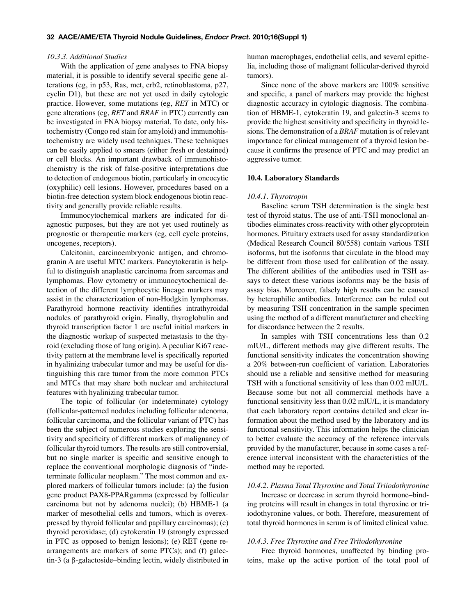#### *10.3.3. Additional Studies*

With the application of gene analyses to FNA biopsy material, it is possible to identify several specific gene alterations (eg, in p53, Ras, met, erb2, retinoblastoma, p27, cyclin D1), but these are not yet used in daily cytologic practice. However, some mutations (eg, *RET* in MTC) or gene alterations (eg, *RET* and *BRAF* in PTC) currently can be investigated in FNA biopsy material. To date, only histochemistry (Congo red stain for amyloid) and immunohistochemistry are widely used techniques. These techniques can be easily applied to smears (either fresh or destained) or cell blocks. An important drawback of immunohistochemistry is the risk of false-positive interpretations due to detection of endogenous biotin, particularly in oncocytic (oxyphilic) cell lesions. However, procedures based on a biotin-free detection system block endogenous biotin reactivity and generally provide reliable results.

Immunocytochemical markers are indicated for diagnostic purposes, but they are not yet used routinely as prognostic or therapeutic markers (eg, cell cycle proteins, oncogenes, receptors).

Calcitonin, carcinoembryonic antigen, and chromogranin A are useful MTC markers. Pancytokeratin is helpful to distinguish anaplastic carcinoma from sarcomas and lymphomas. Flow cytometry or immunocytochemical detection of the different lymphocytic lineage markers may assist in the characterization of non-Hodgkin lymphomas. Parathyroid hormone reactivity identifies intrathyroidal nodules of parathyroid origin. Finally, thyroglobulin and thyroid transcription factor 1 are useful initial markers in the diagnostic workup of suspected metastasis to the thyroid (excluding those of lung origin). A peculiar Ki67 reactivity pattern at the membrane level is specifically reported in hyalinizing trabecular tumor and may be useful for distinguishing this rare tumor from the more common PTCs and MTCs that may share both nuclear and architectural features with hyalinizing trabecular tumor.

The topic of follicular (or indeterminate) cytology (follicular-patterned nodules including follicular adenoma, follicular carcinoma, and the follicular variant of PTC) has been the subject of numerous studies exploring the sensitivity and specificity of different markers of malignancy of follicular thyroid tumors. The results are still controversial, but no single marker is specific and sensitive enough to replace the conventional morphologic diagnosis of "indeterminate follicular neoplasm." The most common and explored markers of follicular tumors include: (a) the fusion gene product PAX8-PPARgamma (expressed by follicular carcinoma but not by adenoma nuclei); (b) HBME-1 (a marker of mesothelial cells and tumors, which is overexpressed by thyroid follicular and papillary carcinomas); (c) thyroid peroxidase; (d) cytokeratin 19 (strongly expressed in PTC as opposed to benign lesions); (e) RET (gene rearrangements are markers of some PTCs); and (f) galectin-3 (a  $\beta$ -galactoside–binding lectin, widely distributed in human macrophages, endothelial cells, and several epithelia, including those of malignant follicular-derived thyroid tumors).

Since none of the above markers are 100% sensitive and specific, a panel of markers may provide the highest diagnostic accuracy in cytologic diagnosis. The combination of HBME-1, cytokeratin 19, and galectin-3 seems to provide the highest sensitivity and specificity in thyroid lesions. The demonstration of a *BRAF* mutation is of relevant importance for clinical management of a thyroid lesion because it confirms the presence of PTC and may predict an aggressive tumor.

### **10.4. Laboratory Standards**

#### *10.4.1. Thyrotropin*

Baseline serum TSH determination is the single best test of thyroid status. The use of anti-TSH monoclonal antibodies eliminates cross-reactivity with other glycoprotein hormones. Pituitary extracts used for assay standardization (Medical Research Council 80/558) contain various TSH isoforms, but the isoforms that circulate in the blood may be different from those used for calibration of the assay. The different abilities of the antibodies used in TSH assays to detect these various isoforms may be the basis of assay bias. Moreover, falsely high results can be caused by heterophilic antibodies. Interference can be ruled out by measuring TSH concentration in the sample specimen using the method of a different manufacturer and checking for discordance between the 2 results.

In samples with TSH concentrations less than 0.2 mIU/L, different methods may give different results. The functional sensitivity indicates the concentration showing a 20% between-run coefficient of variation. Laboratories should use a reliable and sensitive method for measuring TSH with a functional sensitivity of less than 0.02 mIU/L. Because some but not all commercial methods have a functional sensitivity less than 0.02 mIU/L, it is mandatory that each laboratory report contains detailed and clear information about the method used by the laboratory and its functional sensitivity. This information helps the clinician to better evaluate the accuracy of the reference intervals provided by the manufacturer, because in some cases a reference interval inconsistent with the characteristics of the method may be reported.

#### *10.4.2. Plasma Total Thyroxine and Total Triiodothyronine*

Increase or decrease in serum thyroid hormone–binding proteins will result in changes in total thyroxine or triiodothyronine values, or both. Therefore, measurement of total thyroid hormones in serum is of limited clinical value.

#### *10.4.3. Free Thyroxine and Free Triiodothyronine*

Free thyroid hormones, unaffected by binding proteins, make up the active portion of the total pool of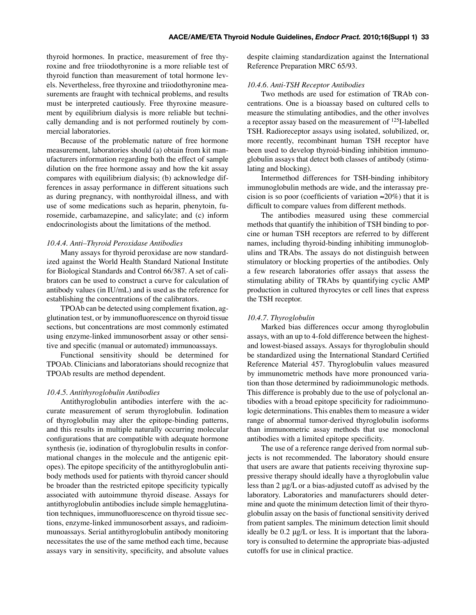thyroid hormones. In practice, measurement of free thyroxine and free triiodothyronine is a more reliable test of thyroid function than measurement of total hormone levels. Nevertheless, free thyroxine and triiodothyronine measurements are fraught with technical problems, and results must be interpreted cautiously. Free thyroxine measurement by equilibrium dialysis is more reliable but technically demanding and is not performed routinely by commercial laboratories.

Because of the problematic nature of free hormone measurement, laboratories should (a) obtain from kit manufacturers information regarding both the effect of sample dilution on the free hormone assay and how the kit assay compares with equilibrium dialysis; (b) acknowledge differences in assay performance in different situations such as during pregnancy, with nonthyroidal illness, and with use of some medications such as heparin, phenytoin, furosemide, carbamazepine, and salicylate; and (c) inform endocrinologists about the limitations of the method.

### *10.4.4. Anti–Thyroid Peroxidase Antibodies*

Many assays for thyroid peroxidase are now standardized against the World Health Standard National Institute for Biological Standards and Control 66/387. A set of calibrators can be used to construct a curve for calculation of antibody values (in IU/mL) and is used as the reference for establishing the concentrations of the calibrators.

TPOAb can be detected using complement fixation, agglutination test, or by immunofluorescence on thyroid tissue sections, but concentrations are most commonly estimated using enzyme-linked immunosorbent assay or other sensitive and specific (manual or automated) immunoassays.

Functional sensitivity should be determined for TPOAb. Clinicians and laboratorians should recognize that TPOAb results are method dependent.

#### *10.4.5. Antithyroglobulin Antibodies*

Antithyroglobulin antibodies interfere with the accurate measurement of serum thyroglobulin. Iodination of thyroglobulin may alter the epitope-binding patterns, and this results in multiple naturally occurring molecular configurations that are compatible with adequate hormone synthesis (ie, iodination of thyroglobulin results in conformational changes in the molecule and the antigenic epitopes). The epitope specificity of the antithyroglobulin antibody methods used for patients with thyroid cancer should be broader than the restricted epitope specificity typically associated with autoimmune thyroid disease. Assays for antithyroglobulin antibodies include simple hemagglutination techniques, immunofluorescence on thyroid tissue sections, enzyme-linked immunosorbent assays, and radioimmunoassays. Serial antithyroglobulin antibody monitoring necessitates the use of the same method each time, because assays vary in sensitivity, specificity, and absolute values despite claiming standardization against the International Reference Preparation MRC 65/93.

#### *10.4.6. Anti-TSH Receptor Antibodies*

Two methods are used for estimation of TRAb concentrations. One is a bioassay based on cultured cells to measure the stimulating antibodies, and the other involves a receptor assay based on the measurement of <sup>125</sup>I-labelled TSH. Radioreceptor assays using isolated, solubilized, or, more recently, recombinant human TSH receptor have been used to develop thyroid-binding inhibition immunoglobulin assays that detect both classes of antibody (stimulating and blocking).

Intermethod differences for TSH-binding inhibitory immunoglobulin methods are wide, and the interassay precision is so poor (coefficients of variation  $\approx 20\%$ ) that it is difficult to compare values from different methods.

The antibodies measured using these commercial methods that quantify the inhibition of TSH binding to porcine or human TSH receptors are referred to by different names, including thyroid-binding inhibiting immunoglobulins and TRAbs. The assays do not distinguish between stimulatory or blocking properties of the antibodies. Only a few research laboratories offer assays that assess the stimulating ability of TRAbs by quantifying cyclic AMP production in cultured thyrocytes or cell lines that express the TSH receptor.

### *10.4.7. Thyroglobulin*

Marked bias differences occur among thyroglobulin assays, with an up to 4-fold difference between the highestand lowest-biased assays. Assays for thyroglobulin should be standardized using the International Standard Certified Reference Material 457. Thyroglobulin values measured by immunometric methods have more pronounced variation than those determined by radioimmunologic methods. This difference is probably due to the use of polyclonal antibodies with a broad epitope specificity for radioimmunologic determinations. This enables them to measure a wider range of abnormal tumor-derived thyroglobulin isoforms than immunometric assay methods that use monoclonal antibodies with a limited epitope specificity.

The use of a reference range derived from normal subjects is not recommended. The laboratory should ensure that users are aware that patients receiving thyroxine suppressive therapy should ideally have a thyroglobulin value less than 2 μg/L or a bias-adjusted cutoff as advised by the laboratory. Laboratories and manufacturers should determine and quote the minimum detection limit of their thyroglobulin assay on the basis of functional sensitivity derived from patient samples. The minimum detection limit should ideally be 0.2 μg/L or less. It is important that the laboratory is consulted to determine the appropriate bias-adjusted cutoffs for use in clinical practice.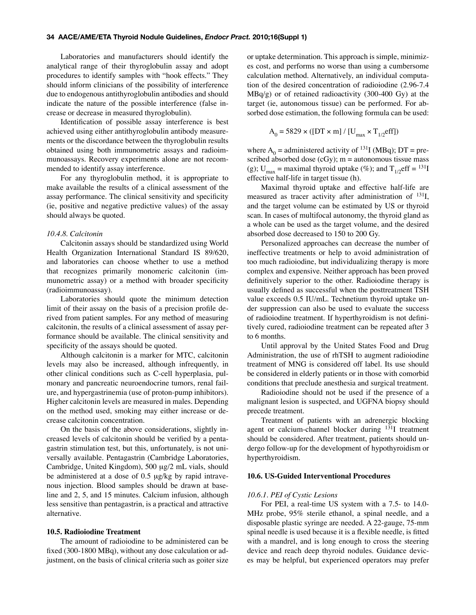#### **34 AACE/AME/ETA Thyroid Nodule Guidelines,** *Endocr Pract.* **2010;16(Suppl 1)**

Laboratories and manufacturers should identify the analytical range of their thyroglobulin assay and adopt procedures to identify samples with "hook effects." They should inform clinicians of the possibility of interference due to endogenous antithyroglobulin antibodies and should indicate the nature of the possible interference (false increase or decrease in measured thyroglobulin).

Identification of possible assay interference is best achieved using either antithyroglobulin antibody measurements or the discordance between the thyroglobulin results obtained using both immunometric assays and radioimmunoassays. Recovery experiments alone are not recommended to identify assay interference.

For any thyroglobulin method, it is appropriate to make available the results of a clinical assessment of the assay performance. The clinical sensitivity and specificity (ie, positive and negative predictive values) of the assay should always be quoted.

#### *10.4.8. Calcitonin*

Calcitonin assays should be standardized using World Health Organization International Standard IS 89/620, and laboratories can choose whether to use a method that recognizes primarily monomeric calcitonin (immunometric assay) or a method with broader specificity (radioimmunoassay).

Laboratories should quote the minimum detection limit of their assay on the basis of a precision profile derived from patient samples. For any method of measuring calcitonin, the results of a clinical assessment of assay performance should be available. The clinical sensitivity and specificity of the assays should be quoted.

Although calcitonin is a marker for MTC, calcitonin levels may also be increased, although infrequently, in other clinical conditions such as C-cell hyperplasia, pulmonary and pancreatic neuroendocrine tumors, renal failure, and hypergastrinemia (use of proton-pump inhibitors). Higher calcitonin levels are measured in males. Depending on the method used, smoking may either increase or decrease calcitonin concentration.

On the basis of the above considerations, slightly increased levels of calcitonin should be verified by a pentagastrin stimulation test, but this, unfortunately, is not universally available. Pentagastrin (Cambridge Laboratories, Cambridge, United Kingdom), 500 µg/2 mL vials, should be administered at a dose of  $0.5 \mu g/kg$  by rapid intravenous injection. Blood samples should be drawn at baseline and 2, 5, and 15 minutes. Calcium infusion, although less sensitive than pentagastrin, is a practical and attractive alternative.

#### **10.5. Radioiodine Treatment**

The amount of radioiodine to be administered can be fixed (300-1800 MBq), without any dose calculation or adjustment, on the basis of clinical criteria such as goiter size

or uptake determination. This approach is simple, minimizes cost, and performs no worse than using a cumbersome calculation method. Alternatively, an individual computation of the desired concentration of radioiodine (2.96-7.4 MBq/g) or of retained radioactivity (300-400 Gy) at the target (ie, autonomous tissue) can be performed. For absorbed dose estimation, the following formula can be used:

$$
A_0 = 5829 \times ([DT \times m] / [U_{max} \times T_{1/2}eff])
$$

where  $A_0$  = administered activity of <sup>131</sup>I (MBq); DT = prescribed absorbed dose (cGy); m = autonomous tissue mass (g);  $U_{\text{max}} =$  maximal thyroid uptake (%); and  $T_{1/2}$ eff =  $^{131}I$ effective half-life in target tissue (h).

Maximal thyroid uptake and effective half-life are measured as tracer activity after administration of  $^{131}$ I, and the target volume can be estimated by US or thyroid scan. In cases of multifocal autonomy, the thyroid gland as a whole can be used as the target volume, and the desired absorbed dose decreased to 150 to 200 Gy.

Personalized approaches can decrease the number of ineffective treatments or help to avoid administration of too much radioiodine, but individualizing therapy is more complex and expensive. Neither approach has been proved definitively superior to the other. Radioiodine therapy is usually defined as successful when the posttreatment TSH value exceeds 0.5 IU/mL. Technetium thyroid uptake under suppression can also be used to evaluate the success of radioiodine treatment. If hyperthyroidism is not definitively cured, radioiodine treatment can be repeated after 3 to 6 months.

Until approval by the United States Food and Drug Administration, the use of rhTSH to augment radioiodine treatment of MNG is considered off label. Its use should be considered in elderly patients or in those with comorbid conditions that preclude anesthesia and surgical treatment.

Radioiodine should not be used if the presence of a malignant lesion is suspected, and UGFNA biopsy should precede treatment.

Treatment of patients with an adrenergic blocking agent or calcium-channel blocker during <sup>131</sup>I treatment should be considered. After treatment, patients should undergo follow-up for the development of hypothyroidism or hyperthyroidism.

#### **10.6. US-Guided Interventional Procedures**

#### *10.6.1. PEI of Cystic Lesions*

For PEI, a real-time US system with a 7.5- to 14.0- MHz probe, 95% sterile ethanol, a spinal needle, and a disposable plastic syringe are needed. A 22-gauge, 75-mm spinal needle is used because it is a flexible needle, is fitted with a mandrel, and is long enough to cross the steering device and reach deep thyroid nodules. Guidance devices may be helpful, but experienced operators may prefer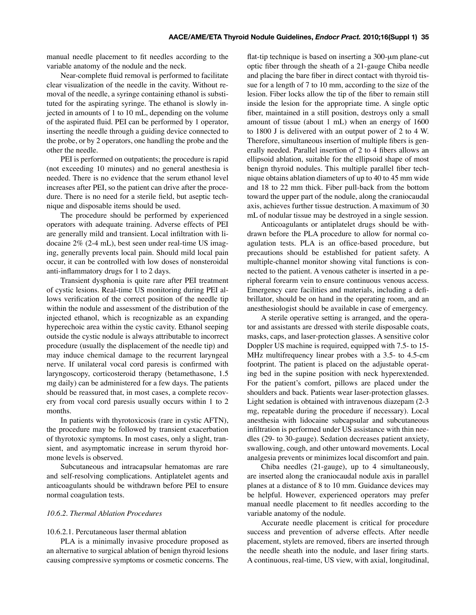manual needle placement to fit needles according to the variable anatomy of the nodule and the neck.

Near-complete fluid removal is performed to facilitate clear visualization of the needle in the cavity. Without removal of the needle, a syringe containing ethanol is substituted for the aspirating syringe. The ethanol is slowly injected in amounts of 1 to 10 mL, depending on the volume of the aspirated fluid. PEI can be performed by 1 operator, inserting the needle through a guiding device connected to the probe, or by 2 operators, one handling the probe and the other the needle.

PEI is performed on outpatients; the procedure is rapid (not exceeding 10 minutes) and no general anesthesia is needed. There is no evidence that the serum ethanol level increases after PEI, so the patient can drive after the procedure. There is no need for a sterile field, but aseptic technique and disposable items should be used.

The procedure should be performed by experienced operators with adequate training. Adverse effects of PEI are generally mild and transient. Local infiltration with lidocaine 2% (2-4 mL), best seen under real-time US imaging, generally prevents local pain. Should mild local pain occur, it can be controlled with low doses of nonsteroidal anti-inflammatory drugs for 1 to 2 days.

Transient dysphonia is quite rare after PEI treatment of cystic lesions. Real-time US monitoring during PEI allows verification of the correct position of the needle tip within the nodule and assessment of the distribution of the injected ethanol, which is recognizable as an expanding hyperechoic area within the cystic cavity. Ethanol seeping outside the cystic nodule is always attributable to incorrect procedure (usually the displacement of the needle tip) and may induce chemical damage to the recurrent laryngeal nerve. If unilateral vocal cord paresis is confirmed with laryngoscopy, corticosteroid therapy (betamethasone, 1.5 mg daily) can be administered for a few days. The patients should be reassured that, in most cases, a complete recovery from vocal cord paresis usually occurs within 1 to 2 months.

In patients with thyrotoxicosis (rare in cystic AFTN), the procedure may be followed by transient exacerbation of thyrotoxic symptoms. In most cases, only a slight, transient, and asymptomatic increase in serum thyroid hormone levels is observed.

Subcutaneous and intracapsular hematomas are rare and self-resolving complications. Antiplatelet agents and anticoagulants should be withdrawn before PEI to ensure normal coagulation tests.

### *10.6.2. Thermal Ablation Procedures*

#### 10.6.2.1. Percutaneous laser thermal ablation

PLA is a minimally invasive procedure proposed as an alternative to surgical ablation of benign thyroid lesions causing compressive symptoms or cosmetic concerns. The

flat-tip technique is based on inserting a 300-um plane-cut optic fiber through the sheath of a 21-gauge Chiba needle and placing the bare fiber in direct contact with thyroid tissue for a length of 7 to 10 mm, according to the size of the lesion. Fiber locks allow the tip of the fiber to remain still inside the lesion for the appropriate time. A single optic fiber, maintained in a still position, destroys only a small amount of tissue (about 1 mL) when an energy of 1600 to 1800 J is delivered with an output power of 2 to 4 W. Therefore, simultaneous insertion of multiple fibers is generally needed. Parallel insertion of 2 to 4 fibers allows an ellipsoid ablation, suitable for the ellipsoid shape of most benign thyroid nodules. This multiple parallel fiber technique obtains ablation diameters of up to 40 to 45 mm wide and 18 to 22 mm thick. Fiber pull-back from the bottom toward the upper part of the nodule, along the craniocaudal axis, achieves further tissue destruction. A maximum of 30 mL of nodular tissue may be destroyed in a single session.

Anticoagulants or antiplatelet drugs should be withdrawn before the PLA procedure to allow for normal coagulation tests. PLA is an office-based procedure, but precautions should be established for patient safety. A multiple-channel monitor showing vital functions is connected to the patient. A venous catheter is inserted in a peripheral forearm vein to ensure continuous venous access. Emergency care facilities and materials, including a defibrillator, should be on hand in the operating room, and an anesthesiologist should be available in case of emergency.

A sterile operative setting is arranged, and the operator and assistants are dressed with sterile disposable coats, masks, caps, and laser-protection glasses. A sensitive color Doppler US machine is required, equipped with 7.5- to 15- MHz multifrequency linear probes with a 3.5- to 4.5-cm footprint. The patient is placed on the adjustable operating bed in the supine position with neck hyperextended. For the patient's comfort, pillows are placed under the shoulders and back. Patients wear laser-protection glasses. Light sedation is obtained with intravenous diazepam (2-3 mg, repeatable during the procedure if necessary). Local anesthesia with lidocaine subcapsular and subcutaneous infiltration is performed under US assistance with thin needles (29- to 30‑gauge). Sedation decreases patient anxiety, swallowing, cough, and other untoward movements. Local analgesia prevents or minimizes local discomfort and pain.

Chiba needles (21-gauge), up to 4 simultaneously, are inserted along the craniocaudal nodule axis in parallel planes at a distance of 8 to 10 mm. Guidance devices may be helpful. However, experienced operators may prefer manual needle placement to fit needles according to the variable anatomy of the nodule.

Accurate needle placement is critical for procedure success and prevention of adverse effects. After needle placement, stylets are removed, fibers are inserted through the needle sheath into the nodule, and laser firing starts. A continuous, real-time, US view, with axial, longitudinal,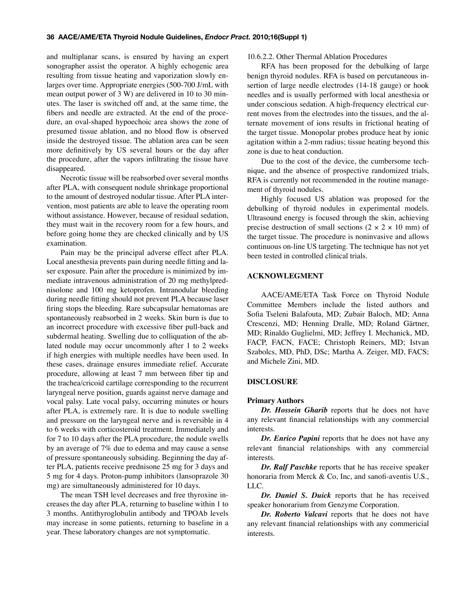and multiplanar scans, is ensured by having an expert sonographer assist the operator. A highly echogenic area resulting from tissue heating and vaporization slowly enlarges over time. Appropriate energies (500-700 J/mL with mean output power of 3 W) are delivered in 10 to 30 minutes. The laser is switched off and, at the same time, the fibers and needle are extracted. At the end of the procedure, an oval-shaped hypoechoic area shows the zone of presumed tissue ablation, and no blood flow is observed inside the destroyed tissue. The ablation area can be seen more definitively by US several hours or the day after the procedure, after the vapors infiltrating the tissue have disappeared.

Necrotic tissue will be reabsorbed over several months after PLA, with consequent nodule shrinkage proportional to the amount of destroyed nodular tissue. After PLA intervention, most patients are able to leave the operating room without assistance. However, because of residual sedation, they must wait in the recovery room for a few hours, and before going home they are checked clinically and by US examination.

Pain may be the principal adverse effect after PLA. Local anesthesia prevents pain during needle fitting and laser exposure. Pain after the procedure is minimized by immediate intravenous administration of 20 mg methylprednisolone and 100 mg ketoprofen. Intranodular bleeding during needle fitting should not prevent PLA because laser firing stops the bleeding. Rare subcapsular hematomas are spontaneously reabsorbed in 2 weeks. Skin burn is due to an incorrect procedure with excessive fiber pull-back and subdermal heating. Swelling due to colliquation of the ablated nodule may occur uncommonly after 1 to 2 weeks if high energies with multiple needles have been used. In these cases, drainage ensures immediate relief. Accurate procedure, allowing at least 7 mm between fiber tip and the trachea/cricoid cartilage corresponding to the recurrent laryngeal nerve position, guards against nerve damage and vocal palsy. Late vocal palsy, occurring minutes or hours after PLA, is extremely rare. It is due to nodule swelling and pressure on the laryngeal nerve and is reversible in 4 to 6 weeks with corticosteroid treatment. Immediately and for 7 to 10 days after the PLA procedure, the nodule swells by an average of 7% due to edema and may cause a sense of pressure spontaneously subsiding. Beginning the day after PLA, patients receive prednisone 25 mg for 3 days and 5 mg for 4 days. Proton-pump inhibitors (lansoprazole 30 mg) are simultaneously administered for 10 days.

The mean TSH level decreases and free thyroxine increases the day after PLA, returning to baseline within 1 to 3 months. Antithyroglobulin antibody and TPOAb levels may increase in some patients, returning to baseline in a year. These laboratory changes are not symptomatic.

10.6.2.2. Other Thermal Ablation Procedures

RFA has been proposed for the debulking of large benign thyroid nodules. RFA is based on percutaneous insertion of large needle electrodes (14-18 gauge) or hook needles and is usually performed with local anesthesia or under conscious sedation. A high-frequency electrical current moves from the electrodes into the tissues, and the alternate movement of ions results in frictional heating of the target tissue. Monopolar probes produce heat by ionic agitation within a 2-mm radius; tissue heating beyond this zone is due to heat conduction.

Due to the cost of the device, the cumbersome technique, and the absence of prospective randomized trials, RFA is currently not recommended in the routine management of thyroid nodules.

Highly focused US ablation was proposed for the debulking of thyroid nodules in experimental models. Ultrasound energy is focused through the skin, achieving precise destruction of small sections  $(2 \times 2 \times 10 \text{ mm})$  of the target tissue. The procedure is noninvasive and allows continuous on-line US targeting. The technique has not yet been tested in controlled clinical trials.

### **ACKNOWLEGMENT**

AACE/AME/ETA Task Force on Thyroid Nodule Committee Members include the listed authors and Sofia Tseleni Balafouta, MD; Zubair Baloch, MD; Anna Crescenzi, MD; Henning Dralle, MD; Roland Gärtner, MD; Rinaldo Guglielmi, MD; Jeffrey I. Mechanick, MD, FACP, FACN, FACE; Christoph Reiners, MD; Istvan Szabolcs, MD, PhD, DSc; Martha A. Zeiger, MD, FACS; and Michele Zini, MD.

#### **DISCLOSURE**

### **Primary Authors**

*Dr. Hossein Gharib* reports that he does not have any relevant financial relationships with any commercial interests.

*Dr. Enrico Papini* reports that he does not have any relevant financial relationships with any commercial interests.

*Dr. Ralf Paschke* reports that he has receive speaker honoraria from Merck & Co, Inc, and sanofi-aventis U.S., LLC.

*Dr. Daniel S. Duick* reports that he has received speaker honorarium from Genzyme Corporation.

*Dr. Roberto Valcavi* reports that he does not have any relevant financial relationships with any commericial interests.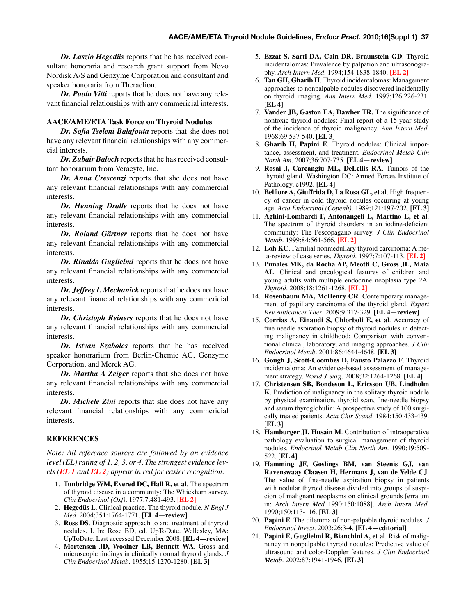*Dr. Laszlo Hegedüs* reports that he has received consultant honoraria and research grant support from Novo Nordisk A/S and Genzyme Corporation and consultant and speaker honoraria from Theraclion.

*Dr. Paolo Vitti* reports that he does not have any relevant financial relationships with any commericial interests.

#### **AACE/AME/ETA Task Force on Thyroid Nodules**

*Dr. Sofia Tseleni Balafouta* reports that she does not have any relevant financial relationships with any commercial interests.

*Dr. Zubair Baloch* reports that he has received consultant honorarium from Veracyte, Inc.

*Dr. Anna Crescenzi* reports that she does not have any relevant financial relationships with any commercial interests.

*Dr. Henning Dralle* reports that he does not have any relevant financial relationships with any commercial interests.

*Dr. Roland Gärtner* reports that he does not have any relevant financial relationships with any commercial interests.

*Dr. Rinaldo Guglielmi* reports that he does not have any relevant financial relationships with any commercial interests.

*Dr. Jeffrey I. Mechanick* reports that he does not have any relevant financial relationships with any commericial interests.

*Dr. Christoph Reiners* reports that he does not have any relevant financial relationships with any commercial interests.

*Dr. Istvan Szabolcs* reports that he has received speaker honorarium from Berlin-Chemie AG, Genzyme Corporation, and Merck AG.

*Dr. Martha A Zeiger* reports that she does not have any relevant financial relationships with any commercial interests.

*Dr. Michele Zini* reports that she does not have any relevant financial relationships with any commericial interests.

### **REFERENCES**

*Note: All reference sources are followed by an evidence level (EL) rating of 1, 2, 3, or 4. The strongest evidence levels (EL 1 and EL 2) appear in red for easier recognition.*

- 1. **Tunbridge WM, Evered DC, Hall R, et al**. The spectrum of thyroid disease in a community: The Whickham survey. *Clin Endocrinol (Oxf)*. 1977;7:481-493. **[EL 2]**
- 2. **Hegedüs L**. Clinical practice. The thyroid nodule. *N Engl J Med*. 2004;351:1764-1771. **[EL 4—review]**
- 3. **Ross DS**. Diagnostic approach to and treatment of thyroid nodules. I. In: Rose BD, ed. UpToDate. Wellesley, MA: UpToDate. Last accessed December 2008. **[EL4—review]**
- 4. **Mortensen JD, Woolner LB, Bennett WA**. Gross and microscopic findings in clinically normal thyroid glands. *J Clin Endocrinol Metab*. 1955;15:1270-1280. **[EL 3]**
- 5. **Ezzat S, Sarti DA, Cain DR, Braunstein GD**. Thyroid incidentalomas: Prevalence by palpation and ultrasonography. *Arch Intern Med*. 1994;154:1838-1840. **[EL 2]**
- 6. **Tan GH, Gharib H**. Thyroid incidentalomas: Management approaches to nonpalpable nodules discovered incidentally on thyroid imaging. *Ann Intern Med*. 1997;126:226-231. **[EL 4]**
- 7. **Vander JB, Gaston EA, Dawber TR.** The significance of nontoxic thyroid nodules: Final report of a 15-year study of the incidence of thyroid malignancy. *Ann Intern Med*. 1968;69:537-540. **[EL 3]**
- 8. **Gharib H, Papini E**. Thyroid nodules: Clinical importance, assessment, and treatment. *Endocrinol Metab Clin North Am*. 2007;36:707-735. **[EL 4—review]**
- 9. **Rosai J, Carcangiu ML, DeLellis RA**. Tumors of the thyroid gland. Washington DC: Armed Forces Institute of Pathology, c1992. **[EL 4]**
- 10. **Belfiore A, Giuffrida D, La Rosa GL, et al**. High frequency of cancer in cold thyroid nodules occurring at young age. *Acta Endocrinol (Copenh)*. 1989;121:197-202. **[EL 3]**
- 11. **Aghini-Lombardi F, Antonangeli L, Martino E, et al**. The spectrum of thyroid disorders in an iodine-deficient community: The Pescopagano survey. *J Clin Endocrinol Metab*. 1999;84:561-566. **[EL 2]**
- 12. **Loh KC**. Familial nonmedullary thyroid carcinoma: A meta-review of case series. *Thyroid*. 1997;7:107-113. **[EL 2]**
- 13. **Punales MK, da Rocha AP, Meotti C, Gross JL, Maia AL**. Clinical and oncological features of children and young adults with multiple endocrine neoplasia type 2A. *Thyroid*. 2008;18:1261-1268. **[EL 2]**
- 14. **Rosenbaum MA, McHenry CR**. Contemporary management of papillary carcinoma of the thyroid gland. *Expert Rev Anticancer Ther*. 2009;9:317-329. **[EL 4—review]**
- 15. **Corrias A, Einaudi S, Chiorboli E, et al**. Accuracy of fine needle aspiration biopsy of thyroid nodules in detecting malignancy in childhood: Comparison with conventional clinical, laboratory, and imaging approaches. *J Clin Endocrinol Metab*. 2001;86:4644-4648. **[EL 3]**
- 16. **Gough J, Scott-Coombes D, Fausto Palazzo F**. Thyroid incidentaloma: An evidence-based assessment of management strategy. *World J Surg*. 2008;32:1264-1268. **[EL 4]**
- 17. **Christensen SB, Bondeson L, Ericsson UB, Lindholm K**. Prediction of malignancy in the solitary thyroid nodule by physical examination, thyroid scan, fine-needle biopsy and serum thyroglobulin: A prospective study of 100 surgically treated patients. *Acta Chir Scand*. 1984;150:433-439. **[EL 3]**
- 18. **Hamburger JI, Husain M**. Contribution of intraoperative pathology evaluation to surgical management of thyroid nodules. *Endocrinol Metab Clin North Am*. 1990;19:509- 522. **[EL 4]**
- 19. **Hamming JF, Goslings BM, van Steenis GJ, van Ravenswaay Claasen H, Hermans J, van de Velde CJ**. The value of fine-needle aspiration biopsy in patients with nodular thyroid disease divided into groups of suspicion of malignant neoplasms on clinical grounds [erratum in: *Arch Intern Med* 1990;150:1088]. *Arch Intern Med*. 1990;150:113-116. **[EL 3]**
- 20. **Papini E**. The dilemma of non-palpable thyroid nodules. *J Endocrinol Invest*. 2003;26:3-4. **[EL 4—editorial]**
- 21. **Papini E, Guglielmi R, Bianchini A, et al**. Risk of malignancy in nonpalpable thyroid nodules: Predictive value of ultrasound and color-Doppler features. *J Clin Endocrinol Metab*. 2002;87:1941-1946. **[EL 3]**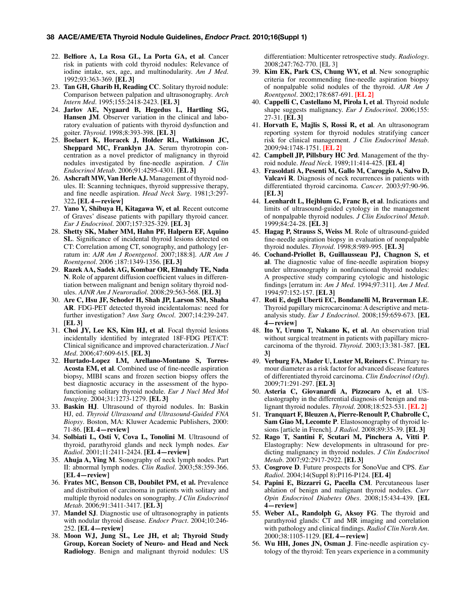- 22. **Belfiore A, La Rosa GL, La Porta GA, et al**. Cancer risk in patients with cold thyroid nodules: Relevance of iodine intake, sex, age, and multinodularity. *Am J Med*. 1992;93:363-369. **[EL 3]**
- 23. **Tan GH, Gharib H, Reading CC**. Solitary thyroid nodule: Comparison between palpation and ultrasonography. *Arch Intern Med*. 1995;155:2418-2423. **[EL 3]**
- 24. **Jarlov AE, Nygaard B, Hegedus L, Hartling SG, Hansen JM**. Observer variation in the clinical and laboratory evaluation of patients with thyroid dysfunction and goiter. *Thyroid*. 1998;8:393-398. **[EL 3]**
- 25. **Boelaert K, Horacek J, Holder RL, Watkinson JC, Sheppard MC, Franklyn JA**. Serum thyrotropin concentration as a novel predictor of malignancy in thyroid nodules investigated by fine-needle aspiration. *J Clin Endocrinol Metab*. 2006;91:4295-4301. **[EL 3]**
- 26. **Ashcraft MW, Van Herle AJ.** Management of thyroid nodules. II: Scanning techniques, thyroid suppressive therapy, and fine needle aspiration. *Head Neck Surg*. 1981;3:297- 322**. [EL 4—review]**
- 27. **Yano Y, Shibuya H, Kitagawa W, et al**. Recent outcome of Graves' disease patients with papillary thyroid cancer. *Eur J Endocrinol*. 2007;157:325-329. **[EL 3]**
- 28. **Shetty SK, Maher MM, Hahn PF, Halpern EF, Aquino SL**. Significance of incidental thyroid lesions detected on CT: Correlation among CT, sonography, and pathology [erratum in: *AJR Am J Roentgenol*. 2007;188:8]. *AJR Am J Roentgenol*. 2006 ;187:1349-1356. **[EL 3]**
- 29. **Razek AA, Sadek AG, Kombar OR, Elmahdy TE, Nada N**. Role of apparent diffusion coefficient values in differentiation between malignant and benign solitary thyroid nodules. *AJNR Am J Neuroradiol*. 2008;29:563-568. **[EL 3]**
- 30. **Are C, Hsu JF, Schoder H, Shah JP, Larson SM, Shaha AR**. FDG-PET detected thyroid incidentalomas: need for further investigation? *Ann Surg Oncol*. 2007;14:239-247. **[EL 3]**
- 31. **Choi JY, Lee KS, Kim HJ, et al**. Focal thyroid lesions incidentally identified by integrated 18F-FDG PET/CT: Clinical significance and improved characterization. *J Nucl Med*. 2006;47:609-615. **[EL 3]**
- 32. **Hurtado-Lopez LM, Arellano-Montano S, Torres-Acosta EM, et al**. Combined use of fine-needle aspiration biopsy, MIBI scans and frozen section biopsy offers the best diagnostic accuracy in the assessment of the hypofunctioning solitary thyroid nodule. *Eur J Nucl Med Mol Imaging*. 2004;31:1273-1279. **[EL 3]**
- 33. **Baskin HJ**. Ultrasound of thyroid nodules. In: Baskin HJ, ed. *Thyroid Ultrasound and Ultrasound-Guided FNA Biopsy*. Boston, MA: Kluwer Academic Publishers, 2000: 71-86. **[EL 4—review]**
- 34. **Solbiati L, Osti V, Cova L, Tonolini M**. Ultrasound of thyroid, parathyroid glands and neck lymph nodes. *Eur Radiol*. 2001;11:2411-2424. **[EL 4—review]**
- 35. **Ahuja A, Ying M**. Sonography of neck lymph nodes. Part II: abnormal lymph nodes. *Clin Radiol*. 2003;58:359-366. **[EL 4—review]**
- 36. **Frates MC, Benson CB, Doubilet PM, et al.** Prevalence and distribution of carcinoma in patients with solitary and multiple thyroid nodules on sonography. *J Clin Endocrinol Metab*. 2006;91:3411-3417. **[EL 3]**
- 37. **Mandel SJ**. Diagnostic use of ultrasonography in patients with nodular thyroid disease. *Endocr Pract*. 2004;10:246- 252. **[EL 4—review]**
- 38. **Moon WJ, Jung SL, Lee JH, et al; Thyroid Study Group, Korean Society of Neuro- and Head and Neck Radiology**. Benign and malignant thyroid nodules: US

differentiation: Multicenter retrospective study. *Radiology*. 2008;247:762-770. [EL 3]

- 39. **Kim EK, Park CS, Chung WY, et al**. New sonographic criteria for recommending fine-needle aspiration biopsy of nonpalpable solid nodules of the thyroid. *AJR Am J Roentgenol*. 2002;178:687-691. **[EL 2]**
- 40. **Cappelli C, Castellano M, Pirola I, et al**. Thyroid nodule shape suggests malignancy. *Eur J Endocrinol*. 2006;155: 27-31. **[EL 3]**
- 41. **Horvath E, Majlis S, Rossi R, et al**. An ultrasonogram reporting system for thyroid nodules stratifying cancer risk for clinical management. *J Clin Endocrinol Metab*. 2009;94:1748-1751. **[EL 2]**
- 42. **Campbell JP, Pillsbury HC 3rd**. Management of the thyroid nodule. *Head Neck*. 1989;11:414-425. **[EL 4]**
- 43. **Frasoldati A, Pesenti M, Gallo M, Caroggio A, Salvo D, Valcavi R**. Diagnosis of neck recurrences in patients with differentiated thyroid carcinoma. *Cancer*. 2003;97:90-96. **[EL 3]**
- 44. **Leenhardt L, Hejblum G, Franc B, et al**. Indications and limits of ultrasound-guided cytology in the management of nonpalpable thyroid nodules. *J Clin Endocrinol Metab*. 1999;84:24-28. **[EL 3]**
- 45. **Hagag P, Strauss S, Weiss M**. Role of ultrasound-guided fine-needle aspiration biopsy in evaluation of nonpalpable thyroid nodules. *Thyroid*. 1998;8:989-995. **[EL 3]**
- 46. **Cochand-Priollet B, Guillausseau PJ, Chagnon S, et al**. The diagnostic value of fine-needle aspiration biopsy under ultrasonography in nonfunctional thyroid nodules: A prospective study comparing cytologic and histologic findings [erratum in: *Am J Med*. 1994;97:311]. *Am J Med*. 1994;97:152-157. **[EL 3]**
- 47. **Roti E, degli Uberti EC, Bondanelli M, Braverman LE**. Thyroid papillary microcarcinoma: A descriptive and metaanalysis study. *Eur J Endocrinol*. 2008;159:659-673. **[EL 4—review]**
- 48. **Ito Y, Uruno T, Nakano K, et al**. An observation trial without surgical treatment in patients with papillary microcarcinoma of the thyroid. *Thyroid*. 2003;13:381-387. **[EL 3]**
- 49. **Verburg FA, Mader U, Luster M, Reiners C**. Primary tumour diameter as a risk factor for advanced disease features of differentiated thyroid carcinoma. *Clin Endocrinol (Oxf)*. 2009;71:291-297. **[EL 3]**
- 50. **Asteria C, Giovanardi A, Pizzocaro A, et al**. USelastography in the differential diagnosis of benign and malignant thyroid nodules. *Thyroid*. 2008;18:523-531. **[EL 2]**
- 51. **Tranquart F, Bleuzen A, Pierre-Renoult P, Chabrolle C, Sam Giao M, Lecomte P**. Elastosonography of thyroid lesions [article in French]. *J Radiol*. 2008;89:35-39. **[EL 3]**
- 52. **Rago T, Santini F, Scutari M, Pinchera A, Vitti P**. Elastography: New developments in ultrasound for predicting malignancy in thyroid nodules. *J Clin Endocrinol Metab*. 2007;92:2917-2922. **[EL 3]**
- 53. **Cosgrove D**. Future prospects for SonoVue and CPS. *Eur Radiol*. 2004;14(Suppl 8):P116-P124. **[EL 4]**
- 54. **Papini E, Bizzarri G, Pacella CM**. Percutaneous laser ablation of benign and malignant thyroid nodules. *Curr Opin Endocrinol Diabetes Obes*. 2008;15:434-439. **[EL 4—review]**
- 55. **Weber AL, Randolph G, Aksoy FG**. The thyroid and parathyroid glands: CT and MR imaging and correlation with pathology and clinical findings. *Radiol Clin North Am*. 2000;38:1105-1129. **[EL 4—review]**
- 56. **Wu HH, Jones JN, Osman J**. Fine-needle aspiration cytology of the thyroid: Ten years experience in a community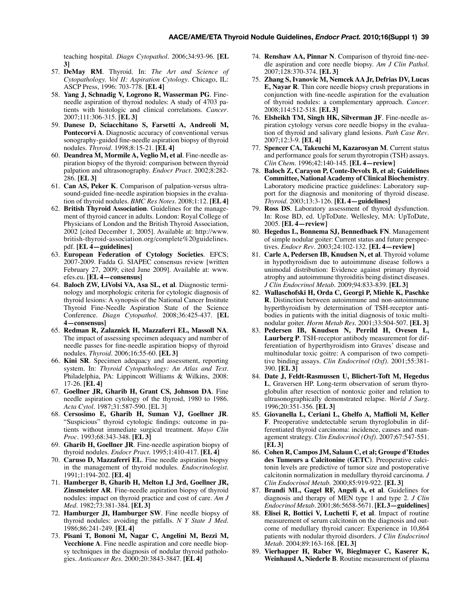teaching hospital. *Diagn Cytopathol*. 2006;34:93-96. **[EL 3]**

- 57. **DeMay RM**. Thyroid. In: *The Art and Science of Cytopathology. Vol II: Aspiration Cytology*. Chicago, IL: ASCP Press, 1996: 703-778. **[EL 4]**
- 58. **Yang J, Schnadig V, Logrono R, Wasserman PG**. Fineneedle aspiration of thyroid nodules: A study of 4703 patients with histologic and clinical correlations. *Cancer*. 2007;111:306-315. **[EL 3]**
- 59. **Danese D, Sciacchitano S, Farsetti A, Andreoli M, Pontecorvi A**. Diagnostic accuracy of conventional versus sonography-guided fine-needle aspiration biopsy of thyroid nodules. *Thyroid*. 1998;8:15-21. **[EL 4]**
- 60. **Deandrea M, Mormile A, Veglio M, et al**. Fine-needle aspiration biopsy of the thyroid: comparison between thyroid palpation and ultrasonography. *Endocr Pract*. 2002;8:282- 286. **[EL 3]**
- 61. **Can AS, Peker K**. Comparison of palpation-versus ultrasound-guided fine-needle aspiration biopsies in the evaluation of thyroid nodules. *BMC Res Notes*. 2008;1:12. **[EL 4]**
- 62. **British Thyroid Association**. Guidelines for the management of thyroid cancer in adults. London: Royal College of Physicians of London and the British Thyroid Association, 2002 [cited December 1, 2005]. Available at: http://www. british-thyroid-association.org/complete%20guidelines. pdf. **[EL 4—guidelines]**
- 63. **European Federation of Cytology Societies**. EFCS; 2007-2009. Fadda G. SIAPEC consensus review [written February 27, 2009; cited June 2009]. Available at: www. efes.eu. **[EL 4—consensus]**
- 64. **Baloch ZW, LiVolsi VA, Asa SL, et al**. Diagnostic terminology and morphologic criteria for cytologic diagnosis of thyroid lesions: A synopsis of the National Cancer Institute Thyroid Fine-Needle Aspiration State of the Science Conference. *Diagn Cytopathol*. 2008;36:425-437. **[EL 4—consensus]**
- 65. **Redman R, Zalaznick H, Mazzaferri EL, Massoll NA**. The impact of assessing specimen adequacy and number of needle passes for fine-needle aspiration biopsy of thyroid nodules. *Thyroid*. 2006;16:55-60. **[EL 3]**
- 66. **Kini SR**. Specimen adequacy and assessment, reporting system. In: *Thyroid Cytopathology: An Atlas and Text*. Philadelphia, PA: Lippincott Williams & Wilkins, 2008: 17-26. **[EL 4]**
- 67. **Goellner JR, Gharib H, Grant CS, Johnson DA**. Fine needle aspiration cytology of the thyroid, 1980 to 1986. *Acta Cytol*. 1987;31:587-590. [EL 3]
- 68. **Cersosimo E, Gharib H, Suman VJ, Goellner JR**. "Suspicious" thyroid cytologic findings: outcome in patients without immediate surgical treatment. *Mayo Clin Proc*. 1993;68:343-348. **[EL 3]**
- 69. **Gharib H, Goellner JR**. Fine-needle aspiration biopsy of thyroid nodules. *Endocr Pract*. 1995;1:410-417. **[EL 4]**
- 70. **Caruso D, Mazzaferri EL**. Fine needle aspiration biopsy in the management of thyroid nodules. *Endocrinologist*. 1991;1:194-202. **[EL 4]**
- 71. **Hamberger B, Gharib H, Melton LJ 3rd, Goellner JR, Zinsmeister AR**. Fine-needle aspiration biopsy of thyroid nodules: impact on thyroid practice and cost of care. *Am J Med*. 1982;73:381-384. **[EL 3]**
- 72. **Hamburger JI, Hamburger SW**. Fine needle biopsy of thyroid nodules: avoiding the pitfalls. *N Y State J Med*. 1986;86:241-249. **[EL 4]**
- 73. **Pisani T, Bononi M, Nagar C, Angelini M, Bezzi M, Vecchione A**. Fine needle aspiration and core needle biopsy techniques in the diagnosis of nodular thyroid pathologies. *Anticancer Res*. 2000;20:3843-3847. **[EL 4]**
- 74. **Renshaw AA, Pinnar N**. Comparison of thyroid fine-needle aspiration and core needle biopsy. *Am J Clin Pathol*. 2007;128:370-374. **[EL 3]**
- 75. **Zhang S, Ivanovic M, Nemcek AA Jr, Defrias DV, Lucas E, Nayar R**. Thin core needle biopsy crush preparations in conjunction with fine-needle aspiration for the evaluation of thyroid nodules: a complementary approach. *Cancer*. 2008;114:512-518. **[EL 3]**
- 76. **Elsheikh TM, Singh HK, Silverman JF**. Fine-needle aspiration cytology versus core needle biopsy in the evaluation of thyroid and salivary gland lesions. *Path Case Rev*. 2007;12:3-9. **[EL 4]**
- 77. **Spencer CA, Takeuchi M, Kazarosyan M**. Current status and performance goals for serum thyrotropin (TSH) assays. *Clin Chem*. 1996;42:140-145. **[EL 4—review]**
- 78. **Baloch Z, Carayon P, Conte-Devolx B, et al; Guidelines Committee, National Academy of Clinical Biochemistry**. Laboratory medicine practice guidelines: Laboratory support for the diagnosis and monitoring of thyroid disease. *Thyroid*. 2003;13:3-126. **[EL 4—guidelines]**
- 79. **Ross DS**. Laboratory assessment of thyroid dysfunction. In: Rose BD, ed. UpToDate. Wellesley, MA: UpToDate, 2005. **[EL 4—review]**
- 80. **Hegedus L, Bonnema SJ, Bennedbaek FN**. Management of simple nodular goiter: Current status and future perspectives. *Endocr Rev*. 2003;24:102-132. **[EL 4—review]**
- 81. **Carle A, Pedersen IB, Knudsen N, et al**. Thyroid volume in hypothyroidism due to autoimmune disease follows a unimodal distribution: Evidence against primary thyroid atrophy and autoimmune thyroiditis being distinct diseases. *J Clin Endocrinol Metab*. 2009;94:833-839. **[EL 3]**
- 82. **Wallaschofski H, Orda C, Georgi P, Miehle K, Paschke R**. Distinction between autoimmune and non-autoimmune hyperthyroidism by determination of TSH-receptor antibodies in patients with the initial diagnosis of toxic multinodular goiter. *Horm Metab Res*. 2001;33:504-507. **[EL 3]**
- 83. **Pedersen IB, Knudsen N, Perrild H, Ovesen L, Laurberg P**. TSH-receptor antibody measurement for differentiation of hyperthyroidism into Graves' disease and multinodular toxic goitre: A comparison of two competitive binding assays. *Clin Endocrinol (Oxf)*. 2001;55:381- 390. **[EL 3]**
- 84. **Date J, Feldt-Rasmussen U, Blichert-Toft M, Hegedus L**, Graversen HP. Long-term observation of serum thyroglobulin after resection of nontoxic goiter and relation to ultrasonographically demonstrated relapse. *World J Surg*. 1996;20:351-356. **[EL 3]**
- 85. **Giovanella L, Ceriani L, Ghelfo A, Maffioli M, Keller F**. Preoperative undetectable serum thyroglobulin in differentiated thyroid carcinoma: incidence, causes and management strategy. *Clin Endocrinol (Oxf)*. 2007;67:547-551. **[EL 3]**
- 86. **Cohen R, Campos JM, Salaun C, et al; Groupe d'Etudes des Tumeurs a Calcitonine (GETC)**. Preoperative calcitonin levels are predictive of tumor size and postoperative calcitonin normalization in medullary thyroid carcinoma. *J Clin Endocrinol Metab*. 2000;85:919-922. **[EL 3]**
- 87. **Brandi ML, Gagel RF, Angeli A, et al**. Guidelines for diagnosis and therapy of MEN type 1 and type 2. *J Clin Endocrinol Metab*. 2001;86:5658-5671. **[EL 3—guidelines]**
- 88. **Elisei R, Bottici V, Luchetti F, et al**. Impact of routine measurement of serum calcitonin on the diagnosis and outcome of medullary thyroid cancer: Experience in 10,864 patients with nodular thyroid disorders. *J Clin Endocrinol Metab*. 2004;89:163-168. **[EL 3]**
- 89. **Vierhapper H, Raber W, Bieglmayer C, Kaserer K, Weinhausl A, Niederle B**. Routine measurement of plasma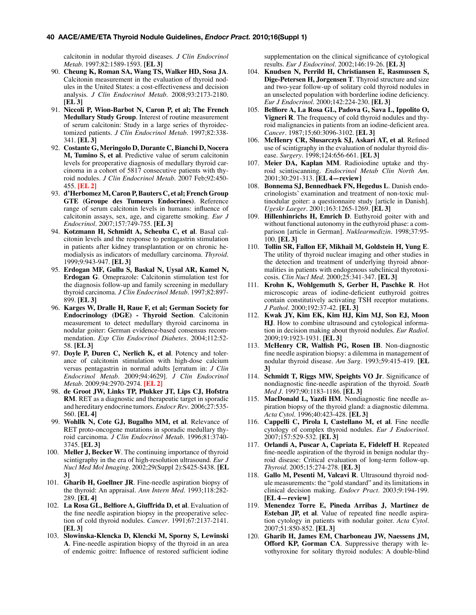calcitonin in nodular thyroid diseases. *J Clin Endocrinol Metab*. 1997;82:1589-1593. **[EL 3]**

- 90. **Cheung K, Roman SA, Wang TS, Walker HD, Sosa JA**. Calcitonin measurement in the evaluation of thyroid nodules in the United States: a cost-effectiveness and decision analysis. *J Clin Endocrinol Metab*. 2008;93:2173-2180. **[EL 3]**
- 91. **Niccoli P, Wion-Barbot N, Caron P, et al; The French Medullary Study Group**. Interest of routine measurement of serum calcitonin: Study in a large series of thyroidectomized patients. *J Clin Endocrinol Metab*. 1997;82:338- 341. **[EL 3]**
- 92. **Costante G, Meringolo D, Durante C, Bianchi D, Nocera M, Tumino S, et al**. Predictive value of serum calcitonin levels for preoperative diagnosis of medullary thyroid carcinoma in a cohort of 5817 consecutive patients with thyroid nodules. *J Clin Endocrinol Metab*. 2007 Feb;92:450- 455. **[EL 2]**
- 93. **d'Herbomez M, Caron P, Bauters C, et al; French Group GTE (Groupe des Tumeurs Endocrines)**. Reference range of serum calcitonin levels in humans: influence of calcitonin assays, sex, age, and cigarette smoking. *Eur J Endocrinol*. 2007;157:749-755. **[EL 3]**
- 94. **Kotzmann H, Schmidt A, Scheuba C, et al**. Basal calcitonin levels and the response to pentagastrin stimulation in patients after kidney transplantation or on chronic hemodialysis as indicators of medullary carcinoma. *Thyroid*. 1999;9:943-947. **[EL 3]**
- 95. **Erdogan MF, Gullu S, Baskal N, Uysal AR, Kamel N, Erdogan G**. Omeprazole: Calcitonin stimulation test for the diagnosis follow-up and family screening in medullary thyroid carcinoma. *J Clin Endocrinol Metab*. 1997;82:897- 899. **[EL 3]**
- 96. **Karges W, Dralle H, Raue F, et al; German Society for Endocrinology (DGE) - Thyroid Section**. Calcitonin measurement to detect medullary thyroid carcinoma in nodular goiter: German evidence-based consensus recommendation. *Exp Clin Endocrinol Diabetes*. 2004;112:52- 58. **[EL 3]**
- 97. **Doyle P, Duren C, Nerlich K, et al**. Potency and tolerance of calcitonin stimulation with high-dose calcium versus pentagastrin in normal adults [erratum in: *J Clin Endocrinol Metab*. 2009;94:4629]. *J Clin Endocrinol Metab*. 2009;94:2970-2974. **[EL 2]**
- 98. **de Groot JW, Links TP, Plukker JT, Lips CJ, Hofstra RM**. RET as a diagnostic and therapeutic target in sporadic and hereditary endocrine tumors. *Endocr Rev*. 2006;27:535- 560. **[EL 4]**
- 99. **Wohllk N, Cote GJ, Bugalho MM, et al**. Relevance of RET proto-oncogene mutations in sporadic medullary thyroid carcinoma. *J Clin Endocrinol Metab*. 1996;81:3740- 3745. **[EL 3]**
- 100. **Meller J, Becker W**. The continuing importance of thyroid scintigraphy in the era of high-resolution ultrasound. *Eur J Nucl Med Mol Imaging*. 2002;29(Suppl 2):S425-S438. **[EL 3]**
- 101. **Gharib H, Goellner JR**. Fine-needle aspiration biopsy of the thyroid: An appraisal. *Ann Intern Med*. 1993;118:282- 289. **[EL 4]**
- 102. **La Rosa GL, Belfiore A, Giuffrida D, et al**. Evaluation of the fine needle aspiration biopsy in the preoperative selection of cold thyroid nodules. *Cancer*. 1991;67:2137-2141. **[EL 3]**
- 103. **Slowinska-Klencka D, Klencki M, Sporny S, Lewinski A**. Fine-needle aspiration biopsy of the thyroid in an area of endemic goitre: Influence of restored sufficient iodine

supplementation on the clinical significance of cytological results. *Eur J Endocrinol*. 2002;146:19-26. **[EL 3]**

- 104. **Knudsen N, Perrild H, Christiansen E, Rasmussen S, Dige-Petersen H, Jorgensen T**. Thyroid structure and size and two-year follow-up of solitary cold thyroid nodules in an unselected population with borderline iodine deficiency. *Eur J Endocrinol*. 2000;142:224-230. **[EL 3]**
- 105. **Belfiore A, La Rosa GL, Padova G, Sava L, Ippolito O, Vigneri R**. The frequency of cold thyroid nodules and thyroid malignancies in patients from an iodine-deficient area. *Cancer*. 1987;15;60:3096-3102. **[EL 3]**
- 106. **McHenry CR, Slusarczyk SJ, Askari AT, et al**. Refined use of scintigraphy in the evaluation of nodular thyroid disease. *Surgery*. 1998;124:656-661. **[EL 3]**
- 107. **Meier DA, Kaplan MM**. Radioiodine uptake and thyroid scintiscanning. *Endocrinol Metab Clin North Am*. 2001;30:291-313. **[EL 4—review]**
- 108. **Bonnema SJ, Bennedbaek FN, Hegedus L**. Danish endocrinologists' examination and treatment of non-toxic multinodular goiter: a questionnaire study [article in Danish]. *Ugeskr Laeger*. 2001;163:1265-1269. **[EL 3]**
- 109. **Hillenhinrichs H, Emrich D**. Euthyroid goiter with and without functional autonomy in the euthyroid phase: a comparison [article in German]. *Nuklearmedizin*. 1998;37:95- 100. **[EL 3]**
- 110. **Tollin SR, Fallon EF, Mikhail M, Goldstein H, Yung E**. The utility of thyroid nuclear imaging and other studies in the detection and treatment of underlying thyroid abnormalities in patients with endogenous subclinical thyrotoxicosis. *Clin Nucl Med*. 2000;25:341-347. **[EL 3]**
- 111. **Krohn K, Wohlgemuth S, Gerber H, Paschke R**. Hot microscopic areas of iodine-deficient euthyroid goitres contain constitutively activating TSH receptor mutations. *J Pathol*. 2000;192:37-42. **[EL 3]**
- 112. **Kwak JY, Kim EK, Kim HJ, Kim MJ, Son EJ, Moon HJ**. How to combine ultrasound and cytological information in decision making about thyroid nodules. *Eur Radiol*. 2009;19:1923-1931. **[EL 3]**
- 113. **McHenry CR, Walfish PG, Rosen IB**. Non-diagnostic fine needle aspiration biopsy: a dilemma in management of nodular thyroid disease. *Am Surg*. 1993;59:415-419. **[EL 3]**
- 114. **Schmidt T, Riggs MW, Speights VO Jr**. Significance of nondiagnostic fine-needle aspiration of the thyroid. *South Med J*. 1997;90:1183-1186. **[EL 3]**
- 115. **MacDonald L, Yazdi HM**. Nondiagnostic fine needle aspiration biopsy of the thyroid gland: a diagnostic dilemma. *Acta Cytol*. 1996;40:423-428. **[EL 3]**
- 116. **Cappelli C, Pirola I, Castellano M, et al**. Fine needle cytology of complex thyroid nodules. *Eur J Endocrinol*. 2007;157:529-532. **[EL 3]**
- 117. **Orlandi A, Puscar A, Capriata E, Fideleff H**. Repeated fine-needle aspiration of the thyroid in benign nodular thyroid disease: Critical evaluation of long-term follow-up. *Thyroid*. 2005;15:274-278. **[EL 3]**
- 118. **Gallo M, Pesenti M, Valcavi R**. Ultrasound thyroid nodule measurements: the "gold standard" and its limitations in clinical decision making. *Endocr Pract*. 2003;9:194-199. **[EL 4—review]**
- 119. **Menendez Torre E, Pineda Arribas J, Martinez de Esteban JP, et al**. Value of repeated fine needle aspiration cytology in patients with nodular goiter. *Acta Cytol*. 2007;51:850-852. **[EL 3]**
- 120. **Gharib H, James EM, Charboneau JW, Naessens JM, Offord KP, Gorman CA**. Suppressive therapy with levothyroxine for solitary thyroid nodules: A double-blind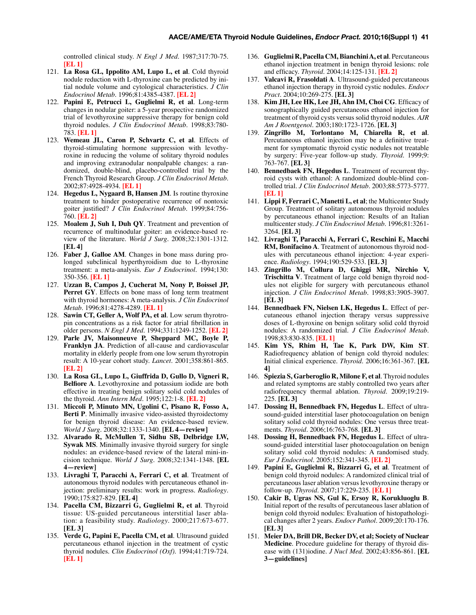controlled clinical study. *N Engl J Med*. 1987;317:70-75. **[EL 1]**

- 121. **La Rosa GL, Ippolito AM, Lupo L, et al**. Cold thyroid nodule reduction with L-thyroxine can be predicted by initial nodule volume and cytological characteristics. *J Clin Endocrinol Metab*. 1996;81:4385-4387. **[EL 2]**
- 122. **Papini E, Petrucci L, Guglielmi R, et al**. Long-term changes in nodular goiter: a 5-year prospective randomized trial of levothyroxine suppressive therapy for benign cold thyroid nodules. *J Clin Endocrinol Metab*. 1998;83:780- 783. **[EL 1]**
- 123. **Wemeau JL, Caron P, Schvartz C, et al**. Effects of thyroid-stimulating hormone suppression with levothyroxine in reducing the volume of solitary thyroid nodules and improving extranodular nonpalpable changes: a randomized, double-blind, placebo-controlled trial by the French Thyroid Research Group. *J Clin Endocrinol Metab*. 2002;87:4928-4934. **[EL 1]**
- 124. **Hegedus L, Nygaard B, Hansen JM**. Is routine thyroxine treatment to hinder postoperative recurrence of nontoxic goiter justified? *J Clin Endocrinol Metab*. 1999;84:756- 760. **[EL 2]**
- 125. **Moalem J, Suh I, Duh QY**. Treatment and prevention of recurrence of multinodular goiter: an evidence-based review of the literature. *World J Surg*. 2008;32:1301-1312. **[EL 4]**
- 126. **Faber J, Galloe AM**. Changes in bone mass during prolonged subclinical hyperthyroidism due to L-thyroxine treatment: a meta-analysis. *Eur J Endocrinol*. 1994;130: 350-356. **[EL 1]**
- 127. **Uzzan B, Campos J, Cucherat M, Nony P, Boissel JP, Perret GY**. Effects on bone mass of long term treatment with thyroid hormones: A meta-analysis. *J Clin Endocrinol Metab*. 1996;81:4278-4289. **[EL 1]**
- 128. **Sawin CT, Geller A, Wolf PA, et al**. Low serum thyrotropin concentrations as a risk factor for atrial fibrillation in older persons. *N Engl J Med*. 1994;331:1249-1252. **[EL 2]**
- 129. **Parle JV, Maisonneuve P, Sheppard MC, Boyle P, Franklyn JA**. Prediction of all-cause and cardiovascular mortality in elderly people from one low serum thyrotropin result: A 10-year cohort study. *Lancet*. 2001;358:861-865. **[EL 2]**
- 130. **La Rosa GL, Lupo L, Giuffrida D, Gullo D, Vigneri R, Belfiore A**. Levothyroxine and potassium iodide are both effective in treating benign solitary solid cold nodules of the thyroid. *Ann Intern Med*. 1995;122:1-8. **[EL 2]**
- 131. **Miccoli P, Minuto MN, Ugolini C, Pisano R, Fosso A, Berti P**. Minimally invasive video-assisted thyroidectomy for benign thyroid disease: An evidence-based review. *World J Surg*. 2008;32:1333-1340. **[EL 4—review]**
- 132. **Alvarado R, McMullen T, Sidhu SB, Delbridge LW, Sywak MS**. Minimally invasive thyroid surgery for single nodules: an evidence-based review of the lateral mini-incision technique. *World J Surg*. 2008;32:1341-1348. **[EL 4—review]**
- 133. **Livraghi T, Paracchi A, Ferrari C, et al**. Treatment of autonomous thyroid nodules with percutaneous ethanol injection: preliminary results: work in progress. *Radiology*. 1990;175:827-829. **[EL 4]**
- 134. **Pacella CM, Bizzarri G, Guglielmi R, et al**. Thyroid tissue: US-guided percutaneous interstitial laser ablation: a feasibility study. *Radiology*. 2000;217:673-677. **[EL 3]**
- 135. **Verde G, Papini E, Pacella CM, et al**. Ultrasound guided percutaneous ethanol injection in the treatment of cystic thyroid nodules. *Clin Endocrinol (Oxf)*. 1994;41:719-724. **[EL 1]**
- 136. **Guglielmi R, Pacella CM, Bianchini A, et al**. Percutaneous ethanol injection treatment in benign thyroid lesions: role and efficacy. *Thyroid*. 2004;14:125-131. **[EL 2]**
- 137. **Valcavi R, Frasoldati A**. Ultrasound-guided percutaneous ethanol injection therapy in thyroid cystic nodules. *Endocr Pract*. 2004;10:269-275. **[EL 3]**
- 138. **Kim JH, Lee HK, Lee JH, Ahn IM, Choi CG**. Efficacy of sonographically guided percutaneous ethanol injection for treatment of thyroid cysts versus solid thyroid nodules. *AJR Am J Roentgenol*. 2003;180:1723-1726. **[EL 3]**
- 139. **Zingrillo M, Torlontano M, Chiarella R, et al**. Percutaneous ethanol injection may be a definitive treatment for symptomatic thyroid cystic nodules not treatable by surgery: Five-year follow-up study. *Thyroid*. 1999;9: 763-767. **[EL 3]**
- 140. **Bennedbaek FN, Hegedus L**. Treatment of recurrent thyroid cysts with ethanol: A randomized double-blind controlled trial. *J Clin Endocrinol Metab*. 2003;88:5773-5777. **[EL 1]**
- 141. **Lippi F, Ferrari C, Manetti L, et al**; the Multicenter Study Group. Treatment of solitary autonomous thyroid nodules by percutaneous ethanol injection: Results of an Italian multicenter study. *J Clin Endocrinol Metab*. 1996;81:3261- 3264. **[EL 3]**
- 142. **Livraghi T, Paracchi A, Ferrari C, Reschini E, Macchi RM, Bonifacino A**. Treatment of autonomous thyroid nodules with percutaneous ethanol injection: 4-year experience. *Radiology*. 1994;190:529-533. **[EL 3]**
- 143. **Zingrillo M, Collura D, Ghiggi MR, Nirchio V, Trischitta V**. Treatment of large cold benign thyroid nodules not eligible for surgery with percutaneous ethanol injection. *J Clin Endocrinol Metab*. 1998;83:3905-3907. **[EL 3]**
- 144. **Bennedbaek FN, Nielsen LK, Hegedus L**. Effect of percutaneous ethanol injection therapy versus suppressive doses of L-thyroxine on benign solitary solid cold thyroid nodules: A randomized trial*. J Clin Endocrinol Metab*. 1998;83:830-835. **[EL 1]**
- 145. **Kim YS, Rhim H, Tae K, Park DW, Kim ST**. Radiofrequency ablation of benign cold thyroid nodules: Initial clinical experience. *Thyroid*. 2006;16:361-367. **[EL 4]**
- 146. **Spiezia S, Garberoglio R, Milone F, et al**. Thyroid nodules and related symptoms are stably controlled two years after radiofrequency thermal ablation. *Thyroid*. 2009;19:219- 225. **[EL 3]**
- 147. **Dossing H, Bennedbaek FN, Hegedus L**. Effect of ultrasound-guided interstitial laser photocoagulation on benign solitary solid cold thyroid nodules: One versus three treatments. *Thyroid*. 2006;16:763-768. **[EL 3]**
- 148. **Dossing H, Bennedbaek FN, Hegedus L**. Effect of ultrasound-guided interstitial laser photocoagulation on benign solitary solid cold thyroid nodules: A randomised study. *Eur J Endocrinol*. 2005;152:341-345. **[EL 2]**
- 149. **Papini E, Guglielmi R, Bizzarri G, et al**. Treatment of benign cold thyroid nodules: A randomized clinical trial of percutaneous laser ablation versus levothyroxine therapy or follow-up. *Thyroid*. 2007;17:229-235. **[EL 1]**
- 150. **Cakir B, Ugras NS, Gul K, Ersoy R, Korukluoglu B**. Initial report of the results of percutaneous laser ablation of benign cold thyroid nodules: Evaluation of histopathological changes after 2 years. *Endocr Pathol*. 2009;20:170-176. **[EL 3]**
- 151. **Meier DA, Brill DR, Becker DV, et al; Society of Nuclear Medicine**. Procedure guideline for therapy of thyroid disease with (131)iodine*. J Nucl Med*. 2002;43:856-861. **[EL 3—guidelines]**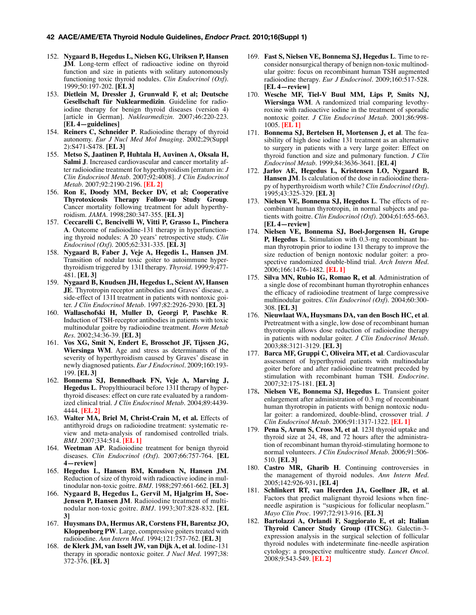- 152. **Nygaard B, Hegedus L, Nielsen KG, Ulriksen P, Hansen JM**. Long-term effect of radioactive iodine on thyroid function and size in patients with solitary autonomously functioning toxic thyroid nodules. *Clin Endocrinol (Oxf)*. 1999;50:197-202. **[EL 3]**
- 153. **Dietlein M, Dressler J, Grunwald F, et al; Deutsche Gesellschaft für Nuklearmedizin**. Guideline for radioiodine therapy for benign thyroid diseases (version 4) [article in German]. *Nuklearmedizin*. 2007;46:220-223. **[EL 4—guidelines]**
- 154. **Reiners C, Schneider P**. Radioiodine therapy of thyroid autonomy. *Eur J Nucl Med Mol Imaging*. 2002;29(Suppl 2):S471-S478. **[EL 3]**
- 155. **Metso S, Jaatinen P, Huhtala H, Auvinen A, Oksala H, Salmi J**. Increased cardiovascular and cancer mortality after radioiodine treatment for hyperthyroidism [erratum in: *J Clin Endocrinol Metab*. 2007;92:4008]. *J Clin Endocrinol Metab*. 2007;92:2190-2196. **[EL 2]**
- 156. **Ron E, Doody MM, Becker DV, et al; Cooperative Thyrotoxicosis Therapy Follow-up Study Group**. Cancer mortality following treatment for adult hyperthyroidism. *JAMA*. 1998;280:347-355. **[EL 3]**
- 157. **Ceccarelli C, Bencivelli W, Vitti P, Grasso L, Pinchera A**. Outcome of radioiodine-131 therapy in hyperfunctioning thyroid nodules: A 20 years' retrospective study. *Clin Endocrinol (Oxf)*. 2005;62:331-335. **[EL 3]**
- 158. **Nygaard B, Faber J, Veje A, Hegedis L, Hansen JM**. Transition of nodular toxic goiter to autoimmune hyperthyroidism triggered by 131I therapy. *Thyroid*. 1999;9:477- 481. **[EL 3]**
- 159. **Nygaard B, Knudsen JH, Hegedus L, Scient AV, Hansen JE**. Thyrotropin receptor antibodies and Graves' disease, a side-effect of 131I treatment in patients with nontoxic goiter. *J Clin Endocrinol Metab*. 1997;82:2926-2930. **[EL 3]**
- 160. **Wallaschofski H, Muller D, Georgi P, Paschke R**. Induction of TSH-receptor antibodies in patients with toxic multinodular goitre by radioiodine treatment. *Horm Metab Res*. 2002;34:36-39. **[EL 3]**
- 161. **Vos XG, Smit N, Endert E, Brosschot JF, Tijssen JG, Wiersinga WM**. Age and stress as determinants of the severity of hyperthyroidism caused by Graves' disease in newly diagnosed patients. *Eur J Endocrinol*. 2009;160:193- 199. **[EL 3]**
- 162. **Bonnema SJ, Bennedbaek FN, Veje A, Marving J, Hegedus L**. Propylthiouracil before 131I therapy of hyperthyroid diseases: effect on cure rate evaluated by a randomized clinical trial. *J Clin Endocrinol Metab*. 2004;89:4439- 4444. **[EL 2]**
- 163. **Walter MA, Briel M, Christ-Crain M, et al.** Effects of antithyroid drugs on radioiodine treatment: systematic review and meta-analysis of randomised controlled trials. *BMJ*. 2007;334:514. **[EL 1]**
- 164. **Weetman AP**. Radioiodine treatment for benign thyroid diseases. *Clin Endocrinol (Oxf).* 2007;66:757-764. **[EL 4—review]**
- 165. **Hegedus L, Hansen BM, Knudsen N, Hansen JM**. Reduction of size of thyroid with radioactive iodine in multinodular non-toxic goitre. *BMJ*. 1988;297:661-662. **[EL 3]**
- 166. **Nygaard B, Hegedus L, Gervil M, Hjalgrim H, Soe-Jensen P, Hansen JM**. Radioiodine treatment of multinodular non-toxic goitre. *BMJ*. 1993;307:828-832. **[EL 3]**
- 167. **Huysmans DA, Hermus AR, Corstens FH, Barentsz JO, Kloppenborg PW**. Large, compressive goiters treated with radioiodine. *Ann Intern Med*. 1994;121:757-762. **[EL 3]**
- 168. **de Klerk JM, van Isselt JW, van Dijk A, et al**. Iodine-131 therapy in sporadic nontoxic goiter. *J Nucl Med*. 1997;38: 372-376. **[EL 3]**
- 169. **Fast S, Nielsen VE, Bonnema SJ, Hegedus L**. Time to reconsider nonsurgical therapy of benign non-toxic multinodular goitre: focus on recombinant human TSH augmented radioiodine therapy. *Eur J Endocrinol*. 2009;160:517-528. **[EL 4—review]**
- 170. **Wesche MF, Tiel-V Buul MM, Lips P, Smits NJ, Wiersinga WM**. A randomized trial comparing levothyroxine with radioactive iodine in the treatment of sporadic nontoxic goiter. *J Clin Endocrinol Metab*. 2001;86:998- 1005. **[EL 1]**
- 171. **Bonnema SJ, Bertelsen H, Mortensen J, et al**. The feasibility of high dose iodine 131 treatment as an alternative to surgery in patients with a very large goiter: Effect on thyroid function and size and pulmonary function. *J Clin Endocrinol Metab*. 1999;84:3636-3641. **[EL 4]**
- 172. **Jarlov AE, Hegedus L, Kristensen LO, Nygaard B, Hansen JM**. Is calculation of the dose in radioiodine therapy of hyperthyroidism worth while? *Clin Endocrinol (Oxf)*. 1995;43:325-329. **[EL 3]**
- 173. **Nielsen VE, Bonnema SJ, Hegedus L**. The effects of recombinant human thyrotropin, in normal subjects and patients with goitre. *Clin Endocrinol (Oxf)*. 2004;61:655-663. **[EL 4—review]**
- 174. **Nielsen VE, Bonnema SJ, Boel-Jorgensen H, Grupe P, Hegedus L**. Stimulation with 0.3-mg recombinant human thyrotropin prior to iodine 131 therapy to improve the size reduction of benign nontoxic nodular goiter: a prospective randomized double-blind trial. *Arch Intern Med*. 2006;166:1476-1482. **[EL 1]**
- 175. **Silva MN, Rubio IG, Romao R, et al**. Administration of a single dose of recombinant human thyrotrophin enhances the efficacy of radioiodine treatment of large compressive multinodular goitres. *Clin Endocrinol (Oxf)*. 2004;60:300- 308. **[EL 3]**
- 176. **Nieuwlaat WA, Huysmans DA, van den Bosch HC, et al**. Pretreatment with a single, low dose of recombinant human thyrotropin allows dose reduction of radioiodine therapy in patients with nodular goiter. *J Clin Endocrinol Metab*. 2003;88:3121-3129. **[EL 3]**
- 177. **Barca MF, Gruppi C, Oliveira MT, et al**. Cardiovascular assessment of hyperthyroid patients with multinodular goiter before and after radioiodine treatment preceded by stimulation with recombinant human TSH. *Endocrine*. 2007;32:175-181. **[EL 3]**
- 178**. Nielsen VE, Bonnema SJ, Hegedus L**. Transient goiter enlargement after administration of 0.3 mg of recombinant human thyrotropin in patients with benign nontoxic nodular goiter: a randomized, double-blind, crossover trial. *J Clin Endocrinol Metab*. 2006;91:1317-1322. **[EL 1]**
- 179. **Pena S, Arum S, Cross M, et al**. 123I thyroid uptake and thyroid size at 24, 48, and 72 hours after the administration of recombinant human thyroid-stimulating hormone to normal volunteers. *J Clin Endocrinol Metab*. 2006;91:506- 510. **[EL 3]**
- 180. **Castro MR, Gharib H**. Continuing controversies in the management of thyroid nodules. *Ann Intern Med*. 2005;142:926-931**. [EL 4]**
- 181. **Schlinkert RT, van Heerden JA, Goellner JR, et al**. Factors that predict malignant thyroid lesions when fineneedle aspiration is "suspicious for follicular neoplasm." *Mayo Clin Proc*. 1997;72:913-916. **[EL 3]**
- 182. **Bartolazzi A, Orlandi F, Saggiorato E, et al; Italian Thyroid Cancer Study Group (ITCSG)**. Galectin-3 expression analysis in the surgical selection of follicular thyroid nodules with indeterminate fine-needle aspiration cytology: a prospective multicentre study. *Lancet Oncol*. 2008;9:543-549. **[EL 2]**